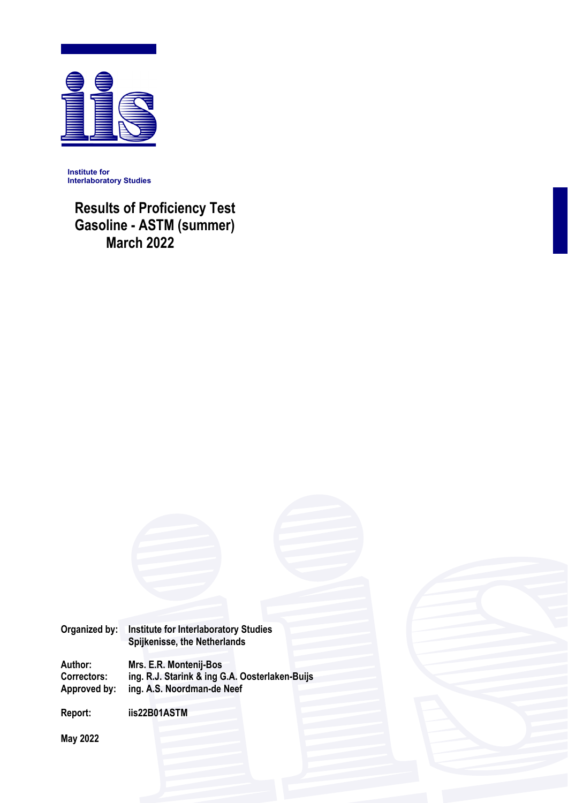

**Institute for Interlaboratory Studies** 

 **Results of Proficiency Test Gasoline - ASTM (summer) March 2022** 



**Author: Mrs. E.R. Montenij-Bos Correctors: ing. R.J. Starink & ing G.A. Oosterlaken-Buijs**  ing. A.S. Noordman-de Neef

**Report: iis22B01ASTM** 

**May 2022**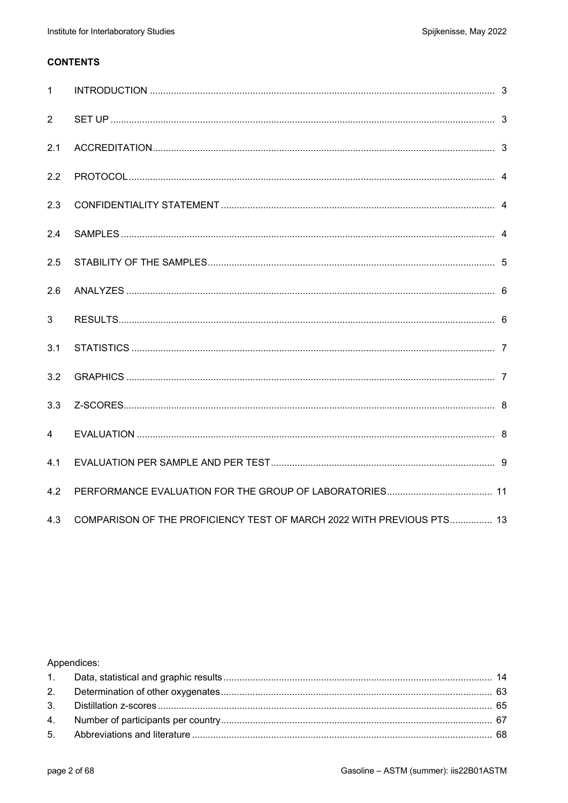# **CONTENTS**

| $\mathbf{1}$   |                                                                       |  |
|----------------|-----------------------------------------------------------------------|--|
| 2              |                                                                       |  |
| 2.1            |                                                                       |  |
| 2.2            |                                                                       |  |
| 2.3            |                                                                       |  |
| 2.4            |                                                                       |  |
| 2.5            |                                                                       |  |
| 2.6            |                                                                       |  |
| 3              |                                                                       |  |
| 3.1            |                                                                       |  |
| 3.2            |                                                                       |  |
| 3.3            |                                                                       |  |
| $\overline{4}$ |                                                                       |  |
| 4.1            |                                                                       |  |
| 4.2            |                                                                       |  |
| 4.3            | COMPARISON OF THE PROFICIENCY TEST OF MARCH 2022 WITH PREVIOUS PTS 13 |  |

# Appendices: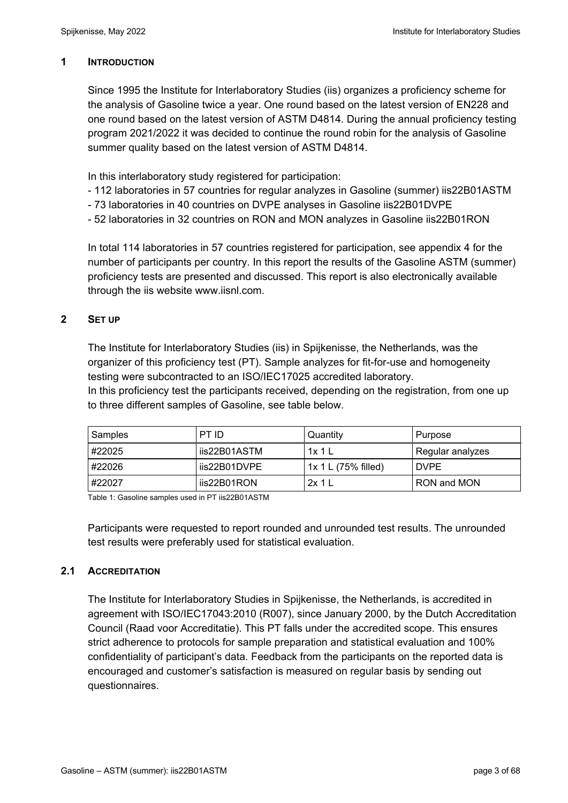## **1 INTRODUCTION**

Since 1995 the Institute for Interlaboratory Studies (iis) organizes a proficiency scheme for the analysis of Gasoline twice a year. One round based on the latest version of EN228 and one round based on the latest version of ASTM D4814. During the annual proficiency testing program 2021/2022 it was decided to continue the round robin for the analysis of Gasoline summer quality based on the latest version of ASTM D4814.

In this interlaboratory study registered for participation:

- 112 laboratories in 57 countries for regular analyzes in Gasoline (summer) iis22B01ASTM
- 73 laboratories in 40 countries on DVPE analyses in Gasoline iis22B01DVPE
- 52 laboratories in 32 countries on RON and MON analyzes in Gasoline iis22B01RON

In total 114 laboratories in 57 countries registered for participation, see appendix 4 for the number of participants per country. In this report the results of the Gasoline ASTM (summer) proficiency tests are presented and discussed. This report is also electronically available through the iis website www.iisnl.com.

## **2 SET UP**

The Institute for Interlaboratory Studies (iis) in Spijkenisse, the Netherlands, was the organizer of this proficiency test (PT). Sample analyzes for fit-for-use and homogeneity testing were subcontracted to an ISO/IEC17025 accredited laboratory.

In this proficiency test the participants received, depending on the registration, from one up to three different samples of Gasoline, see table below.

| Samples | PT ID          | Quantity              | Purpose          |
|---------|----------------|-----------------------|------------------|
| #22025  | l iis22B01ASTM | 1x1L                  | Regular analyzes |
| #22026  | lis22B01DVPE   | $1x 1 L (75%$ filled) | <b>DVPE</b>      |
| #22027  | liis22B01RON   | 2x1                   | RON and MON      |

Table 1: Gasoline samples used in PT iis22B01ASTM

Participants were requested to report rounded and unrounded test results. The unrounded test results were preferably used for statistical evaluation.

# **2.1 ACCREDITATION**

The Institute for Interlaboratory Studies in Spijkenisse, the Netherlands, is accredited in agreement with ISO/IEC17043:2010 (R007), since January 2000, by the Dutch Accreditation Council (Raad voor Accreditatie). This PT falls under the accredited scope. This ensures strict adherence to protocols for sample preparation and statistical evaluation and 100% confidentiality of participant's data. Feedback from the participants on the reported data is encouraged and customer's satisfaction is measured on regular basis by sending out questionnaires.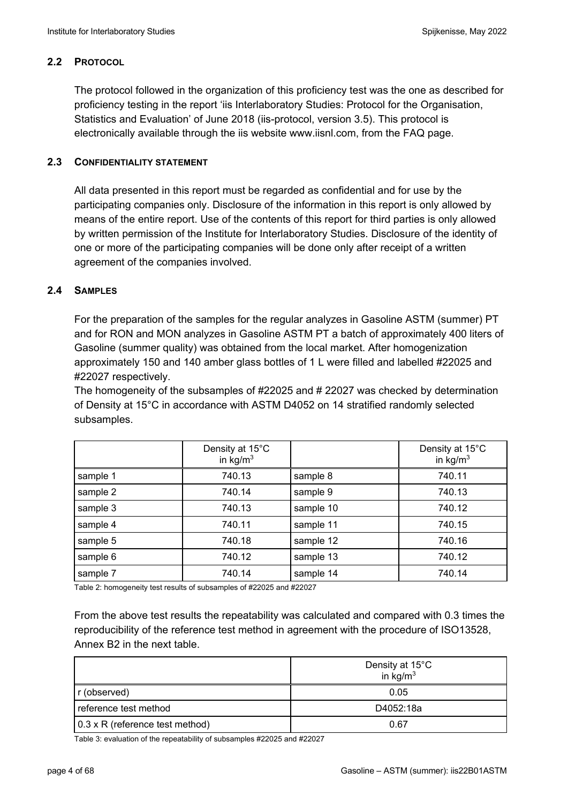## **2.2 PROTOCOL**

The protocol followed in the organization of this proficiency test was the one as described for proficiency testing in the report 'iis Interlaboratory Studies: Protocol for the Organisation, Statistics and Evaluation' of June 2018 (iis-protocol, version 3.5). This protocol is electronically available through the iis website www.iisnl.com, from the FAQ page.

## **2.3 CONFIDENTIALITY STATEMENT**

All data presented in this report must be regarded as confidential and for use by the participating companies only. Disclosure of the information in this report is only allowed by means of the entire report. Use of the contents of this report for third parties is only allowed by written permission of the Institute for Interlaboratory Studies. Disclosure of the identity of one or more of the participating companies will be done only after receipt of a written agreement of the companies involved.

## **2.4 SAMPLES**

For the preparation of the samples for the regular analyzes in Gasoline ASTM (summer) PT and for RON and MON analyzes in Gasoline ASTM PT a batch of approximately 400 liters of Gasoline (summer quality) was obtained from the local market. After homogenization approximately 150 and 140 amber glass bottles of 1 L were filled and labelled #22025 and #22027 respectively.

The homogeneity of the subsamples of #22025 and # 22027 was checked by determination of Density at 15°C in accordance with ASTM D4052 on 14 stratified randomly selected subsamples.

|          | Density at 15°C<br>in $\text{kg/m}^3$ |           | Density at 15°C<br>in $\text{kg/m}^3$ |
|----------|---------------------------------------|-----------|---------------------------------------|
| sample 1 | 740.13                                | sample 8  | 740.11                                |
| sample 2 | 740.14                                | sample 9  | 740.13                                |
| sample 3 | 740.13                                | sample 10 | 740.12                                |
| sample 4 | 740.11                                | sample 11 | 740.15                                |
| sample 5 | 740.18                                | sample 12 | 740.16                                |
| sample 6 | 740.12                                | sample 13 | 740.12                                |
| sample 7 | 740.14                                | sample 14 | 740.14                                |

Table 2: homogeneity test results of subsamples of #22025 and #22027

From the above test results the repeatability was calculated and compared with 0.3 times the reproducibility of the reference test method in agreement with the procedure of ISO13528, Annex B2 in the next table.

|                                         | Density at 15°C<br>in $\text{kg/m}^3$ |
|-----------------------------------------|---------------------------------------|
| r (observed)                            | 0.05                                  |
| reference test method                   | D4052:18a                             |
| $\vert$ 0.3 x R (reference test method) | 0.67                                  |

Table 3: evaluation of the repeatability of subsamples #22025 and #22027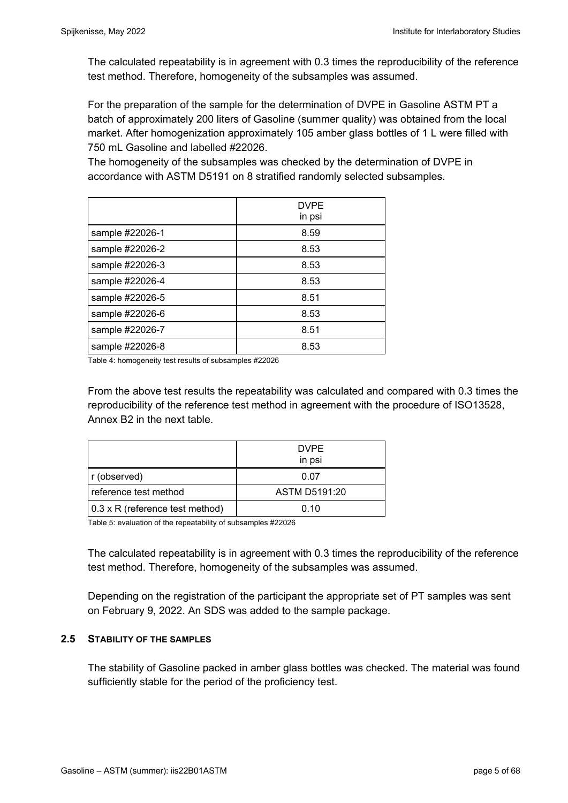The calculated repeatability is in agreement with 0.3 times the reproducibility of the reference test method. Therefore, homogeneity of the subsamples was assumed.

For the preparation of the sample for the determination of DVPE in Gasoline ASTM PT a batch of approximately 200 liters of Gasoline (summer quality) was obtained from the local market. After homogenization approximately 105 amber glass bottles of 1 L were filled with 750 mL Gasoline and labelled #22026.

The homogeneity of the subsamples was checked by the determination of DVPE in accordance with ASTM D5191 on 8 stratified randomly selected subsamples.

|                 | <b>DVPE</b><br>in psi |
|-----------------|-----------------------|
| sample #22026-1 | 8.59                  |
| sample #22026-2 | 8.53                  |
| sample #22026-3 | 8.53                  |
| sample #22026-4 | 8.53                  |
| sample #22026-5 | 8.51                  |
| sample #22026-6 | 8.53                  |
| sample #22026-7 | 8.51                  |
| sample #22026-8 | 8.53                  |

Table 4: homogeneity test results of subsamples #22026

From the above test results the repeatability was calculated and compared with 0.3 times the reproducibility of the reference test method in agreement with the procedure of ISO13528, Annex B2 in the next table.

|                                 | <b>DVPE</b><br>in psi |
|---------------------------------|-----------------------|
| r (observed)                    | 0.07                  |
| reference test method           | ASTM D5191:20         |
| 0.3 x R (reference test method) | 0.10                  |

Table 5: evaluation of the repeatability of subsamples #22026

The calculated repeatability is in agreement with 0.3 times the reproducibility of the reference test method. Therefore, homogeneity of the subsamples was assumed.

Depending on the registration of the participant the appropriate set of PT samples was sent on February 9, 2022. An SDS was added to the sample package.

#### **2.5 STABILITY OF THE SAMPLES**

The stability of Gasoline packed in amber glass bottles was checked. The material was found sufficiently stable for the period of the proficiency test.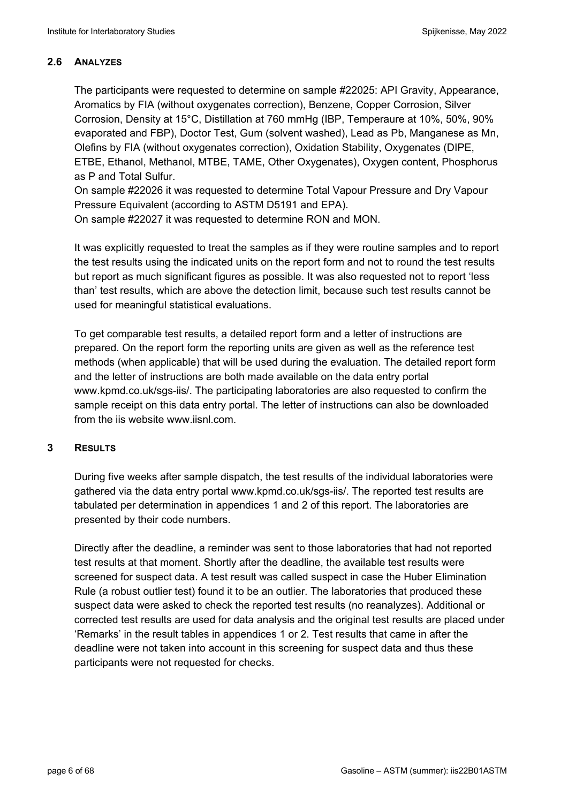## **2.6 ANALYZES**

The participants were requested to determine on sample #22025: API Gravity, Appearance, Aromatics by FIA (without oxygenates correction), Benzene, Copper Corrosion, Silver Corrosion, Density at 15°C, Distillation at 760 mmHg (IBP, Temperaure at 10%, 50%, 90% evaporated and FBP), Doctor Test, Gum (solvent washed), Lead as Pb, Manganese as Mn, Olefins by FIA (without oxygenates correction), Oxidation Stability, Oxygenates (DIPE, ETBE, Ethanol, Methanol, MTBE, TAME, Other Oxygenates), Oxygen content, Phosphorus as P and Total Sulfur.

On sample #22026 it was requested to determine Total Vapour Pressure and Dry Vapour Pressure Equivalent (according to ASTM D5191 and EPA).

On sample #22027 it was requested to determine RON and MON.

It was explicitly requested to treat the samples as if they were routine samples and to report the test results using the indicated units on the report form and not to round the test results but report as much significant figures as possible. It was also requested not to report 'less than' test results, which are above the detection limit, because such test results cannot be used for meaningful statistical evaluations.

To get comparable test results, a detailed report form and a letter of instructions are prepared. On the report form the reporting units are given as well as the reference test methods (when applicable) that will be used during the evaluation. The detailed report form and the letter of instructions are both made available on the data entry portal www.kpmd.co.uk/sgs-iis/. The participating laboratories are also requested to confirm the sample receipt on this data entry portal. The letter of instructions can also be downloaded from the iis website www.iisnl.com.

## **3 RESULTS**

During five weeks after sample dispatch, the test results of the individual laboratories were gathered via the data entry portal www.kpmd.co.uk/sgs-iis/. The reported test results are tabulated per determination in appendices 1 and 2 of this report. The laboratories are presented by their code numbers.

Directly after the deadline, a reminder was sent to those laboratories that had not reported test results at that moment. Shortly after the deadline, the available test results were screened for suspect data. A test result was called suspect in case the Huber Elimination Rule (a robust outlier test) found it to be an outlier. The laboratories that produced these suspect data were asked to check the reported test results (no reanalyzes). Additional or corrected test results are used for data analysis and the original test results are placed under 'Remarks' in the result tables in appendices 1 or 2. Test results that came in after the deadline were not taken into account in this screening for suspect data and thus these participants were not requested for checks.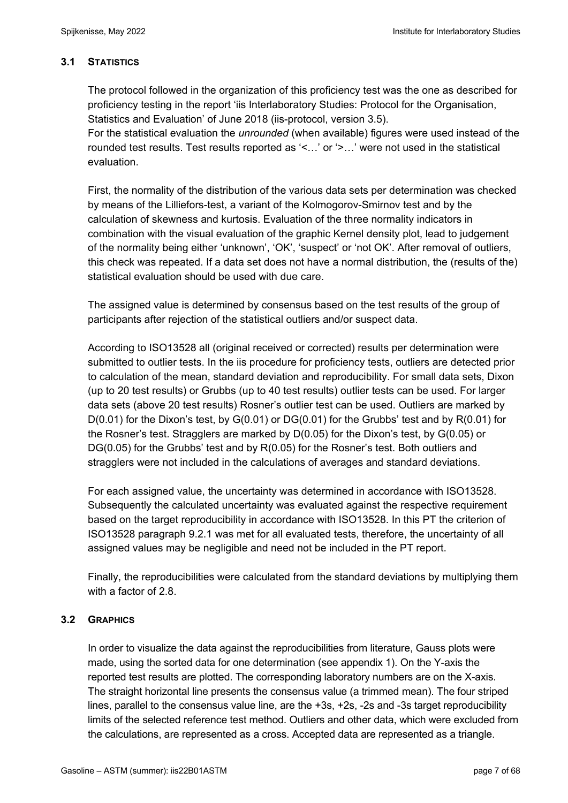## **3.1 STATISTICS**

The protocol followed in the organization of this proficiency test was the one as described for proficiency testing in the report 'iis Interlaboratory Studies: Protocol for the Organisation, Statistics and Evaluation' of June 2018 (iis-protocol, version 3.5).

For the statistical evaluation the *unrounded* (when available) figures were used instead of the rounded test results. Test results reported as '<…' or '>…' were not used in the statistical evaluation.

First, the normality of the distribution of the various data sets per determination was checked by means of the Lilliefors-test, a variant of the Kolmogorov-Smirnov test and by the calculation of skewness and kurtosis. Evaluation of the three normality indicators in combination with the visual evaluation of the graphic Kernel density plot, lead to judgement of the normality being either 'unknown', 'OK', 'suspect' or 'not OK'. After removal of outliers, this check was repeated. If a data set does not have a normal distribution, the (results of the) statistical evaluation should be used with due care.

The assigned value is determined by consensus based on the test results of the group of participants after rejection of the statistical outliers and/or suspect data.

According to ISO13528 all (original received or corrected) results per determination were submitted to outlier tests. In the iis procedure for proficiency tests, outliers are detected prior to calculation of the mean, standard deviation and reproducibility. For small data sets, Dixon (up to 20 test results) or Grubbs (up to 40 test results) outlier tests can be used. For larger data sets (above 20 test results) Rosner's outlier test can be used. Outliers are marked by  $D(0.01)$  for the Dixon's test, by  $G(0.01)$  or  $DG(0.01)$  for the Grubbs' test and by  $R(0.01)$  for the Rosner's test. Stragglers are marked by D(0.05) for the Dixon's test, by G(0.05) or DG(0.05) for the Grubbs' test and by R(0.05) for the Rosner's test. Both outliers and stragglers were not included in the calculations of averages and standard deviations.

For each assigned value, the uncertainty was determined in accordance with ISO13528. Subsequently the calculated uncertainty was evaluated against the respective requirement based on the target reproducibility in accordance with ISO13528. In this PT the criterion of ISO13528 paragraph 9.2.1 was met for all evaluated tests, therefore, the uncertainty of all assigned values may be negligible and need not be included in the PT report.

Finally, the reproducibilities were calculated from the standard deviations by multiplying them with a factor of 2.8

# **3.2 GRAPHICS**

In order to visualize the data against the reproducibilities from literature, Gauss plots were made, using the sorted data for one determination (see appendix 1). On the Y-axis the reported test results are plotted. The corresponding laboratory numbers are on the X-axis. The straight horizontal line presents the consensus value (a trimmed mean). The four striped lines, parallel to the consensus value line, are the +3s, +2s, -2s and -3s target reproducibility limits of the selected reference test method. Outliers and other data, which were excluded from the calculations, are represented as a cross. Accepted data are represented as a triangle.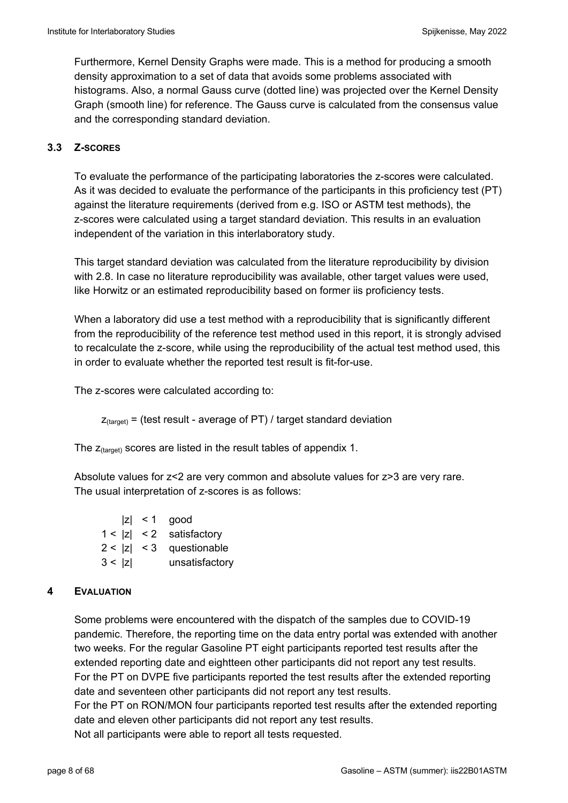Furthermore, Kernel Density Graphs were made. This is a method for producing a smooth density approximation to a set of data that avoids some problems associated with histograms. Also, a normal Gauss curve (dotted line) was projected over the Kernel Density Graph (smooth line) for reference. The Gauss curve is calculated from the consensus value and the corresponding standard deviation.

## **3.3 Z-SCORES**

To evaluate the performance of the participating laboratories the z-scores were calculated. As it was decided to evaluate the performance of the participants in this proficiency test (PT) against the literature requirements (derived from e.g. ISO or ASTM test methods), the z-scores were calculated using a target standard deviation. This results in an evaluation independent of the variation in this interlaboratory study.

This target standard deviation was calculated from the literature reproducibility by division with 2.8. In case no literature reproducibility was available, other target values were used, like Horwitz or an estimated reproducibility based on former iis proficiency tests.

When a laboratory did use a test method with a reproducibility that is significantly different from the reproducibility of the reference test method used in this report, it is strongly advised to recalculate the z-score, while using the reproducibility of the actual test method used, this in order to evaluate whether the reported test result is fit-for-use.

The z-scores were calculated according to:

 $Z_{\text{target}}$  = (test result - average of PT) / target standard deviation

The  $z_{\text{(target)}}$  scores are listed in the result tables of appendix 1.

Absolute values for z<2 are very common and absolute values for z>3 are very rare. The usual interpretation of z-scores is as follows:

|        | $ z  < 1$ good             |
|--------|----------------------------|
|        | $1 <  z  < 2$ satisfactory |
|        | $2 <  z  < 3$ questionable |
| 3 <  z | unsatisfactory             |

## **4 EVALUATION**

Some problems were encountered with the dispatch of the samples due to COVID-19 pandemic. Therefore, the reporting time on the data entry portal was extended with another two weeks. For the regular Gasoline PT eight participants reported test results after the extended reporting date and eightteen other participants did not report any test results. For the PT on DVPE five participants reported the test results after the extended reporting date and seventeen other participants did not report any test results. For the PT on RON/MON four participants reported test results after the extended reporting date and eleven other participants did not report any test results.

Not all participants were able to report all tests requested.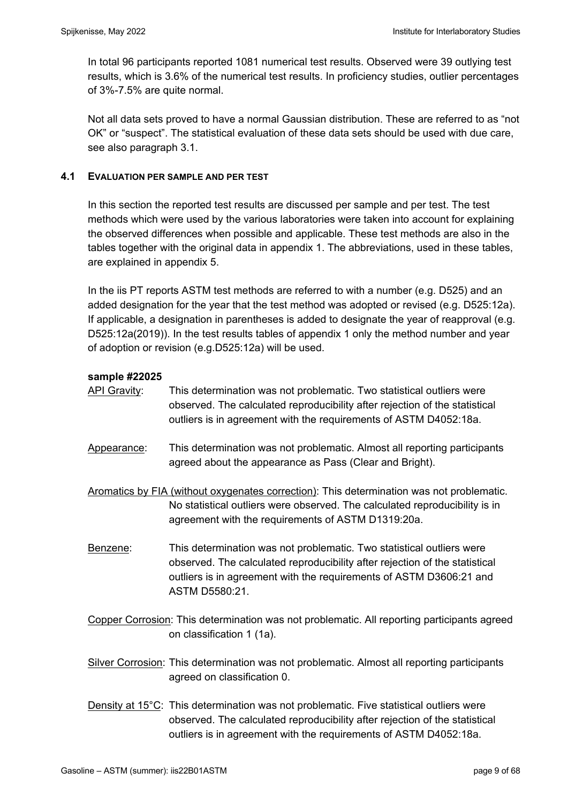In total 96 participants reported 1081 numerical test results. Observed were 39 outlying test results, which is 3.6% of the numerical test results. In proficiency studies, outlier percentages of 3%-7.5% are quite normal.

Not all data sets proved to have a normal Gaussian distribution. These are referred to as "not OK" or "suspect". The statistical evaluation of these data sets should be used with due care, see also paragraph 3.1.

## **4.1 EVALUATION PER SAMPLE AND PER TEST**

In this section the reported test results are discussed per sample and per test. The test methods which were used by the various laboratories were taken into account for explaining the observed differences when possible and applicable. These test methods are also in the tables together with the original data in appendix 1. The abbreviations, used in these tables, are explained in appendix 5.

In the iis PT reports ASTM test methods are referred to with a number (e.g. D525) and an added designation for the year that the test method was adopted or revised (e.g. D525:12a). If applicable, a designation in parentheses is added to designate the year of reapproval (e.g. D525:12a(2019)). In the test results tables of appendix 1 only the method number and year of adoption or revision (e.g.D525:12a) will be used.

## **sample #22025**

| <u>API Gravity</u> : | This determination was not problematic. Two statistical outliers were<br>observed. The calculated reproducibility after rejection of the statistical<br>outliers is in agreement with the requirements of ASTM D4052:18a.                     |
|----------------------|-----------------------------------------------------------------------------------------------------------------------------------------------------------------------------------------------------------------------------------------------|
| Appearance:          | This determination was not problematic. Almost all reporting participants<br>agreed about the appearance as Pass (Clear and Bright).                                                                                                          |
|                      | Aromatics by FIA (without oxygenates correction): This determination was not problematic.<br>No statistical outliers were observed. The calculated reproducibility is in<br>agreement with the requirements of ASTM D1319:20a.                |
| Benzene:             | This determination was not problematic. Two statistical outliers were<br>observed. The calculated reproducibility after rejection of the statistical<br>outliers is in agreement with the requirements of ASTM D3606:21 and<br>ASTM D5580:21. |
|                      | Copper Corrosion: This determination was not problematic. All reporting participants agreed<br>on classification 1 (1a).                                                                                                                      |
|                      | Silver Corrosion: This determination was not problematic. Almost all reporting participants<br>agreed on classification 0.                                                                                                                    |
|                      | Density at $15^{\circ}$ C: This determination was not problematic. Five statistical outliers were                                                                                                                                             |

observed. The calculated reproducibility after rejection of the statistical outliers is in agreement with the requirements of ASTM D4052:18a.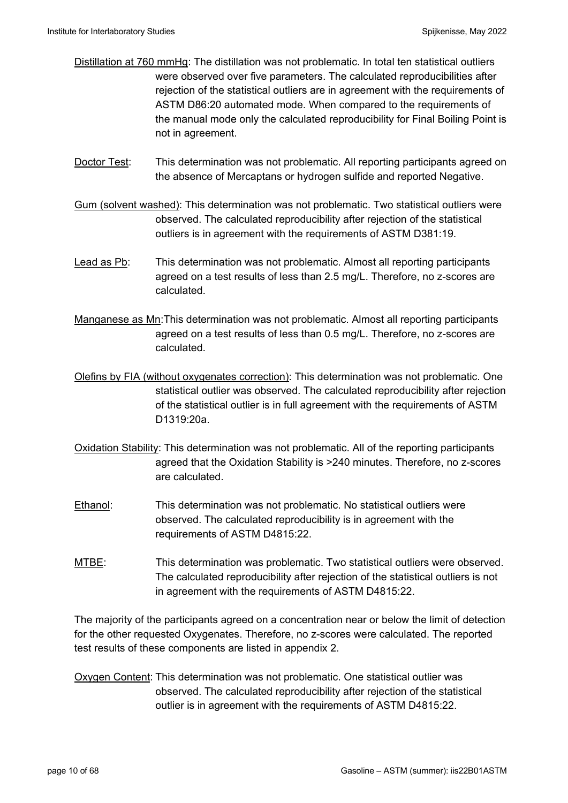- Distillation at 760 mmHg: The distillation was not problematic. In total ten statistical outliers were observed over five parameters. The calculated reproducibilities after rejection of the statistical outliers are in agreement with the requirements of ASTM D86:20 automated mode. When compared to the requirements of the manual mode only the calculated reproducibility for Final Boiling Point is not in agreement.
- Doctor Test: This determination was not problematic. All reporting participants agreed on the absence of Mercaptans or hydrogen sulfide and reported Negative.
- Gum (solvent washed): This determination was not problematic. Two statistical outliers were observed. The calculated reproducibility after rejection of the statistical outliers is in agreement with the requirements of ASTM D381:19.
- Lead as Pb: This determination was not problematic. Almost all reporting participants agreed on a test results of less than 2.5 mg/L. Therefore, no z-scores are calculated.
- Manganese as Mn:This determination was not problematic. Almost all reporting participants agreed on a test results of less than 0.5 mg/L. Therefore, no z-scores are calculated.
- Olefins by FIA (without oxygenates correction): This determination was not problematic. One statistical outlier was observed. The calculated reproducibility after rejection of the statistical outlier is in full agreement with the requirements of ASTM D1319:20a.
- Oxidation Stability: This determination was not problematic. All of the reporting participants agreed that the Oxidation Stability is >240 minutes. Therefore, no z-scores are calculated.
- Ethanol: This determination was not problematic. No statistical outliers were observed. The calculated reproducibility is in agreement with the requirements of ASTM D4815:22.
- MTBE: This determination was problematic. Two statistical outliers were observed. The calculated reproducibility after rejection of the statistical outliers is not in agreement with the requirements of ASTM D4815:22.

The majority of the participants agreed on a concentration near or below the limit of detection for the other requested Oxygenates. Therefore, no z-scores were calculated. The reported test results of these components are listed in appendix 2.

Oxygen Content: This determination was not problematic. One statistical outlier was observed. The calculated reproducibility after rejection of the statistical outlier is in agreement with the requirements of ASTM D4815:22.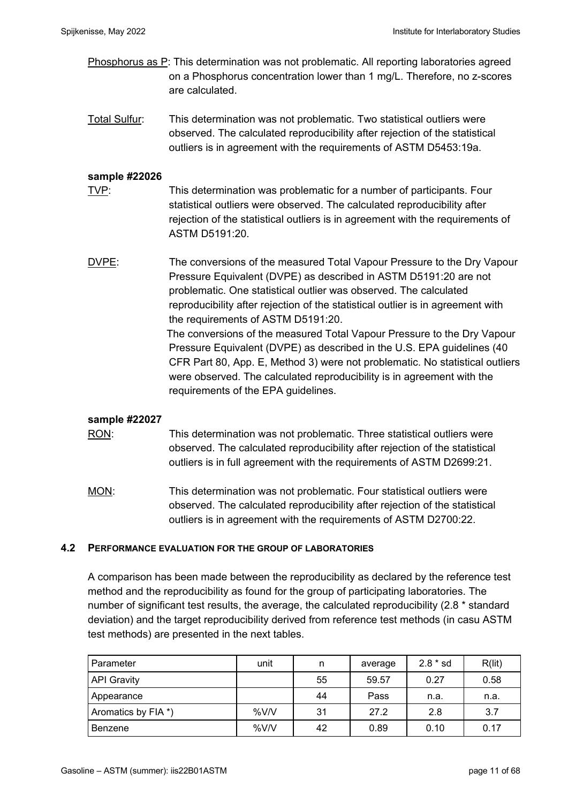- Phosphorus as P: This determination was not problematic. All reporting laboratories agreed on a Phosphorus concentration lower than 1 mg/L. Therefore, no z-scores are calculated.
- Total Sulfur: This determination was not problematic. Two statistical outliers were observed. The calculated reproducibility after rejection of the statistical outliers is in agreement with the requirements of ASTM D5453:19a.

#### **sample #22026**

- TVP: TWP: This determination was problematic for a number of participants. Four statistical outliers were observed. The calculated reproducibility after rejection of the statistical outliers is in agreement with the requirements of ASTM D5191:20.
- DVPE: The conversions of the measured Total Vapour Pressure to the Dry Vapour Pressure Equivalent (DVPE) as described in ASTM D5191:20 are not problematic. One statistical outlier was observed. The calculated reproducibility after rejection of the statistical outlier is in agreement with the requirements of ASTM D5191:20. The conversions of the measured Total Vapour Pressure to the Dry Vapour Pressure Equivalent (DVPE) as described in the U.S. EPA guidelines (40 CFR Part 80, App. E, Method 3) were not problematic. No statistical outliers were observed. The calculated reproducibility is in agreement with the requirements of the EPA guidelines.

## **sample #22027**

RON: This determination was not problematic. Three statistical outliers were observed. The calculated reproducibility after rejection of the statistical outliers is in full agreement with the requirements of ASTM D2699:21.

MON: This determination was not problematic. Four statistical outliers were observed. The calculated reproducibility after rejection of the statistical outliers is in agreement with the requirements of ASTM D2700:22.

#### **4.2 PERFORMANCE EVALUATION FOR THE GROUP OF LABORATORIES**

A comparison has been made between the reproducibility as declared by the reference test method and the reproducibility as found for the group of participating laboratories. The number of significant test results, the average, the calculated reproducibility (2.8 \* standard deviation) and the target reproducibility derived from reference test methods (in casu ASTM test methods) are presented in the next tables.

| Parameter           | unit | n  | average | $2.8 * sd$ | R(lit) |
|---------------------|------|----|---------|------------|--------|
| <b>API Gravity</b>  |      | 55 | 59.57   | 0.27       | 0.58   |
| Appearance          |      | 44 | Pass    | n.a.       | n.a.   |
| Aromatics by FIA *) | %V/V | 31 | 27.2    | 2.8        | 3.7    |
| Benzene             | %V/V | 42 | 0.89    | 0.10       | 0.17   |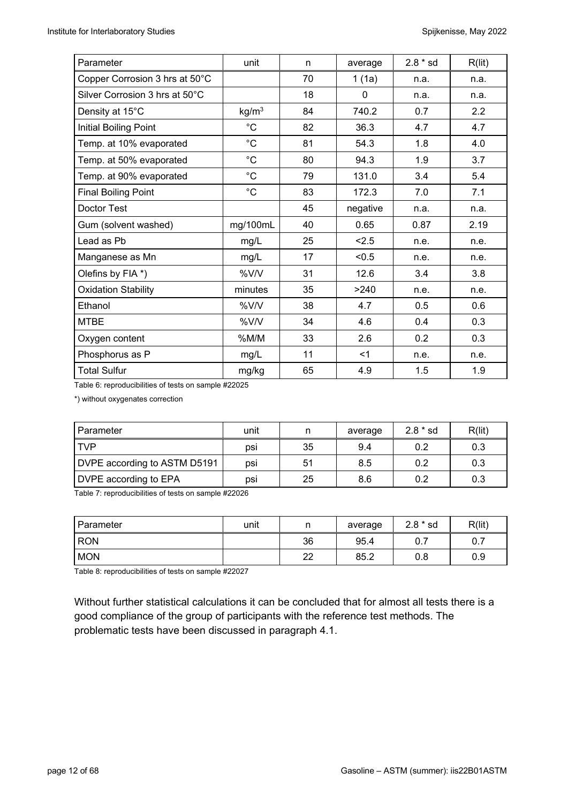| Parameter                      | unit              | n  | average  | $2.8 * sd$ | R(lit) |
|--------------------------------|-------------------|----|----------|------------|--------|
| Copper Corrosion 3 hrs at 50°C |                   | 70 | 1(1a)    | n.a.       | n.a.   |
| Silver Corrosion 3 hrs at 50°C |                   | 18 | 0        | n.a.       | n.a.   |
| Density at 15°C                | kg/m <sup>3</sup> | 84 | 740.2    | 0.7        | 2.2    |
| Initial Boiling Point          | $^{\circ}C$       | 82 | 36.3     | 4.7        | 4.7    |
| Temp. at 10% evaporated        | $^{\circ}C$       | 81 | 54.3     | 1.8        | 4.0    |
| Temp. at 50% evaporated        | $^{\circ}C$       | 80 | 94.3     | 1.9        | 3.7    |
| Temp. at 90% evaporated        | $^{\circ}C$       | 79 | 131.0    | 3.4        | 5.4    |
| <b>Final Boiling Point</b>     | $^{\circ}C$       | 83 | 172.3    | 7.0        | 7.1    |
| Doctor Test                    |                   | 45 | negative | n.a.       | n.a.   |
| Gum (solvent washed)           | mg/100mL          | 40 | 0.65     | 0.87       | 2.19   |
| Lead as Pb                     | mg/L              | 25 | 2.5      | n.e.       | n.e.   |
| Manganese as Mn                | mg/L              | 17 | < 0.5    | n.e.       | n.e.   |
| Olefins by FIA *)              | %V/V              | 31 | 12.6     | 3.4        | 3.8    |
| <b>Oxidation Stability</b>     | minutes           | 35 | >240     | n.e.       | n.e.   |
| Ethanol                        | %V/V              | 38 | 4.7      | 0.5        | 0.6    |
| <b>MTBE</b>                    | %V/V              | 34 | 4.6      | 0.4        | 0.3    |
| Oxygen content                 | %M/M              | 33 | 2.6      | 0.2        | 0.3    |
| Phosphorus as P                | mg/L              | 11 | $<$ 1    | n.e.       | n.e.   |
| <b>Total Sulfur</b>            | mg/kg             | 65 | 4.9      | 1.5        | 1.9    |

Table 6: reproducibilities of tests on sample #22025

\*) without oxygenates correction

| Parameter                    | unit | n  | average | $2.8 * sd$ | R(lit) |
|------------------------------|------|----|---------|------------|--------|
| <b>TVP</b>                   | DSİ  | 35 | 9.4     | 0.2        | 0.3    |
| DVPE according to ASTM D5191 | psi  | 51 | 8.5     | 0.2        | 0.3    |
| DVPE according to EPA        | psi  | 25 | 8.6     | 0.2        | 0.3    |

Table 7: reproducibilities of tests on sample #22026

| Parameter  | unit | n        | average | $2.8 * sd$ | R(lit) |
|------------|------|----------|---------|------------|--------|
| <b>RON</b> |      | 36       | 95.4    | 0.7        | ν. ι   |
| <b>MON</b> |      | つつ<br>∠∠ | 85.2    | 0.8        | 0.9    |

Table 8: reproducibilities of tests on sample #22027

Without further statistical calculations it can be concluded that for almost all tests there is a good compliance of the group of participants with the reference test methods. The problematic tests have been discussed in paragraph 4.1.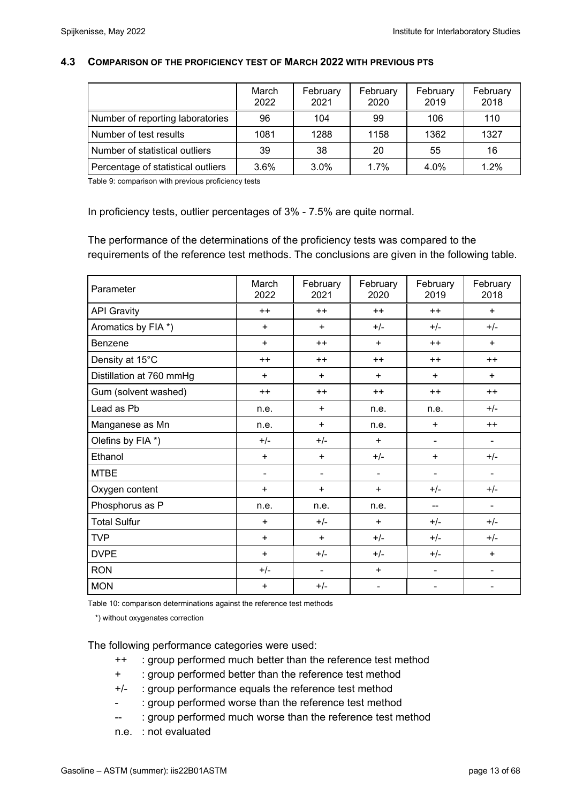#### **4.3 COMPARISON OF THE PROFICIENCY TEST OF MARCH 2022 WITH PREVIOUS PTS**

|                                    | March<br>2022 | February<br>2021 | February<br>2020 | February<br>2019 | February<br>2018 |
|------------------------------------|---------------|------------------|------------------|------------------|------------------|
| Number of reporting laboratories   | 96            | 104              | 99               | 106              | 110              |
| Number of test results             | 1081          | 1288             | 1158             | 1362             | 1327             |
| Number of statistical outliers     | 39            | 38               | 20               | 55               | 16               |
| Percentage of statistical outliers | 3.6%          | 3.0%             | 1.7%             | 4.0%             | 1.2%             |

Table 9: comparison with previous proficiency tests

In proficiency tests, outlier percentages of 3% - 7.5% are quite normal.

The performance of the determinations of the proficiency tests was compared to the requirements of the reference test methods. The conclusions are given in the following table.

| Parameter                | March<br>2022  | February<br>2021         | February<br>2020 | February<br>2019 | February<br>2018 |
|--------------------------|----------------|--------------------------|------------------|------------------|------------------|
| <b>API Gravity</b>       | $++$           | $++$                     | $++$             | $++$             | $+$              |
| Aromatics by FIA *)      | $\ddot{}$      | $\ddot{}$                | $+/-$            | $+/-$            | $+/-$            |
| <b>Benzene</b>           | $\ddot{}$      | $++$                     | $+$              | $++$             | $+$              |
| Density at 15°C          | $++$           | $++$                     | $++$             | $++$             | $++$             |
| Distillation at 760 mmHg | $\ddot{}$      | $\ddot{}$                | $+$              | $+$              | $+$              |
| Gum (solvent washed)     | $++$           | $++$                     | $++$             | $++$             | $++$             |
| Lead as Pb               | n.e.           | $\ddot{}$                | n.e.             | n.e.             | $+/-$            |
| Manganese as Mn          | n.e.           | $\ddot{}$                | n.e.             | $+$              | $++$             |
| Olefins by FIA *)        | $+/-$          | $+/-$                    | $\ddot{}$        | ۰                |                  |
| Ethanol                  | $\ddot{}$      | $\ddot{}$                | $+/-$            | $\ddot{}$        | $+/-$            |
| <b>MTBE</b>              | $\blacksquare$ | $\overline{\phantom{a}}$ | $\blacksquare$   | $\blacksquare$   | $\blacksquare$   |
| Oxygen content           | $\ddot{}$      | $\ddot{}$                | $\ddot{}$        | $+/-$            | $+/-$            |
| Phosphorus as P          | n.e.           | n.e.                     | n.e.             | --               |                  |
| <b>Total Sulfur</b>      | $\ddot{}$      | $+/-$                    | $\ddot{}$        | $+/-$            | $+/-$            |
| <b>TVP</b>               | $\ddot{}$      | $\ddot{}$                | $+/-$            | $+/-$            | $+/-$            |
| <b>DVPE</b>              | $\ddot{}$      | $+/-$                    | $+/-$            | $+/-$            | $+$              |
| <b>RON</b>               | $+/-$          | ۰                        | $\ddot{}$        |                  |                  |
| <b>MON</b>               | $\ddot{}$      | $+/-$                    | $\blacksquare$   |                  |                  |

Table 10: comparison determinations against the reference test methods

\*) without oxygenates correction

The following performance categories were used:

- ++ : group performed much better than the reference test method
- + : group performed better than the reference test method
- +/- : group performance equals the reference test method
- : group performed worse than the reference test method
- -- : group performed much worse than the reference test method
- n.e. : not evaluated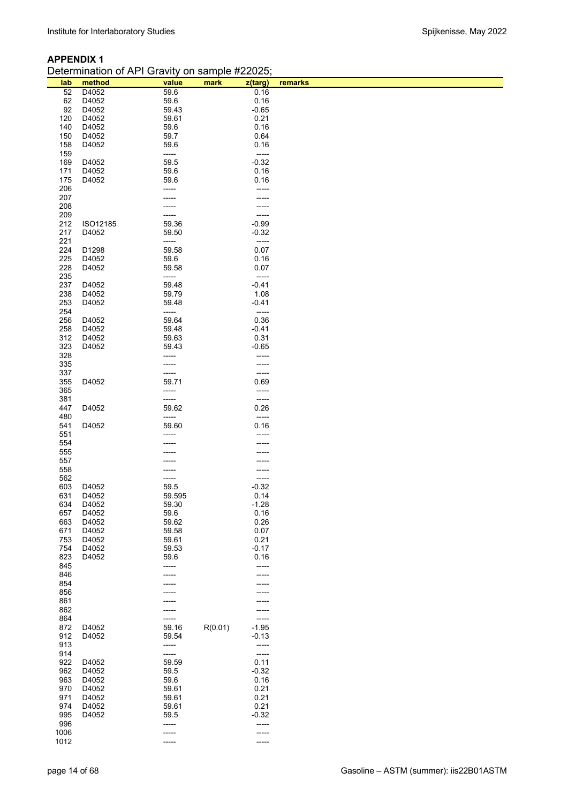# **APPENDIX 1**

| Determination of API Gravity on sample #22025; |  |  |
|------------------------------------------------|--|--|
|------------------------------------------------|--|--|

| lab        | method         | value          | mark    | z(targ)          | remarks |
|------------|----------------|----------------|---------|------------------|---------|
| 52         | D4052          | 59.6           |         | 0.16             |         |
| 62         | D4052          | 59.6           |         | 0.16             |         |
| 92         | D4052          | 59.43          |         | $-0.65$          |         |
| 120        | D4052          | 59.61          |         | 0.21             |         |
| 140<br>150 | D4052<br>D4052 | 59.6<br>59.7   |         | 0.16<br>0.64     |         |
| 158        | D4052          | 59.6           |         | 0.16             |         |
| 159        |                | -----          |         | $-----$          |         |
| 169        | D4052          | 59.5           |         | $-0.32$          |         |
| 171        | D4052          | 59.6           |         | 0.16             |         |
| 175        | D4052          | 59.6           |         | 0.16             |         |
| 206        |                | -----          |         | -----            |         |
| 207        |                |                |         |                  |         |
| 208        |                |                |         |                  |         |
| 209<br>212 | ISO12185       | 59.36          |         | -----<br>$-0.99$ |         |
| 217        | D4052          | 59.50          |         | $-0.32$          |         |
| 221        |                | -----          |         | -----            |         |
| 224        | D1298          | 59.58          |         | 0.07             |         |
| 225        | D4052          | 59.6           |         | 0.16             |         |
| 228        | D4052          | 59.58          |         | 0.07             |         |
| 235        |                | -----          |         | -----            |         |
| 237        | D4052          | 59.48          |         | $-0.41$          |         |
| 238        | D4052          | 59.79          |         | 1.08             |         |
| 253        | D4052          | 59.48          |         | $-0.41$          |         |
| 254<br>256 | D4052          | -----<br>59.64 |         | -----<br>0.36    |         |
| 258        | D4052          | 59.48          |         | $-0.41$          |         |
| 312        | D4052          | 59.63          |         | 0.31             |         |
| 323        | D4052          | 59.43          |         | $-0.65$          |         |
| 328        |                | -----          |         | -----            |         |
| 335        |                |                |         |                  |         |
| 337        |                | -----          |         | -----            |         |
| 355        | D4052          | 59.71          |         | 0.69             |         |
| 365<br>381 |                | -----<br>----- |         | -----<br>-----   |         |
| 447        | D4052          | 59.62          |         | 0.26             |         |
| 480        |                | -----          |         | -----            |         |
| 541        | D4052          | 59.60          |         | 0.16             |         |
| 551        |                |                |         |                  |         |
| 554        |                |                |         |                  |         |
| 555        |                |                |         |                  |         |
| 557        |                |                |         |                  |         |
| 558        |                |                |         |                  |         |
| 562<br>603 | D4052          | 59.5           |         | -----<br>$-0.32$ |         |
| 631        | D4052          | 59.595         |         | 0.14             |         |
| 634        | D4052          | 59.30          |         | $-1.28$          |         |
| 657        | D4052          | 59.6           |         | 0.16             |         |
| 663        | D4052          | 59.62          |         | 0.26             |         |
| 671        | D4052          | 59.58          |         | 0.07             |         |
| 753        | D4052          | 59.61          |         | 0.21             |         |
| 754        | D4052          | 59.53          |         | $-0.17$          |         |
| 823<br>845 | D4052          | 59.6           |         | 0.16             |         |
| 846        |                | -----          |         | -----<br>-----   |         |
| 854        |                |                |         |                  |         |
| 856        |                |                |         |                  |         |
| 861        |                |                |         |                  |         |
| 862        |                |                |         |                  |         |
| 864        |                |                |         | -----            |         |
| 872        | D4052          | 59.16          | R(0.01) | $-1.95$          |         |
| 912        | D4052          | 59.54          |         | $-0.13$          |         |
| 913<br>914 |                | -----<br>----- |         | -----<br>-----   |         |
| 922        | D4052          | 59.59          |         | 0.11             |         |
| 962        | D4052          | 59.5           |         | $-0.32$          |         |
| 963        | D4052          | 59.6           |         | 0.16             |         |
| 970        | D4052          | 59.61          |         | 0.21             |         |
| 971        | D4052          | 59.61          |         | 0.21             |         |
| 974        | D4052          | 59.61          |         | 0.21             |         |
| 995<br>996 | D4052          | 59.5           |         | $-0.32$          |         |
| 1006       |                | -----          |         | -----            |         |
| 1012       |                |                |         | -----            |         |
|            |                |                |         |                  |         |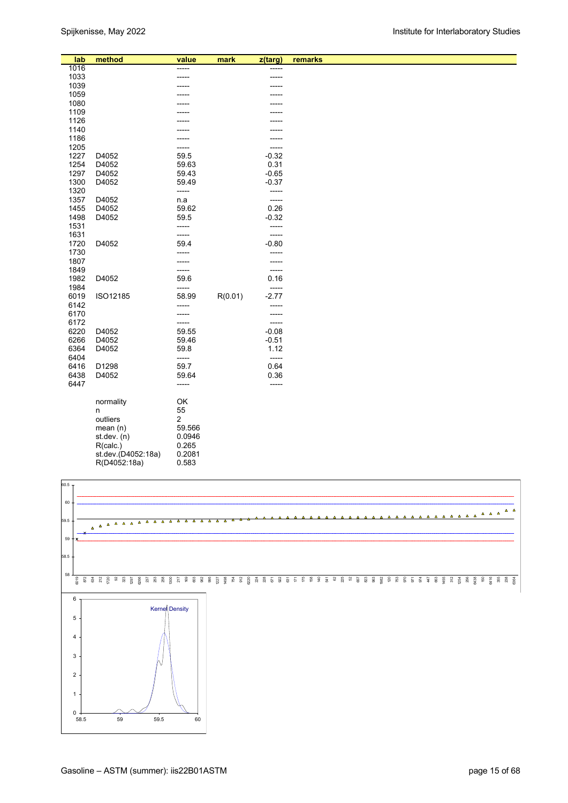| method<br>lab<br>remarks<br>value<br>mark<br>z(targ)<br>1016<br>-----<br>-----<br>1033<br>1039<br>1059<br>1080<br>1109 |  |
|------------------------------------------------------------------------------------------------------------------------|--|
|                                                                                                                        |  |
|                                                                                                                        |  |
|                                                                                                                        |  |
|                                                                                                                        |  |
|                                                                                                                        |  |
|                                                                                                                        |  |
| 1126                                                                                                                   |  |
| 1140                                                                                                                   |  |
| 1186                                                                                                                   |  |
| 1205<br>-----                                                                                                          |  |
| 1227<br>D4052<br>59.5<br>$-0.32$                                                                                       |  |
| 1254<br>D4052<br>59.63<br>0.31                                                                                         |  |
| 1297<br>D4052<br>59.43<br>$-0.65$                                                                                      |  |
| 1300<br>D4052<br>59.49<br>$-0.37$                                                                                      |  |
| 1320<br>-----<br>-----                                                                                                 |  |
| 1357<br>D4052<br>n.a<br>-----                                                                                          |  |
| 59.62<br>0.26<br>1455<br>D4052                                                                                         |  |
| 1498<br>D4052<br>$-0.32$<br>59.5                                                                                       |  |
| 1531<br>-----<br>-----                                                                                                 |  |
| 1631<br>-----<br>-----                                                                                                 |  |
| 1720<br>D4052<br>$-0.80$<br>59.4                                                                                       |  |
| 1730<br>-----                                                                                                          |  |
| 1807<br>-----<br>-----                                                                                                 |  |
| 1849<br>-----<br>-----                                                                                                 |  |
| 1982<br>D4052<br>59.6<br>0.16                                                                                          |  |
| 1984<br>-----<br>-----                                                                                                 |  |
| $-2.77$<br>6019<br>ISO12185<br>58.99<br>R(0.01)                                                                        |  |
| 6142<br>-----<br>-----                                                                                                 |  |
| 6170<br>-----<br>------                                                                                                |  |
| 6172<br>-----<br>-----                                                                                                 |  |
| 6220<br>D4052<br>59.55<br>$-0.08$                                                                                      |  |
| 6266<br>$-0.51$<br>D4052<br>59.46                                                                                      |  |
| 6364<br>59.8<br>1.12<br>D4052                                                                                          |  |
| 6404<br>-----<br>-----                                                                                                 |  |
| 6416<br>D1298<br>59.7<br>0.64                                                                                          |  |
| 6438<br>D4052<br>59.64<br>0.36                                                                                         |  |
| 6447<br>-----<br>-----                                                                                                 |  |
|                                                                                                                        |  |
| OK<br>normality                                                                                                        |  |
| 55<br>n                                                                                                                |  |
| 2<br>outliers                                                                                                          |  |
| 59.566<br>mean(n)                                                                                                      |  |
| 0.0946<br>$st.$ dev. $(n)$                                                                                             |  |
| 0.265<br>R(calc.)<br>st.dev.(D4052:18a)                                                                                |  |
| 0.2081<br>0.583<br>R(D4052:18a)                                                                                        |  |
|                                                                                                                        |  |

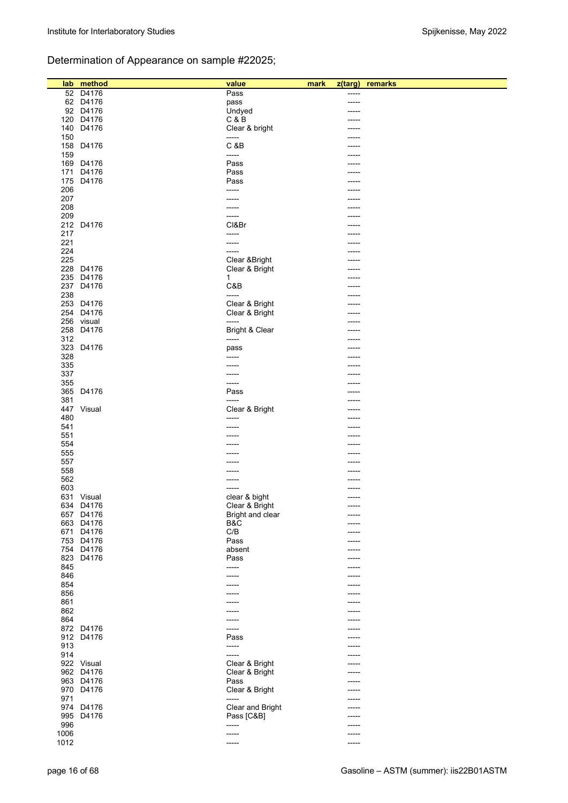# Determination of Appearance on sample #22025;

| lab  | method     | value            | mark | z(targ)     | remarks |
|------|------------|------------------|------|-------------|---------|
| 52   | D4176      | Pass             |      | -----       |         |
|      | 62 D4176   | pass             |      |             |         |
|      | 92 D4176   | Undyed           |      |             |         |
|      |            |                  |      |             |         |
| 120  | D4176      | C & B            |      |             |         |
| 140  | D4176      | Clear & bright   |      |             |         |
| 150  |            | -----            |      |             |         |
|      |            |                  |      |             |         |
| 158  | D4176      | C &B             |      | -----       |         |
| 159  |            | -----            |      | -----       |         |
| 169  | D4176      | Pass             |      |             |         |
| 171  | D4176      | Pass             |      |             |         |
|      |            |                  |      |             |         |
| 175  | D4176      | Pass             |      |             |         |
| 206  |            | -----            |      |             |         |
| 207  |            | -----            |      |             |         |
| 208  |            | -----            |      | -----       |         |
|      |            |                  |      |             |         |
| 209  |            | -----            |      |             |         |
| 212  | D4176      | CI&Br            |      |             |         |
| 217  |            | -----            |      |             |         |
| 221  |            |                  |      |             |         |
|      |            | -----            |      |             |         |
| 224  |            | -----            |      |             |         |
| 225  |            | Clear & Bright   |      | -----       |         |
| 228  | D4176      | Clear & Bright   |      |             |         |
|      |            |                  |      |             |         |
| 235  | D4176      | 1                |      | -----       |         |
| 237  | D4176      | C&B              |      | -----       |         |
| 238  |            | $-----$          |      |             |         |
| 253  | D4176      | Clear & Bright   |      | -----       |         |
|      |            |                  |      |             |         |
| 254  | D4176      | Clear & Bright   |      |             |         |
|      | 256 visual | -----            |      |             |         |
| 258  | D4176      | Bright & Clear   |      |             |         |
| 312  |            | -----            |      |             |         |
|      |            |                  |      | -----       |         |
| 323  | D4176      | pass             |      |             |         |
| 328  |            | -----            |      |             |         |
| 335  |            |                  |      |             |         |
|      |            |                  |      |             |         |
| 337  |            | -----            |      |             |         |
| 355  |            | -----            |      |             |         |
| 365  | D4176      | Pass             |      | -----       |         |
| 381  |            | -----            |      |             |         |
|      |            |                  |      |             |         |
| 447  | Visual     | Clear & Bright   |      | -----       |         |
| 480  |            | -----            |      |             |         |
| 541  |            | ------           |      |             |         |
| 551  |            |                  |      |             |         |
|      |            |                  |      |             |         |
| 554  |            |                  |      |             |         |
| 555  |            |                  |      |             |         |
| 557  |            |                  |      |             |         |
| 558  |            |                  |      |             |         |
|      |            |                  |      |             |         |
| 562  |            |                  |      |             |         |
| 603  |            | -----            |      |             |         |
|      | 631 Visual | clear & bight    |      | $- - - - -$ |         |
|      | 634 D4176  | Clear & Bright   |      | -----       |         |
|      |            |                  |      |             |         |
|      | 657 D4176  | Bright and clear |      | -----       |         |
|      | 663 D4176  | B&C              |      |             |         |
| 671  | D4176      | C/B              |      | -----       |         |
|      | 753 D4176  | Pass             |      | $--- -$     |         |
|      | 754 D4176  |                  |      |             |         |
|      |            | absent           |      | -----       |         |
| 823  | D4176      | Pass             |      | $--- -$     |         |
| 845  |            | -----            |      | -----       |         |
| 846  |            | -----            |      | -----       |         |
|      |            |                  |      |             |         |
| 854  |            | -----            |      | -----       |         |
| 856  |            |                  |      | -----       |         |
| 861  |            | -----            |      | -----       |         |
| 862  |            |                  |      | -----       |         |
|      |            |                  |      |             |         |
| 864  |            |                  |      |             |         |
|      | 872 D4176  | -----            |      |             |         |
|      | 912 D4176  | Pass             |      | -----       |         |
| 913  |            | -----            |      | -----       |         |
|      |            |                  |      |             |         |
| 914  |            | -----            |      | -----       |         |
|      | 922 Visual | Clear & Bright   |      | -----       |         |
|      | 962 D4176  | Clear & Bright   |      | $--- -$     |         |
|      | 963 D4176  | Pass             |      |             |         |
|      |            |                  |      |             |         |
|      | 970 D4176  | Clear & Bright   |      |             |         |
| 971  |            | -----            |      | -----       |         |
|      | 974 D4176  | Clear and Bright |      | -----       |         |
| 995  | D4176      | Pass [C&B]       |      |             |         |
|      |            |                  |      | -----       |         |
| 996  |            | -----            |      | -----       |         |
| 1006 |            | ------           |      | -----       |         |
| 1012 |            | ------           |      | -----       |         |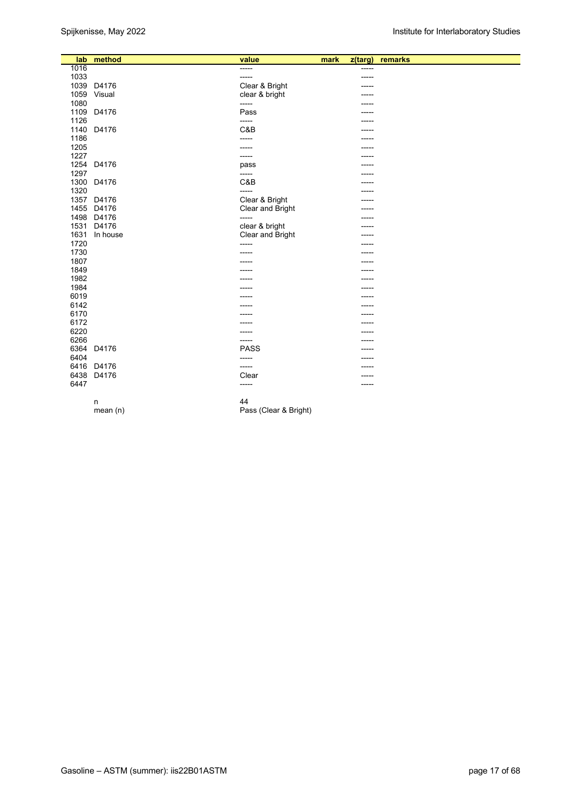| lab  | method     | value                 | mark | $z$ (targ) | remarks |
|------|------------|-----------------------|------|------------|---------|
| 1016 |            | -----                 |      | -----      |         |
| 1033 |            | -----                 |      | -----      |         |
| 1039 | D4176      | Clear & Bright        |      |            |         |
| 1059 | Visual     | clear & bright        |      | -----      |         |
| 1080 |            | -----                 |      |            |         |
| 1109 | D4176      | Pass                  |      |            |         |
| 1126 |            | -----                 |      | -----      |         |
| 1140 | D4176      | C&B                   |      |            |         |
| 1186 |            | -----                 |      | -----      |         |
| 1205 |            | -----                 |      | -----      |         |
| 1227 |            | -----                 |      | ----       |         |
| 1254 | D4176      | pass                  |      | -----      |         |
| 1297 |            | -----                 |      | -----      |         |
| 1300 | D4176      | C&B                   |      | -----      |         |
| 1320 |            | -----                 |      |            |         |
| 1357 | D4176      | Clear & Bright        |      |            |         |
| 1455 | D4176      | Clear and Bright      |      | -----      |         |
| 1498 | D4176      | -----                 |      | -----      |         |
| 1531 | D4176      | clear & bright        |      | -----      |         |
| 1631 | In house   | Clear and Bright      |      | -----      |         |
| 1720 |            | -----                 |      |            |         |
| 1730 |            | -----                 |      |            |         |
| 1807 |            |                       |      |            |         |
| 1849 |            |                       |      | -----      |         |
| 1982 |            |                       |      |            |         |
| 1984 |            |                       |      |            |         |
| 6019 |            | -----                 |      | -----      |         |
| 6142 |            | -----                 |      |            |         |
| 6170 |            |                       |      |            |         |
| 6172 |            |                       |      |            |         |
| 6220 |            | -----                 |      | -----      |         |
| 6266 |            | -----                 |      | -----      |         |
| 6364 | D4176      | <b>PASS</b>           |      | -----      |         |
| 6404 |            | -----                 |      | -----      |         |
| 6416 | D4176      | -----                 |      |            |         |
| 6438 | D4176      | Clear                 |      |            |         |
| 6447 |            | -----                 |      | -----      |         |
|      |            |                       |      |            |         |
|      | n          | 44                    |      |            |         |
|      | mean $(n)$ | Pass (Clear & Bright) |      |            |         |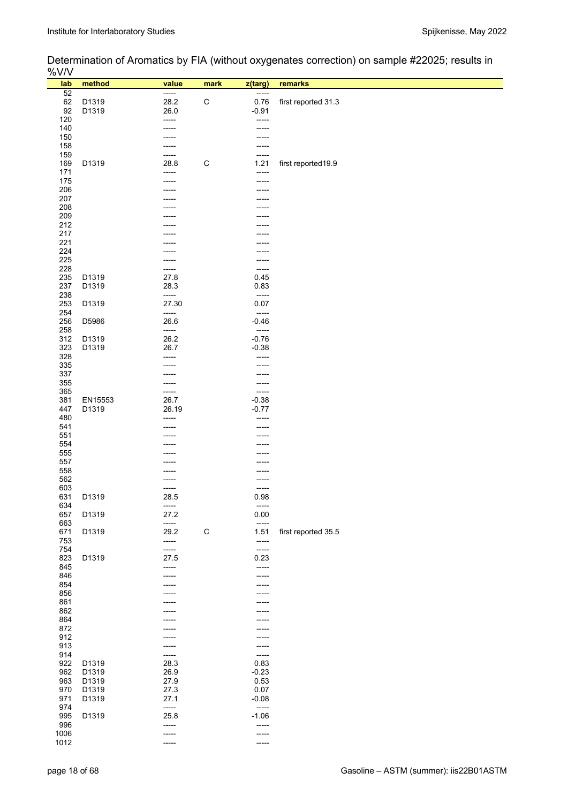# Determination of Aromatics by FIA (without oxygenates correction) on sample #22025; results in

| %V/V       |                |                |             |                                     |                     |
|------------|----------------|----------------|-------------|-------------------------------------|---------------------|
| lab        | method         | value          | mark        | z(targ)                             | remarks             |
| 52<br>62   | D1319          | -----<br>28.2  | $\mathsf C$ | -----<br>0.76                       | first reported 31.3 |
| 92         | D1319          | 26.0           |             | $-0.91$                             |                     |
| 120        |                | -----          |             | -----                               |                     |
| 140<br>150 |                |                |             | -----                               |                     |
| 158        |                |                |             | -----                               |                     |
| 159        |                | -----          |             | -----                               |                     |
| 169<br>171 | D1319          | 28.8           | $\mathsf C$ | 1.21<br>-----                       | first reported19.9  |
| 175        |                | -----<br>----- |             | -----                               |                     |
| 206        |                |                |             |                                     |                     |
| 207<br>208 |                |                |             |                                     |                     |
| 209        |                |                |             | ----                                |                     |
| 212        |                |                |             |                                     |                     |
| 217        |                |                |             |                                     |                     |
| 221<br>224 |                |                |             |                                     |                     |
| 225        |                |                |             | -----                               |                     |
| 228        |                | -----          |             | -----                               |                     |
| 235<br>237 | D1319<br>D1319 | 27.8<br>28.3   |             | 0.45<br>0.83                        |                     |
| 238        |                | -----          |             | $\overline{\phantom{a}}$            |                     |
| 253        | D1319          | 27.30          |             | 0.07                                |                     |
| 254<br>256 | D5986          | -----<br>26.6  |             | $\overline{\phantom{a}}$<br>$-0.46$ |                     |
| 258        |                | -----          |             | $-----$                             |                     |
| 312        | D1319          | 26.2           |             | $-0.76$                             |                     |
| 323<br>328 | D1319          | 26.7           |             | $-0.38$<br>-----                    |                     |
| 335        |                |                |             | -----                               |                     |
| 337        |                |                |             | -----                               |                     |
| 355<br>365 |                | -----<br>----- |             | -----<br>-----                      |                     |
| 381        | EN15553        | 26.7           |             | $-0.38$                             |                     |
| 447        | D1319          | 26.19          |             | $-0.77$                             |                     |
| 480<br>541 |                | -----<br>----- |             | -----<br>-----                      |                     |
| 551        |                |                |             | -----                               |                     |
| 554        |                |                |             |                                     |                     |
| 555<br>557 |                |                |             |                                     |                     |
| 558        |                |                |             |                                     |                     |
| 562        |                |                |             |                                     |                     |
| 603<br>631 | D1319          | 28.5           |             | -----<br>0.98                       |                     |
| 634        |                | -----          |             | $-----$                             |                     |
| 657        | D1319          | 27.2           |             | 0.00                                |                     |
| 663<br>671 | D1319          | -----<br>29.2  | $\mathsf C$ | $-----$<br>1.51                     | first reported 35.5 |
| 753        |                | -----          |             | -----                               |                     |
| 754        |                | -----          |             | $-----$                             |                     |
| 823<br>845 | D1319          | 27.5<br>-----  |             | 0.23<br>-----                       |                     |
| 846        |                | -----          |             | -----                               |                     |
| 854        |                |                |             |                                     |                     |
| 856<br>861 |                |                |             |                                     |                     |
| 862        |                |                |             | ----                                |                     |
| 864        |                |                |             |                                     |                     |
| 872<br>912 |                |                |             |                                     |                     |
| 913        |                |                |             | -----<br>-----                      |                     |
| 914        |                | -----          |             | -----                               |                     |
| 922        | D1319          | 28.3           |             | 0.83                                |                     |
| 962<br>963 | D1319<br>D1319 | 26.9<br>27.9   |             | $-0.23$<br>0.53                     |                     |
| 970        | D1319          | 27.3           |             | 0.07                                |                     |
| 971        | D1319          | 27.1           |             | $-0.08$                             |                     |
| 974<br>995 | D1319          | -----<br>25.8  |             | $-----$<br>$-1.06$                  |                     |
| 996        |                | -----          |             | -----                               |                     |
| 1006       |                | -----          |             | -----                               |                     |
| 1012       |                | -----          |             | -----                               |                     |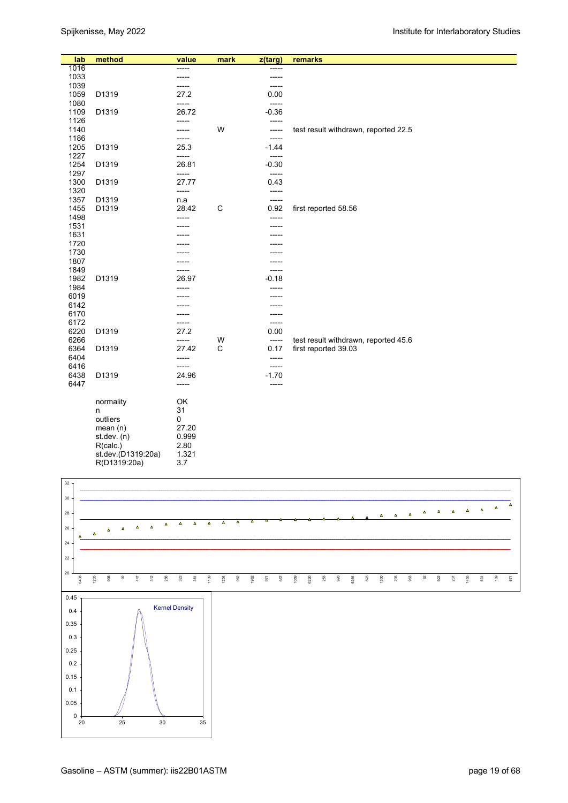| lab          | method                         | value          | mark        | z(targ)          | remarks                              |
|--------------|--------------------------------|----------------|-------------|------------------|--------------------------------------|
| 1016         |                                | -----          |             | -----            |                                      |
| 1033         |                                | -----          |             | -----            |                                      |
| 1039         |                                | -----          |             | -----            |                                      |
| 1059         | D1319                          | 27.2           |             | 0.00             |                                      |
| 1080<br>1109 | D1319                          | -----<br>26.72 |             | -----<br>$-0.36$ |                                      |
| 1126         |                                | -----          |             | -----            |                                      |
| 1140         |                                | -----          | W           | -----            | test result withdrawn, reported 22.5 |
| 1186         |                                | ------         |             | $--- -$          |                                      |
| 1205         | D1319                          | 25.3           |             | $-1.44$          |                                      |
| 1227         |                                | -----          |             | -----            |                                      |
| 1254         | D1319                          | 26.81          |             | $-0.30$          |                                      |
| 1297         |                                | -----          |             | -----            |                                      |
| 1300         | D1319                          | 27.77          |             | 0.43             |                                      |
| 1320<br>1357 | D1319                          | -----          |             | -----<br>$-----$ |                                      |
| 1455         | D1319                          | n.a<br>28.42   | $\mathsf C$ | 0.92             | first reported 58.56                 |
| 1498         |                                | -----          |             | -----            |                                      |
| 1531         |                                |                |             | -----            |                                      |
| 1631         |                                |                |             |                  |                                      |
| 1720         |                                |                |             |                  |                                      |
| 1730         |                                |                |             |                  |                                      |
| 1807         |                                |                |             | -----            |                                      |
| 1849         |                                |                |             | -----            |                                      |
| 1982<br>1984 | D1319                          | 26.97          |             | $-0.18$          |                                      |
| 6019         |                                |                |             |                  |                                      |
| 6142         |                                |                |             |                  |                                      |
| 6170         |                                |                |             | -----            |                                      |
| 6172         |                                | -----          |             | -----            |                                      |
| 6220         | D1319                          | 27.2           |             | 0.00             |                                      |
| 6266         |                                | -----          | W           | -----            | test result withdrawn, reported 45.6 |
| 6364         | D1319                          | 27.42          | C           | 0.17             | first reported 39.03                 |
| 6404         |                                | -----          |             | $-----$          |                                      |
| 6416<br>6438 | D1319                          | -----<br>24.96 |             | -----<br>$-1.70$ |                                      |
| 6447         |                                | -----          |             | -----            |                                      |
|              |                                |                |             |                  |                                      |
|              | normality                      | OK             |             |                  |                                      |
|              | n                              | 31             |             |                  |                                      |
|              | outliers                       | $\pmb{0}$      |             |                  |                                      |
|              | mean(n)                        | 27.20          |             |                  |                                      |
|              | st.dev. $(n)$                  | 0.999          |             |                  |                                      |
|              | R(calc.)<br>st.dev.(D1319:20a) | 2.80<br>1.321  |             |                  |                                      |
|              | R(D1319:20a)                   | 3.7            |             |                  |                                      |
|              |                                |                |             |                  |                                      |

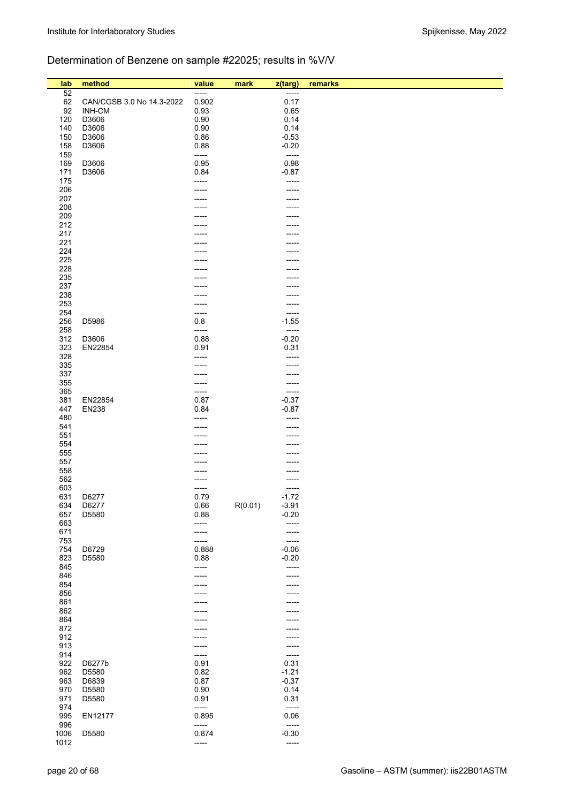# Determination of Benzene on sample #22025; results in %V/V

| lab        | method                    | value | mark    | z(targ)          | remarks |
|------------|---------------------------|-------|---------|------------------|---------|
| 52         |                           | ----- |         | -----            |         |
| 62         | CAN/CGSB 3.0 No 14.3-2022 | 0.902 |         | 0.17             |         |
| 92         | <b>INH-CM</b>             | 0.93  |         | 0.65             |         |
| 120        | D3606                     | 0.90  |         | 0.14             |         |
| 140        | D3606                     | 0.90  |         | 0.14             |         |
| 150        | D3606                     | 0.86  |         | $-0.53$          |         |
| 158        | D3606                     | 0.88  |         | $-0.20$          |         |
| 159        |                           | ----- |         | -----            |         |
| 169        | D3606                     | 0.95  |         | 0.98             |         |
| 171        | D3606                     | 0.84  |         | $-0.87$          |         |
| 175        |                           | ----- |         | -----            |         |
| 206        |                           |       |         |                  |         |
| 207        |                           |       |         |                  |         |
| 208        |                           |       |         |                  |         |
| 209        |                           |       |         |                  |         |
| 212        |                           |       |         |                  |         |
| 217        |                           |       |         |                  |         |
| 221        |                           |       |         |                  |         |
| 224        |                           |       |         |                  |         |
| 225        |                           |       |         |                  |         |
| 228        |                           |       |         |                  |         |
| 235        |                           |       |         |                  |         |
| 237        |                           |       |         |                  |         |
| 238        |                           |       |         |                  |         |
| 253        |                           |       |         |                  |         |
| 254        |                           | ----- |         | -----            |         |
| 256        | D5986                     | 0.8   |         | $-1.55$          |         |
| 258        |                           | ----- |         | -----            |         |
| 312        | D3606                     | 0.88  |         | $-0.20$          |         |
| 323        | EN22854                   | 0.91  |         | 0.31             |         |
| 328        |                           | ----- |         |                  |         |
| 335        |                           |       |         |                  |         |
| 337        |                           |       |         |                  |         |
| 355        |                           | ----- |         |                  |         |
| 365        |                           | ----- |         | -----<br>$-0.37$ |         |
| 381        | EN22854                   | 0.87  |         | $-0.87$          |         |
| 447        | <b>EN238</b>              | 0.84  |         |                  |         |
| 480        |                           |       |         |                  |         |
| 541<br>551 |                           |       |         |                  |         |
| 554        |                           |       |         |                  |         |
| 555        |                           |       |         |                  |         |
| 557        |                           |       |         |                  |         |
| 558        |                           |       |         |                  |         |
| 562        |                           |       |         |                  |         |
| 603        |                           | ----- |         |                  |         |
| 631        | D6277                     | 0.79  |         | $-1.72$          |         |
| 634        | D6277                     | 0.66  | R(0.01) | $-3.91$          |         |
| 657        | D5580                     | 0.88  |         | $-0.20$          |         |
| 663        |                           | ----- |         | -----            |         |
| 671        |                           | ----- |         |                  |         |
| 753        |                           | ----- |         | -----            |         |
| 754        | D6729                     | 0.888 |         | $-0.06$          |         |
| 823        | D5580                     | 0.88  |         | $-0.20$          |         |
| 845        |                           | ----- |         | -----            |         |
| 846        |                           |       |         |                  |         |
| 854        |                           |       |         |                  |         |
| 856        |                           |       |         |                  |         |
| 861        |                           |       |         |                  |         |
| 862        |                           |       |         |                  |         |
| 864        |                           |       |         |                  |         |
| 872        |                           |       |         |                  |         |
| 912        |                           |       |         |                  |         |
| 913        |                           | ----- |         |                  |         |
| 914        |                           | ----- |         | -----            |         |
| 922        | D6277b                    | 0.91  |         | 0.31             |         |
| 962        | D5580                     | 0.82  |         | $-1.21$          |         |
| 963        | D6839                     | 0.87  |         | $-0.37$          |         |
| 970        | D5580                     | 0.90  |         | 0.14             |         |
| 971        | D5580                     | 0.91  |         | 0.31             |         |
| 974        |                           | ----- |         | -----            |         |
| 995        | EN12177                   | 0.895 |         | 0.06             |         |
| 996        |                           | ----- |         | -----            |         |
| 1006       | D5580                     | 0.874 |         | $-0.30$          |         |
| 1012       |                           | ----- |         | -----            |         |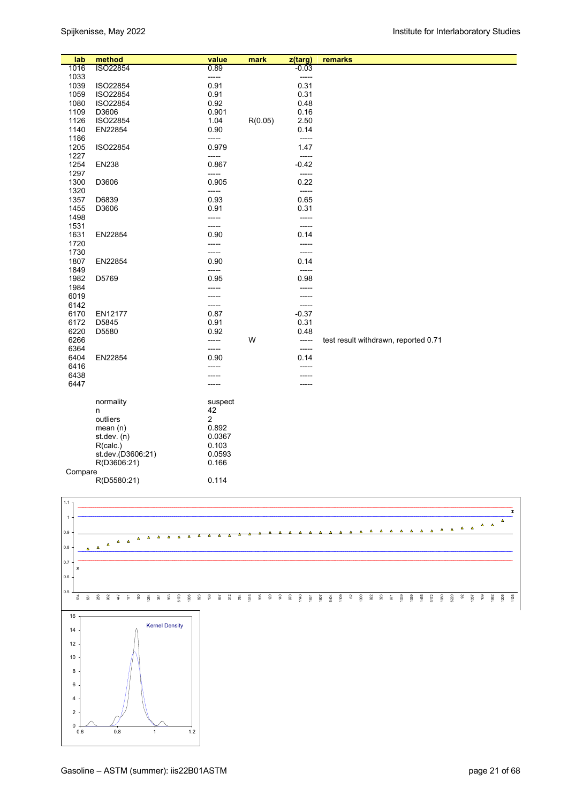| lab     | method            | value                   | mark    | z(targ) | remarks                              |
|---------|-------------------|-------------------------|---------|---------|--------------------------------------|
| 1016    | ISO22854          | 0.89                    |         | $-0.03$ |                                      |
| 1033    |                   | -----                   |         | -----   |                                      |
| 1039    | ISO22854          | 0.91                    |         | 0.31    |                                      |
| 1059    | ISO22854          | 0.91                    |         | 0.31    |                                      |
| 1080    | ISO22854          | 0.92                    |         | 0.48    |                                      |
| 1109    | D3606             | 0.901                   |         | 0.16    |                                      |
| 1126    | ISO22854          | 1.04                    | R(0.05) | 2.50    |                                      |
| 1140    | EN22854           | 0.90                    |         | 0.14    |                                      |
| 1186    |                   | -----                   |         | $-----$ |                                      |
| 1205    | ISO22854          | 0.979                   |         | 1.47    |                                      |
| 1227    |                   | -----                   |         | -----   |                                      |
| 1254    | <b>EN238</b>      | 0.867                   |         | $-0.42$ |                                      |
| 1297    |                   | -----                   |         | -----   |                                      |
| 1300    | D3606             | 0.905                   |         | 0.22    |                                      |
| 1320    |                   | -----                   |         | -----   |                                      |
| 1357    | D6839             | 0.93                    |         | 0.65    |                                      |
| 1455    | D3606             | 0.91                    |         | 0.31    |                                      |
| 1498    |                   | -----                   |         |         |                                      |
| 1531    |                   | -----                   |         | -----   |                                      |
| 1631    | EN22854           | 0.90                    |         | 0.14    |                                      |
| 1720    |                   | -----                   |         | -----   |                                      |
| 1730    |                   | -----                   |         |         |                                      |
| 1807    | EN22854           | 0.90                    |         | 0.14    |                                      |
| 1849    |                   | -----                   |         | -----   |                                      |
| 1982    | D5769             | 0.95                    |         | 0.98    |                                      |
| 1984    |                   | -----                   |         |         |                                      |
| 6019    |                   | -----                   |         | -----   |                                      |
| 6142    |                   | -----                   |         | -----   |                                      |
| 6170    | EN12177           | 0.87                    |         | $-0.37$ |                                      |
| 6172    | D5845             | 0.91                    |         | 0.31    |                                      |
| 6220    | D5580             | 0.92                    |         | 0.48    |                                      |
| 6266    |                   | -----                   | W       | -----   | test result withdrawn, reported 0.71 |
| 6364    |                   | -----                   |         | -----   |                                      |
| 6404    | EN22854           | 0.90                    |         | 0.14    |                                      |
| 6416    |                   |                         |         |         |                                      |
| 6438    |                   |                         |         |         |                                      |
| 6447    |                   | -----                   |         |         |                                      |
|         | normality         | suspect                 |         |         |                                      |
|         | n                 | 42                      |         |         |                                      |
|         | outliers          | $\overline{\mathbf{c}}$ |         |         |                                      |
|         | mean $(n)$        | 0.892                   |         |         |                                      |
|         | st.dev. (n)       | 0.0367                  |         |         |                                      |
|         | R(calc.)          | 0.103                   |         |         |                                      |
|         | st.dev.(D3606:21) | 0.0593                  |         |         |                                      |
|         | R(D3606:21)       | 0.166                   |         |         |                                      |
| Compare |                   |                         |         |         |                                      |
|         | R(D5580:21)       | 0.114                   |         |         |                                      |

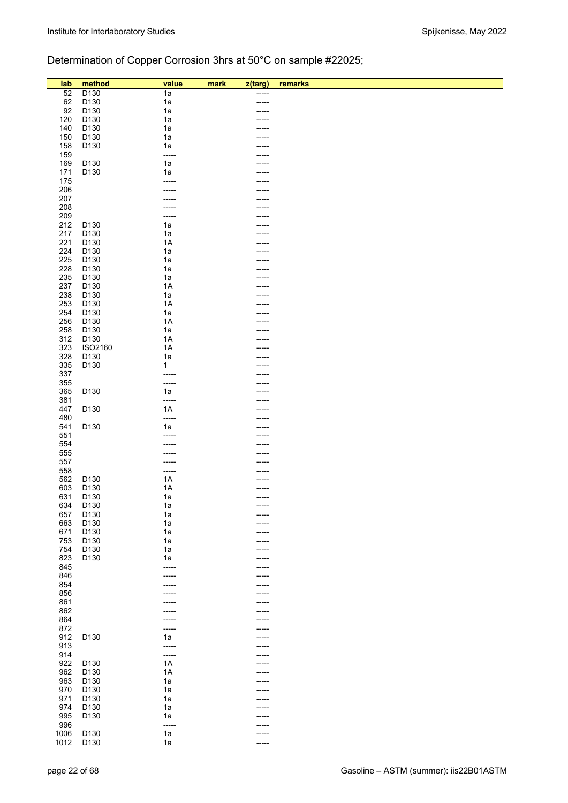# Determination of Copper Corrosion 3hrs at 50°C on sample #22025;

| lab  | method           | value | mark | z(targ) | remarks |
|------|------------------|-------|------|---------|---------|
|      |                  |       |      |         |         |
| 52   | D130             | 1a    |      | -----   |         |
| 62   | D130             | 1a    |      | -----   |         |
| 92   | D130             | 1a    |      |         |         |
| 120  | D130             | 1a    |      |         |         |
| 140  | D130             | 1a    |      |         |         |
| 150  | D130             | 1a    |      |         |         |
| 158  | D130             | 1a    |      |         |         |
| 159  |                  | ----- |      |         |         |
| 169  | D130             | 1a    |      |         |         |
| 171  | D <sub>130</sub> | 1a    |      |         |         |
| 175  |                  |       |      |         |         |
| 206  |                  |       |      |         |         |
| 207  |                  |       |      |         |         |
|      |                  |       |      |         |         |
| 208  |                  |       |      |         |         |
| 209  |                  |       |      |         |         |
| 212  | D130             | 1a    |      |         |         |
| 217  | D130             | 1a    |      |         |         |
| 221  | D130             | 1A    |      |         |         |
| 224  | D130             | 1a    |      |         |         |
| 225  | D130             | 1a    |      |         |         |
| 228  | D130             | 1a    |      |         |         |
| 235  | D130             | 1a    |      |         |         |
| 237  | D130             | 1A    |      |         |         |
| 238  | D130             | 1a    |      |         |         |
| 253  |                  | 1A    |      |         |         |
|      | D130             |       |      |         |         |
| 254  | D130             | 1a    |      |         |         |
| 256  | D130             | 1A    |      |         |         |
| 258  | D130             | 1a    |      |         |         |
| 312  | D130             | 1A    |      |         |         |
| 323  | ISO2160          | 1A    |      |         |         |
| 328  | D130             | 1a    |      |         |         |
| 335  | D130             | 1     |      |         |         |
| 337  |                  | ----- |      |         |         |
| 355  |                  | ----- |      |         |         |
| 365  | D <sub>130</sub> | 1a    |      |         |         |
| 381  |                  | ----- |      |         |         |
| 447  | D130             | 1A    |      |         |         |
| 480  |                  | ----- |      |         |         |
| 541  | D130             | 1a    |      |         |         |
|      |                  |       |      |         |         |
| 551  |                  |       |      |         |         |
| 554  |                  |       |      |         |         |
| 555  |                  |       |      |         |         |
| 557  |                  |       |      |         |         |
| 558  |                  | ----- |      |         |         |
| 562  | D130             | 1A    |      |         |         |
| 603  | D130             | 1A    |      |         |         |
| 631  | D130             | 1a    |      | -----   |         |
| 634  | D130             | 1a    |      |         |         |
| 657  | D130             | 1a    |      |         |         |
| 663  | D130             | 1a    |      |         |         |
| 671  | D130             | 1a    |      |         |         |
| 753  | D130             | 1a    |      |         |         |
| 754  | D130             | 1a    |      |         |         |
| 823  | D130             | 1a    |      | -----   |         |
|      |                  |       |      |         |         |
| 845  |                  | ----- |      |         |         |
| 846  |                  |       |      |         |         |
| 854  |                  |       |      |         |         |
| 856  |                  |       |      |         |         |
| 861  |                  |       |      | ----    |         |
| 862  |                  |       |      |         |         |
| 864  |                  |       |      | ----    |         |
| 872  |                  | ----- |      |         |         |
| 912  | D130             | 1a    |      |         |         |
| 913  |                  | ----- |      |         |         |
| 914  |                  | ----- |      |         |         |
| 922  | D130             | 1A    |      |         |         |
| 962  | D <sub>130</sub> | 1A    |      |         |         |
| 963  | D130             | 1a    |      |         |         |
|      |                  |       |      | -----   |         |
| 970  | D <sub>130</sub> | 1a    |      |         |         |
| 971  | D130             | 1a    |      |         |         |
| 974  | D130             | 1a    |      |         |         |
| 995  | D130             | 1a    |      | ----    |         |
| 996  |                  | ----- |      |         |         |
| 1006 | D130             | 1a    |      | ----    |         |
| 1012 | D130             | 1a    |      | -----   |         |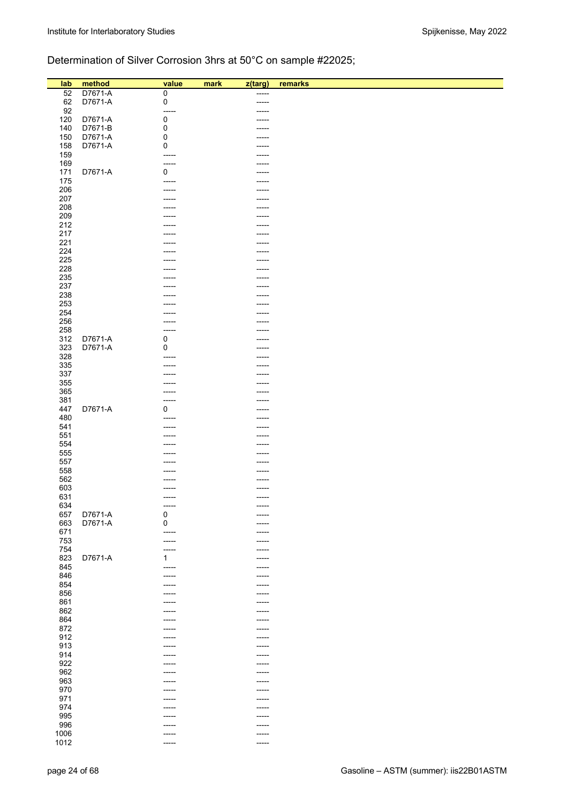# Determination of Silver Corrosion 3hrs at 50°C on sample #22025;

| lab  | method  | value       | mark<br>z(targ) | remarks |
|------|---------|-------------|-----------------|---------|
|      |         |             |                 |         |
| 52   | D7671-A | $\mathbf 0$ | -----           |         |
| 62   | D7671-A | $\pmb{0}$   | -----           |         |
| 92   |         | -----       | ----            |         |
| 120  | D7671-A | 0           |                 |         |
| 140  | D7671-B | $\pmb{0}$   | -----           |         |
| 150  | D7671-A | 0           |                 |         |
| 158  | D7671-A | 0           | -----           |         |
|      |         |             |                 |         |
| 159  |         | -----       | -----           |         |
| 169  |         | -----       |                 |         |
| 171  | D7671-A | 0           |                 |         |
| 175  |         | -----       |                 |         |
| 206  |         |             | ----            |         |
| 207  |         |             |                 |         |
| 208  |         |             |                 |         |
|      |         |             | -----           |         |
| 209  |         |             |                 |         |
| 212  |         |             |                 |         |
| 217  |         |             |                 |         |
| 221  |         |             | ----            |         |
| 224  |         |             | -----           |         |
| 225  |         |             | ----            |         |
| 228  |         |             |                 |         |
|      |         |             |                 |         |
| 235  |         |             | -----           |         |
| 237  |         |             | -----           |         |
| 238  |         |             |                 |         |
| 253  |         |             | ----            |         |
| 254  |         |             |                 |         |
| 256  |         |             | ----            |         |
| 258  |         |             |                 |         |
|      |         |             |                 |         |
| 312  | D7671-A | 0           | -----           |         |
| 323  | D7671-A | 0           |                 |         |
| 328  |         |             |                 |         |
| 335  |         |             |                 |         |
| 337  |         |             | ----            |         |
| 355  |         |             |                 |         |
|      |         |             |                 |         |
| 365  |         |             | -----           |         |
| 381  |         |             |                 |         |
| 447  | D7671-A | 0           | -----           |         |
| 480  |         |             |                 |         |
| 541  |         |             |                 |         |
| 551  |         |             | -----           |         |
| 554  |         |             | ----            |         |
|      |         |             |                 |         |
| 555  |         |             | ----            |         |
| 557  |         |             |                 |         |
| 558  |         |             |                 |         |
| 562  |         |             |                 |         |
| 603  |         |             |                 |         |
| 631  |         |             | -----           |         |
| 634  |         | -----       | -----           |         |
|      | D7671-A | $\pmb{0}$   |                 |         |
| 657  |         |             | -----           |         |
| 663  | D7671-A | $\mathbf 0$ | -----           |         |
| 671  |         | -----       | -----           |         |
| 753  |         | ------      | -----           |         |
| 754  |         | -----       | -----           |         |
| 823  | D7671-A | 1           | -----           |         |
| 845  |         | -----       | -----           |         |
| 846  |         | -----       | -----           |         |
|      |         |             |                 |         |
| 854  |         | -----       | -----           |         |
| 856  |         |             | -----           |         |
| 861  |         |             | -----           |         |
| 862  |         |             | -----           |         |
| 864  |         |             | -----           |         |
| 872  |         |             |                 |         |
| 912  |         | ----        | -----           |         |
|      |         |             |                 |         |
| 913  |         |             | -----           |         |
| 914  |         |             | -----           |         |
| 922  |         |             | -----           |         |
| 962  |         | -----       | -----           |         |
| 963  |         |             | -----           |         |
| 970  |         |             | -----           |         |
| 971  |         |             |                 |         |
|      |         |             | -----           |         |
| 974  |         |             | -----           |         |
| 995  |         |             | -----           |         |
| 996  |         |             | -----           |         |
| 1006 |         | -----       | -----           |         |
| 1012 |         | -----       | -----           |         |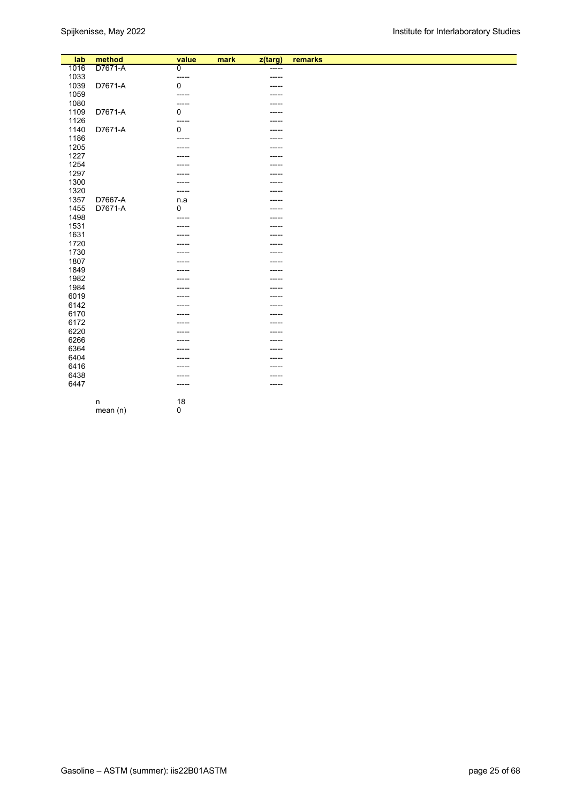| lab  | method  | value          | mark | z(targ) | remarks |
|------|---------|----------------|------|---------|---------|
| 1016 | D7671-A | $\overline{0}$ |      | -----   |         |
| 1033 |         | -----          |      | -----   |         |
| 1039 | D7671-A | $\mathbf 0$    |      |         |         |
| 1059 |         | -----          |      |         |         |
| 1080 |         | -----          |      |         |         |
| 1109 | D7671-A | 0              |      |         |         |
| 1126 |         | -----          |      |         |         |
| 1140 | D7671-A | $\mathbf 0$    |      |         |         |
| 1186 |         | -----          |      | -----   |         |
| 1205 |         |                |      |         |         |
| 1227 |         |                |      | -----   |         |
| 1254 |         |                |      | -----   |         |
| 1297 |         |                |      |         |         |
| 1300 |         |                |      |         |         |
| 1320 |         | -----          |      |         |         |
| 1357 | D7667-A | n.a            |      | -----   |         |
| 1455 | D7671-A | $\mathbf 0$    |      | -----   |         |
| 1498 |         | -----          |      | ----    |         |
| 1531 |         |                |      |         |         |
| 1631 |         |                |      |         |         |
| 1720 |         |                |      | -----   |         |
| 1730 |         |                |      |         |         |
| 1807 |         |                |      |         |         |
| 1849 |         |                |      |         |         |
| 1982 |         |                |      |         |         |
| 1984 |         |                |      | ----    |         |
| 6019 |         |                |      |         |         |
| 6142 |         |                |      | -----   |         |
| 6170 |         |                |      | -----   |         |
| 6172 |         |                |      | -----   |         |
| 6220 |         |                |      |         |         |
| 6266 |         |                |      |         |         |
| 6364 |         |                |      | -----   |         |
| 6404 |         |                |      |         |         |
| 6416 |         |                |      | -----   |         |
| 6438 |         |                |      | -----   |         |
| 6447 |         | -----          |      | ------  |         |
|      |         |                |      |         |         |
|      | n       | 18             |      |         |         |
|      | mean(n) | $\pmb{0}$      |      |         |         |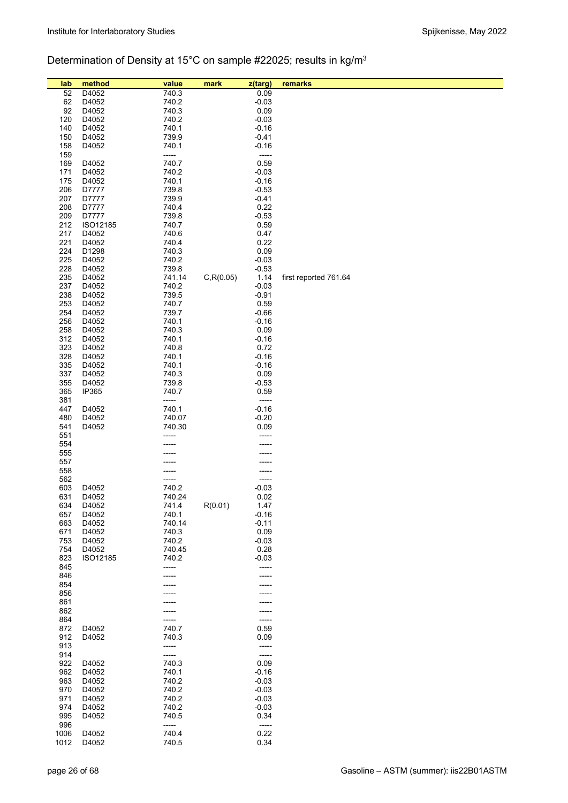# Determination of Density at 15°C on sample #22025; results in kg/m3

| lab        | method         | value           | mark       | z(targ)         | remarks               |
|------------|----------------|-----------------|------------|-----------------|-----------------------|
| 52         | D4052          | 740.3           |            | 0.09            |                       |
| 62         | D4052          | 740.2           |            | $-0.03$         |                       |
| 92         | D4052          | 740.3           |            | 0.09            |                       |
| 120        | D4052          | 740.2           |            | $-0.03$         |                       |
| 140        | D4052          | 740.1           |            | $-0.16$         |                       |
| 150        | D4052          | 739.9           |            | $-0.41$         |                       |
| 158        | D4052          | 740.1           |            | $-0.16$         |                       |
| 159        |                | -----           |            | -----           |                       |
| 169        | D4052          | 740.7           |            | 0.59            |                       |
| 171        | D4052          | 740.2           |            | $-0.03$         |                       |
| 175        | D4052          | 740.1           |            | $-0.16$         |                       |
| 206        | D7777          | 739.8           |            | $-0.53$         |                       |
| 207        | D7777          | 739.9           |            | $-0.41$         |                       |
| 208        | D7777          | 740.4           |            | 0.22            |                       |
| 209        | D7777          | 739.8           |            | $-0.53$         |                       |
| 212        | ISO12185       | 740.7           |            | 0.59<br>0.47    |                       |
| 217<br>221 | D4052<br>D4052 | 740.6<br>740.4  |            | 0.22            |                       |
| 224        | D1298          | 740.3           |            | 0.09            |                       |
| 225        | D4052          | 740.2           |            | $-0.03$         |                       |
| 228        | D4052          | 739.8           |            | $-0.53$         |                       |
| 235        | D4052          | 741.14          | C, R(0.05) | 1.14            | first reported 761.64 |
| 237        | D4052          | 740.2           |            | $-0.03$         |                       |
| 238        | D4052          | 739.5           |            | $-0.91$         |                       |
| 253        | D4052          | 740.7           |            | 0.59            |                       |
| 254        | D4052          | 739.7           |            | $-0.66$         |                       |
| 256        | D4052          | 740.1           |            | $-0.16$         |                       |
| 258        | D4052          | 740.3           |            | 0.09            |                       |
| 312        | D4052          | 740.1           |            | $-0.16$         |                       |
| 323        | D4052          | 740.8           |            | 0.72            |                       |
| 328        | D4052          | 740.1           |            | $-0.16$         |                       |
| 335        | D4052          | 740.1           |            | $-0.16$         |                       |
| 337<br>355 | D4052<br>D4052 | 740.3<br>739.8  |            | 0.09<br>$-0.53$ |                       |
| 365        | IP365          | 740.7           |            | 0.59            |                       |
| 381        |                | -----           |            | -----           |                       |
| 447        | D4052          | 740.1           |            | $-0.16$         |                       |
| 480        | D4052          | 740.07          |            | $-0.20$         |                       |
| 541        | D4052          | 740.30          |            | 0.09            |                       |
| 551        |                |                 |            | -----           |                       |
| 554        |                |                 |            |                 |                       |
| 555        |                |                 |            |                 |                       |
| 557        |                |                 |            |                 |                       |
| 558        |                |                 |            |                 |                       |
| 562        |                |                 |            | -----           |                       |
| 603<br>631 | D4052<br>D4052 | 740.2<br>740.24 |            | $-0.03$<br>0.02 |                       |
| 634        | D4052          | 741.4           | R(0.01)    | 1.47            |                       |
| 657        | D4052          | 740.1           |            | $-0.16$         |                       |
| 663        | D4052          | 740.14          |            | $-0.11$         |                       |
| 671        | D4052          | 740.3           |            | 0.09            |                       |
| 753        | D4052          | 740.2           |            | $-0.03$         |                       |
| 754        | D4052          | 740.45          |            | 0.28            |                       |
| 823        | ISO12185       | 740.2           |            | $-0.03$         |                       |
| 845        |                | -----           |            | -----           |                       |
| 846        |                |                 |            |                 |                       |
| 854        |                |                 |            |                 |                       |
| 856        |                |                 |            |                 |                       |
| 861<br>862 |                |                 |            |                 |                       |
| 864        |                |                 |            | -----           |                       |
| 872        | D4052          | 740.7           |            | 0.59            |                       |
| 912        | D4052          | 740.3           |            | 0.09            |                       |
| 913        |                | -----           |            | -----           |                       |
| 914        |                | -----           |            | -----           |                       |
| 922        | D4052          | 740.3           |            | 0.09            |                       |
| 962        | D4052          | 740.1           |            | $-0.16$         |                       |
| 963        | D4052          | 740.2           |            | $-0.03$         |                       |
| 970        | D4052          | 740.2           |            | $-0.03$         |                       |
| 971        | D4052          | 740.2           |            | $-0.03$         |                       |
| 974<br>995 | D4052<br>D4052 | 740.2<br>740.5  |            | $-0.03$<br>0.34 |                       |
| 996        |                | -----           |            | -----           |                       |
| 1006       | D4052          | 740.4           |            | 0.22            |                       |
| 1012       | D4052          | 740.5           |            | 0.34            |                       |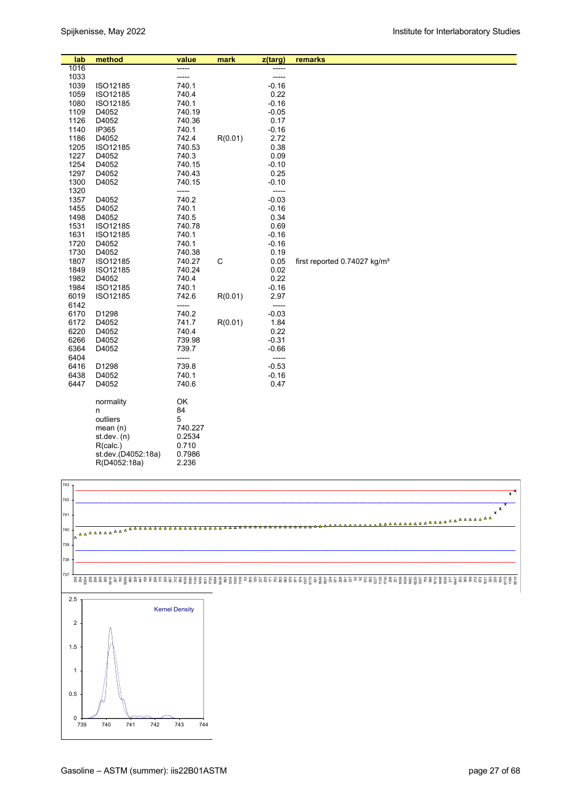| lab  | method             | value   | mark        | z(targ) | remarks                                  |
|------|--------------------|---------|-------------|---------|------------------------------------------|
| 1016 |                    |         |             |         |                                          |
| 1033 |                    |         |             | -----   |                                          |
| 1039 | ISO12185           | 740.1   |             | $-0.16$ |                                          |
| 1059 | ISO12185           | 740.4   |             | 0.22    |                                          |
| 1080 | ISO12185           | 740.1   |             | $-0.16$ |                                          |
| 1109 | D4052              | 740.19  |             | $-0.05$ |                                          |
| 1126 | D4052              | 740.36  |             | 0.17    |                                          |
| 1140 | IP365              | 740.1   |             | $-0.16$ |                                          |
| 1186 | D4052              | 742.4   | R(0.01)     | 2.72    |                                          |
| 1205 | ISO12185           | 740.53  |             | 0.38    |                                          |
| 1227 | D4052              | 740.3   |             | 0.09    |                                          |
| 1254 | D4052              | 740.15  |             | $-0.10$ |                                          |
| 1297 | D4052              | 740.43  |             | 0.25    |                                          |
| 1300 | D4052              | 740.15  |             | $-0.10$ |                                          |
| 1320 |                    | -----   |             | -----   |                                          |
| 1357 | D4052              | 740.2   |             | $-0.03$ |                                          |
| 1455 | D4052              | 740.1   |             | $-0.16$ |                                          |
| 1498 | D4052              | 740.5   |             | 0.34    |                                          |
| 1531 | ISO12185           | 740.78  |             | 0.69    |                                          |
| 1631 | ISO12185           | 740.1   |             | $-0.16$ |                                          |
| 1720 | D4052              | 740.1   |             | $-0.16$ |                                          |
| 1730 | D4052              | 740.38  |             | 0.19    |                                          |
| 1807 | ISO12185           | 740.27  | $\mathsf C$ | 0.05    | first reported 0.74027 kg/m <sup>3</sup> |
| 1849 | ISO12185           | 740.24  |             | 0.02    |                                          |
| 1982 | D4052              | 740.4   |             | 0.22    |                                          |
| 1984 | ISO12185           | 740.1   |             | $-0.16$ |                                          |
| 6019 | ISO12185           | 742.6   | R(0.01)     | 2.97    |                                          |
| 6142 |                    | -----   |             | -----   |                                          |
| 6170 | D1298              | 740.2   |             | $-0.03$ |                                          |
| 6172 | D4052              | 741.7   | R(0.01)     | 1.84    |                                          |
| 6220 | D4052              | 740.4   |             | 0.22    |                                          |
| 6266 | D4052              | 739.98  |             | $-0.31$ |                                          |
| 6364 | D4052              | 739.7   |             | $-0.66$ |                                          |
| 6404 |                    | -----   |             | -----   |                                          |
| 6416 | D1298              | 739.8   |             | $-0.53$ |                                          |
| 6438 | D4052              | 740.1   |             | $-0.16$ |                                          |
| 6447 | D4052              | 740.6   |             | 0.47    |                                          |
|      | normality          | OK      |             |         |                                          |
|      | n                  | 84      |             |         |                                          |
|      | outliers           | 5       |             |         |                                          |
|      | mean $(n)$         | 740.227 |             |         |                                          |
|      | st.dev. $(n)$      | 0.2534  |             |         |                                          |
|      | R(calc.)           | 0.710   |             |         |                                          |
|      | st.dev.(D4052:18a) | 0.7986  |             |         |                                          |
|      | R(D4052:18a)       | 2.236   |             |         |                                          |
|      |                    |         |             |         |                                          |

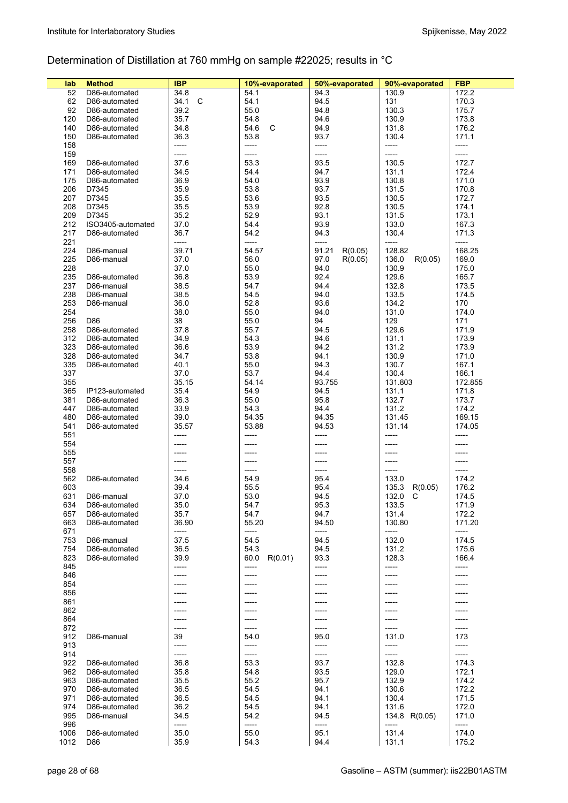# Determination of Distillation at 760 mmHg on sample #22025; results in °C

| lab  | <b>Method</b>     | <b>IBP</b> | 10%-evaporated  | 50%-evaporated   | 90%-evaporated   | <b>FBP</b> |
|------|-------------------|------------|-----------------|------------------|------------------|------------|
| 52   | D86-automated     | 34.8       | 54.1            | 94.3             | 130.9            | 172.2      |
| 62   | D86-automated     | 34.1<br>C  | 54.1            | 94.5             | 131              | 170.3      |
| 92   | D86-automated     | 39.2       | 55.0            | 94.8             | 130.3            | 175.7      |
| 120  | D86-automated     | 35.7       | 54.8            | 94.6             | 130.9            | 173.8      |
| 140  | D86-automated     | 34.8       | C<br>54.6       | 94.9             | 131.8            | 176.2      |
| 150  |                   | 36.3       | 53.8            |                  | 130.4            |            |
|      | D86-automated     |            |                 | 93.7             |                  | 171.1      |
| 158  |                   | -----      | -----           | -----            | -----            | -----      |
| 159  |                   | -----      | -----           | -----            | -----            | -----      |
| 169  | D86-automated     | 37.6       | 53.3            | 93.5             | 130.5            | 172.7      |
| 171  | D86-automated     | 34.5       | 54.4            | 94.7             | 131.1            | 172.4      |
| 175  | D86-automated     | 36.9       | 54.0            | 93.9             | 130.8            | 171.0      |
| 206  | D7345             | 35.9       | 53.8            | 93.7             | 131.5            | 170.8      |
| 207  | D7345             | 35.5       | 53.6            | 93.5             | 130.5            | 172.7      |
| 208  | D7345             | 35.5       | 53.9            | 92.8             | 130.5            | 174.1      |
| 209  | D7345             | 35.2       | 52.9            | 93.1             | 131.5            | 173.1      |
| 212  | ISO3405-automated | 37.0       | 54.4            | 93.9             | 133.0            | 167.3      |
| 217  | D86-automated     | 36.7       | 54.2            | 94.3             | 130.4            | 171.3      |
| 221  |                   | -----      | -----           | -----            | -----            | -----      |
| 224  | D86-manual        | 39.71      | 54.57           | 91.21<br>R(0.05) | 128.82           | 168.25     |
| 225  | D86-manual        | 37.0       | 56.0            | 97.0<br>R(0.05)  | 136.0<br>R(0.05) | 169.0      |
| 228  |                   | 37.0       | 55.0            | 94.0             | 130.9            | 175.0      |
| 235  | D86-automated     | 36.8       | 53.9            | 92.4             | 129.6            | 165.7      |
| 237  | D86-manual        | 38.5       | 54.7            | 94.4             | 132.8            | 173.5      |
|      |                   |            |                 |                  |                  |            |
| 238  | D86-manual        | 38.5       | 54.5            | 94.0             | 133.5            | 174.5      |
| 253  | D86-manual        | 36.0       | 52.8            | 93.6             | 134.2            | 170        |
| 254  |                   | 38.0       | 55.0            | 94.0             | 131.0            | 174.0      |
| 256  | D86               | 38         | 55.0            | 94               | 129              | 171        |
| 258  | D86-automated     | 37.8       | 55.7            | 94.5             | 129.6            | 171.9      |
| 312  | D86-automated     | 34.9       | 54.3            | 94.6             | 131.1            | 173.9      |
| 323  | D86-automated     | 36.6       | 53.9            | 94.2             | 131.2            | 173.9      |
| 328  | D86-automated     | 34.7       | 53.8            | 94.1             | 130.9            | 171.0      |
| 335  | D86-automated     | 40.1       | 55.0            | 94.3             | 130.7            | 167.1      |
| 337  |                   | 37.0       | 53.7            | 94.4             | 130.4            | 166.1      |
| 355  |                   | 35.15      | 54.14           | 93.755           | 131.803          | 172.855    |
| 365  | IP123-automated   | 35.4       | 54.9            | 94.5             | 131.1            | 171.8      |
| 381  | D86-automated     | 36.3       | 55.0            | 95.8             | 132.7            | 173.7      |
| 447  | D86-automated     | 33.9       | 54.3            | 94.4             | 131.2            | 174.2      |
| 480  | D86-automated     | 39.0       | 54.35           | 94.35            | 131.45           | 169.15     |
| 541  | D86-automated     | 35.57      | 53.88           | 94.53            | 131.14           | 174.05     |
| 551  |                   | -----      | -----           | -----            | -----            | -----      |
| 554  |                   |            |                 |                  | -----            |            |
| 555  |                   | -----      |                 |                  | -----            |            |
|      |                   |            |                 |                  |                  |            |
| 557  |                   | -----      | ------          | -----            | -----            | -----      |
| 558  |                   | -----      | -----           | -----            | -----            |            |
| 562  | D86-automated     | 34.6       | 54.9            | 95.4             | 133.0            | 174.2      |
| 603  |                   | 39.4       | 55.5            | 95.4             | 135.3<br>R(0.05) | 176.2      |
| 631  | D86-manual        | 37.0       | 53.0            | 94.5             | 132.0<br>C       | 174.5      |
| 634  | D86-automated     | 35.O       | 54.7            | 95.3             | 133.5            | 171.9      |
| 657  | D86-automated     | 35.7       | 54.7            | 94.7             | 131.4            | 172.2      |
| 663  | D86-automated     | 36.90      | 55.20           | 94.50            | 130.80           | 171.20     |
| 671  |                   | -----      | -----           | -----            | -----            | -----      |
| 753  | D86-manual        | 37.5       | 54.5            | 94.5             | 132.0            | 174.5      |
| 754  | D86-automated     | 36.5       | 54.3            | 94.5             | 131.2            | 175.6      |
| 823  | D86-automated     | 39.9       | R(0.01)<br>60.0 | 93.3             | 128.3            | 166.4      |
| 845  |                   | -----      | -----           | -----            | -----            | -----      |
| 846  |                   | -----      | -----           | -----            | -----            |            |
| 854  |                   | -----      |                 |                  | -----            |            |
| 856  |                   | -----      | -----           | -----            | -----            |            |
| 861  |                   | -----      |                 |                  | -----            |            |
| 862  |                   | -----      | -----           | $---$            | -----            |            |
| 864  |                   | -----      | -----           | -----            | -----            |            |
| 872  |                   | -----      | -----           | -----            | -----            | -----      |
| 912  | D86-manual        | 39         | 54.0            | 95.0             | 131.0            | 173        |
| 913  |                   | -----      | -----           | -----            | -----            | -----      |
|      |                   |            |                 |                  |                  |            |
| 914  |                   | -----      | -----           | -----            | -----            | -----      |
| 922  | D86-automated     | 36.8       | 53.3            | 93.7             | 132.8            | 174.3      |
| 962  | D86-automated     | 35.8       | 54.8            | 93.5             | 129.0            | 172.1      |
| 963  | D86-automated     | 35.5       | 55.2            | 95.7             | 132.9            | 174.2      |
| 970  | D86-automated     | 36.5       | 54.5            | 94.1             | 130.6            | 172.2      |
| 971  | D86-automated     | 36.5       | 54.5            | 94.1             | 130.4            | 171.5      |
| 974  | D86-automated     | 36.2       | 54.5            | 94.1             | 131.6            | 172.0      |
| 995  | D86-manual        | 34.5       | 54.2            | 94.5             | 134.8 R(0.05)    | 171.0      |
| 996  |                   | -----      | -----           | -----            | -----            | -----      |
| 1006 | D86-automated     | 35.0       | 55.0            | 95.1             | 131.4            | 174.0      |
| 1012 | D86               | 35.9       | 54.3            | 94.4             | 131.1            | 175.2      |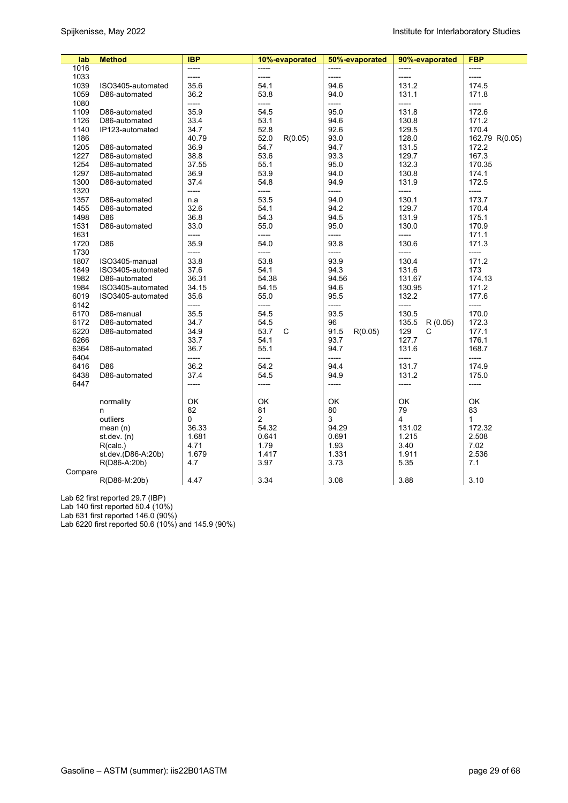| lab     | <b>Method</b>      | <b>IBP</b> | 10%-evaporated  | 50%-evaporated  | 90%-evaporated   | <b>FBP</b>     |
|---------|--------------------|------------|-----------------|-----------------|------------------|----------------|
| 1016    |                    | -----      |                 |                 | -----            | -----          |
| 1033    |                    | -----      | $-----$         | -----           | -----            | -----          |
| 1039    | ISO3405-automated  | 35.6       | 54.1            | 94.6            | 131.2            | 174.5          |
| 1059    | D86-automated      | 36.2       | 53.8            | 94.0            | 131.1            | 171.8          |
| 1080    |                    | -----      | -----           | -----           | -----            | -----          |
| 1109    | D86-automated      | 35.9       | 54.5            | 95.0            | 131.8            | 172.6          |
| 1126    | D86-automated      | 33.4       | 53.1            | 94.6            | 130.8            | 171.2          |
| 1140    | IP123-automated    | 34.7       | 52.8            | 92.6            | 129.5            | 170.4          |
| 1186    |                    | 40.79      | 52.0<br>R(0.05) | 93.0            | 128.0            | 162.79 R(0.05) |
| 1205    | D86-automated      | 36.9       | 54.7            | 94.7            | 131.5            | 172.2          |
| 1227    | D86-automated      | 38.8       | 53.6            | 93.3            | 129.7            | 167.3          |
| 1254    | D86-automated      | 37.55      | 55.1            | 95.0            | 132.3            | 170.35         |
| 1297    | D86-automated      | 36.9       | 53.9            | 94.0            | 130.8            | 174.1          |
| 1300    | D86-automated      | 37.4       | 54.8            | 94.9            | 131.9            | 172.5          |
| 1320    |                    | -----      | -----           | -----           | -----            | -----          |
| 1357    | D86-automated      | n.a        | 53.5            | 94.0            | 130.1            | 173.7          |
| 1455    | D86-automated      | 32.6       | 54.1            | 94.2            | 129.7            | 170.4          |
| 1498    | D86                | 36.8       | 54.3            | 94.5            | 131.9            | 175.1          |
| 1531    | D86-automated      | 33.0       | 55.0            | 95.0            | 130.0            | 170.9          |
| 1631    |                    | -----      | -----           | -----           | -----            | 171.1          |
| 1720    | D86                | 35.9       | 54.0            | 93.8            | 130.6            | 171.3          |
| 1730    |                    | -----      | -----           | -----           | -----            | $-----$        |
| 1807    | ISO3405-manual     | 33.8       | 53.8            | 93.9            | 130.4            | 171.2          |
| 1849    | ISO3405-automated  | 37.6       | 54.1            | 94.3            | 131.6            | 173            |
| 1982    | D86-automated      | 36.31      | 54.38           | 94.56           | 131.67           | 174.13         |
| 1984    | ISO3405-automated  | 34.15      | 54.15           | 94.6            | 130.95           | 171.2          |
| 6019    | ISO3405-automated  | 35.6       | 55.0            | 95.5            | 132.2            | 177.6          |
| 6142    |                    | -----      | -----           | -----           | -----            | -----          |
| 6170    | D86-manual         | 35.5       | 54.5            | 93.5            | 130.5            | 170.0          |
| 6172    | D86-automated      | 34.7       | 54.5            | 96              | 135.5<br>R(0.05) | 172.3          |
| 6220    | D86-automated      | 34.9       | 53.7<br>C       | 91.5<br>R(0.05) | 129<br>C         | 177.1          |
| 6266    |                    | 33.7       | 54.1            | 93.7            | 127.7            | 176.1          |
| 6364    | D86-automated      | 36.7       | 55.1            | 94.7            | 131.6            | 168.7          |
| 6404    |                    | -----      | -----           | -----           | -----            | -----          |
| 6416    | D86                | 36.2       | 54.2            | 94.4            | 131.7            | 174.9          |
| 6438    | D86-automated      | 37.4       | 54.5            | 94.9            | 131.2            | 175.0          |
| 6447    |                    | -----      | -----           | -----           | $-----$          | -----          |
|         |                    |            |                 |                 |                  |                |
|         | normality          | OK         | OK              | OK              | OK               | <b>OK</b>      |
|         | n                  | 82         | 81              | 80              | 79               | 83             |
|         | outliers           | 0          | 2               | 3               | 4                | $\mathbf{1}$   |
|         | mean $(n)$         | 36.33      | 54.32           | 94.29           | 131.02           | 172.32         |
|         | st.dev. (n)        | 1.681      | 0.641           | 0.691           | 1.215            | 2.508          |
|         | R(calc.)           | 4.71       | 1.79            | 1.93            | 3.40             | 7.02           |
|         | st.dev.(D86-A:20b) | 1.679      | 1.417           | 1.331           | 1.911            | 2.536          |
|         | R(D86-A:20b)       | 4.7        | 3.97            | 3.73            | 5.35             | 7.1            |
| Compare |                    |            |                 |                 |                  |                |
|         | R(D86-M:20b)       | 4.47       | 3.34            | 3.08            | 3.88             | 3.10           |
|         |                    |            |                 |                 |                  |                |

Lab 62 first reported 29.7 (IBP)

Lab 140 first reported 50.4 (10%)

Lab 631 first reported 146.0 (90%)

Lab 6220 first reported 50.6 (10%) and 145.9 (90%)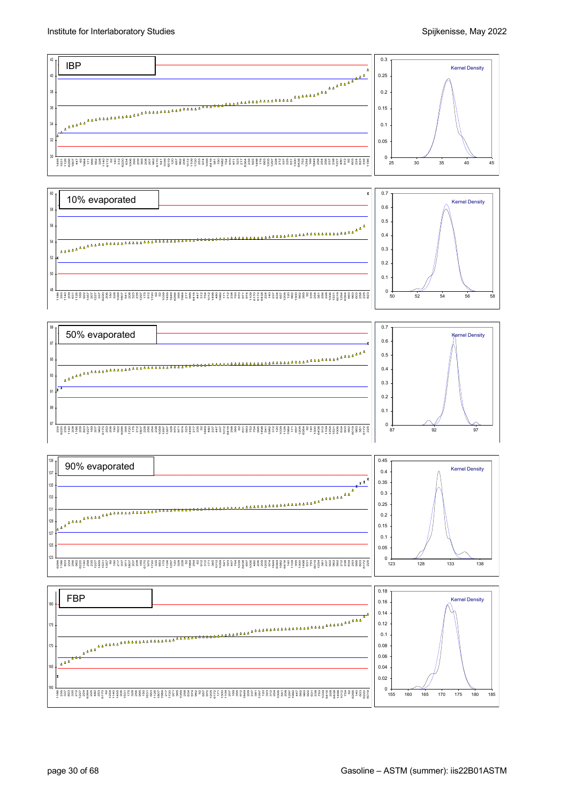

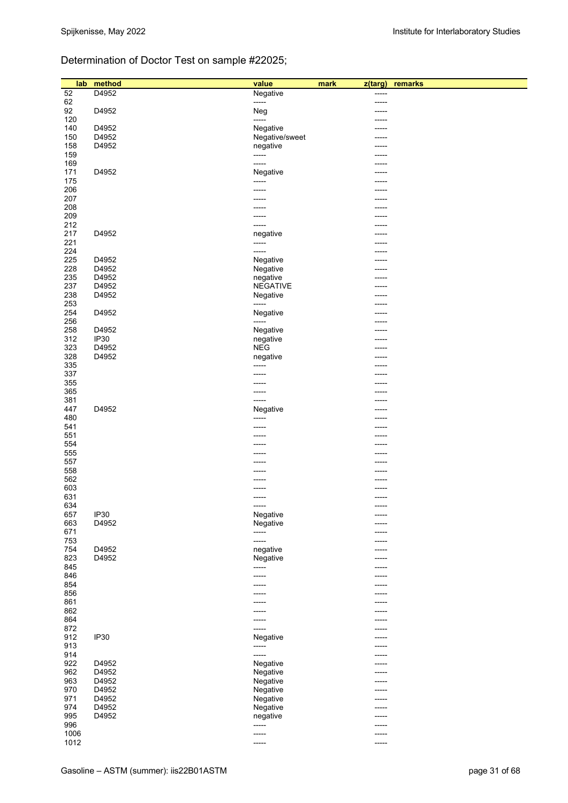# Determination of Doctor Test on sample #22025;

| lab        | method      | value           | mark<br>z(targ) | remarks |
|------------|-------------|-----------------|-----------------|---------|
| 52         | D4952       | Negative        | -----           |         |
| 62         |             | -----           | -----           |         |
| 92         | D4952       | Neg             | -----           |         |
| 120        |             | -----           | -----           |         |
| 140        | D4952       | Negative        | -----           |         |
| 150        | D4952       | Negative/sweet  | -----           |         |
| 158        | D4952       | negative        | -----           |         |
| 159        |             | -----           | -----           |         |
| 169        |             | -----           | -----           |         |
| 171<br>175 | D4952       | Negative        | -----           |         |
| 206        |             | -----           | -----           |         |
| 207        |             | -----<br>-----  | -----           |         |
| 208        |             |                 |                 |         |
| 209        |             | -----<br>-----  | -----<br>-----  |         |
| 212        |             | -----           | -----           |         |
| 217        | D4952       | negative        | -----           |         |
| 221        |             | -----           | ------          |         |
| 224        |             | -----           | ------          |         |
| 225        | D4952       | Negative        | -----           |         |
| 228        | D4952       | Negative        | -----           |         |
| 235        | D4952       | negative        | -----           |         |
| 237        | D4952       | <b>NEGATIVE</b> | -----           |         |
| 238        | D4952       | Negative        | -----           |         |
| 253        |             | -----           | -----           |         |
| 254        | D4952       | Negative        | -----           |         |
| 256        |             | -----           | -----           |         |
| 258        | D4952       | Negative        | -----           |         |
| 312        | <b>IP30</b> | negative        | -----           |         |
| 323        | D4952       | <b>NEG</b>      | -----           |         |
| 328        | D4952       | negative        | -----           |         |
| 335        |             | -----           | -----           |         |
| 337        |             | -----           | -----           |         |
| 355        |             | -----           | -----           |         |
| 365        |             | -----           | -----           |         |
| 381        |             | -----           | -----           |         |
| 447        | D4952       | Negative        | -----           |         |
| 480        |             | -----           | -----           |         |
| 541        |             | -----           | -----           |         |
| 551        |             | -----           | -----           |         |
| 554        |             | -----           | -----           |         |
| 555        |             |                 |                 |         |
| 557        |             |                 | -----           |         |
| 558        |             |                 | -----           |         |
| 562        |             | -----           | -----           |         |
| 603        |             | -----           | ------          |         |
| 631        |             | -----           | -----           |         |
| 634        |             | -----           | -----           |         |
| 657        | IP30        | Negative        |                 |         |
| 663        | D4952       | Negative        |                 |         |
| 671        |             | -----           | -----           |         |
| 753        |             | -----           | -----           |         |
| 754        | D4952       | negative        |                 |         |
| 823        | D4952       | Negative        | -----           |         |
| 845        |             | -----           | -----           |         |
| 846        |             | -----           | -----           |         |
| 854        |             | -----           |                 |         |
| 856        |             | -----           | ----            |         |
| 861        |             | -----           | -----           |         |
| 862        |             | -----           | -----           |         |
| 864        |             | -----           | -----           |         |
| 872        |             | -----           | -----           |         |
| 912        | IP30        | Negative        | -----           |         |
| 913        |             | -----           | -----           |         |
| 914        |             | -----           | -----           |         |
| 922        | D4952       | Negative        |                 |         |
| 962        | D4952       | Negative        | -----           |         |
| 963        | D4952       | Negative        | -----           |         |
| 970        | D4952       | Negative        | -----           |         |
| 971        | D4952       | Negative        | -----           |         |
| 974        | D4952       | Negative        | -----           |         |
| 995        | D4952       | negative        |                 |         |
| 996        |             | -----           | -----           |         |
| 1006       |             | -----           | -----           |         |
| 1012       |             | -----           | -----           |         |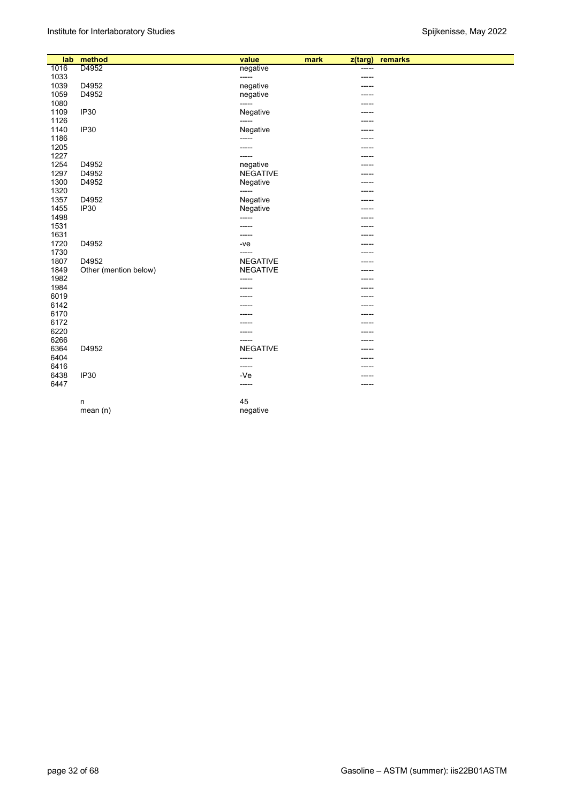| 1016<br>D4952<br>negative<br>-----<br>1033<br>-----<br>----- |  |
|--------------------------------------------------------------|--|
|                                                              |  |
|                                                              |  |
| 1039<br>D4952<br>negative                                    |  |
| 1059<br>D4952<br>negative<br>-----                           |  |
| 1080<br>-----<br>-----                                       |  |
| 1109<br>IP <sub>30</sub><br>Negative<br>-----                |  |
| 1126<br>-----<br>-----                                       |  |
| 1140<br><b>IP30</b><br>Negative<br>-----                     |  |
| 1186<br>-----<br>-----                                       |  |
| 1205<br>-----<br>-----                                       |  |
| 1227<br>-----<br>-----                                       |  |
| 1254<br>D4952<br>negative<br>----                            |  |
| 1297<br>D4952<br><b>NEGATIVE</b><br>-----                    |  |
| 1300<br>D4952<br>Negative<br>-----                           |  |
| 1320<br>-----                                                |  |
| 1357<br>D4952<br>Negative<br>-----                           |  |
| 1455<br>IP <sub>30</sub><br>Negative<br>-----                |  |
| 1498<br>-----<br>-----                                       |  |
| 1531<br>-----                                                |  |
| 1631<br>-----<br>-----                                       |  |
| 1720<br>D4952<br>$-ve$<br>-----                              |  |
| 1730<br>-----<br>-----                                       |  |
| 1807<br>D4952<br><b>NEGATIVE</b><br>-----                    |  |
| 1849<br>Other (mention below)<br><b>NEGATIVE</b><br>-----    |  |
| 1982<br>-----<br>-----                                       |  |
| 1984                                                         |  |
| 6019<br>-----<br>-----                                       |  |
| 6142<br>-----<br>-----                                       |  |
| 6170<br>-----                                                |  |
| 6172<br>-----<br>-----                                       |  |
| 6220<br>-----<br>-----                                       |  |
| 6266<br>-----<br>-----                                       |  |
| <b>NEGATIVE</b><br>6364<br>D4952<br>-----                    |  |
| 6404<br>-----<br>-----                                       |  |
| 6416<br>-----<br>-----                                       |  |
| 6438<br><b>IP30</b><br>$-Ve$<br>-----                        |  |
| 6447<br>-----<br>-----                                       |  |
| 45<br>n                                                      |  |
| negative<br>mean(n)                                          |  |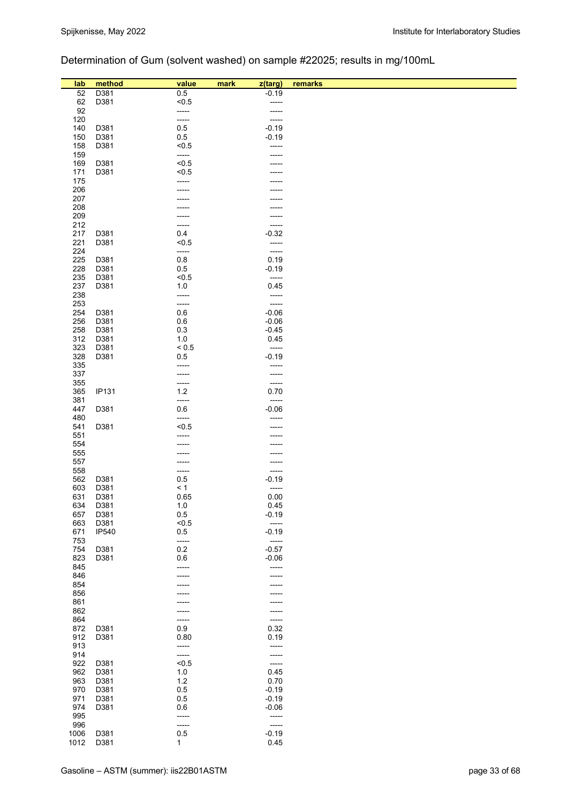# Determination of Gum (solvent washed) on sample #22025; results in mg/100mL

| lab        | method       | value          | mark<br>z(targ)    | remarks |
|------------|--------------|----------------|--------------------|---------|
| 52         | D381         | 0.5            | $-0.19$            |         |
| 62         | D381         | < 0.5          | -----              |         |
| 92         |              | -----          | -----              |         |
| 120        |              | -----          | -----              |         |
| 140        | D381         | 0.5            | $-0.19$            |         |
| 150        | D381         | 0.5            | $-0.19$            |         |
| 158        | D381         | < 0.5          | -----              |         |
| 159        |              | -----          | -----              |         |
| 169        | D381         | < 0.5          |                    |         |
| 171        | D381         | < 0.5          |                    |         |
| 175<br>206 |              | -----          |                    |         |
| 207        |              |                |                    |         |
| 208        |              |                |                    |         |
| 209        |              |                | -----              |         |
| 212        |              |                | -----              |         |
| 217        | D381         | 0.4            | $-0.32$            |         |
| 221        | D381         | < 0.5          | -----              |         |
| 224        |              | -----          | -----              |         |
| 225        | D381         | 0.8            | 0.19               |         |
| 228        | D381         | 0.5            | $-0.19$<br>-----   |         |
| 235<br>237 | D381<br>D381 | < 0.5<br>1.0   | 0.45               |         |
| 238        |              | -----          | -----              |         |
| 253        |              | -----          | -----              |         |
| 254        | D381         | $0.6\,$        | $-0.06$            |         |
| 256        | D381         | 0.6            | $-0.06$            |         |
| 258        | D381         | 0.3            | $-0.45$            |         |
| 312        | D381         | 1.0            | 0.45               |         |
| 323        | D381         | ${}_{0.5}$     | -----              |         |
| 328        | D381         | 0.5            | $-0.19$            |         |
| 335        |              | -----          | -----              |         |
| 337<br>355 |              | -----<br>----- | -----<br>-----     |         |
| 365        | <b>IP131</b> | $1.2$          | 0.70               |         |
| 381        |              | -----          | -----              |         |
| 447        | D381         | 0.6            | $-0.06$            |         |
| 480        |              | -----          | -----              |         |
| 541        | D381         | < 0.5          |                    |         |
| 551        |              |                |                    |         |
| 554        |              |                |                    |         |
| 555        |              |                |                    |         |
| 557        |              |                |                    |         |
| 558<br>562 | D381         | -----<br>0.5   | -----<br>$-0.19$   |         |
| 603        | D381         | < 1            | -----              |         |
| 631        | D381         | 0.65           | 0.00               |         |
| 634        | D381         | $1.0$          | 0.45               |         |
| 657        | D381         | 0.5            | $-0.19$            |         |
| 663        | D381         | < 0.5          | -----              |         |
| 671        | <b>IP540</b> | 0.5            | $-0.19$            |         |
| 753        |              | -----          | -----              |         |
| 754<br>823 | D381         | 0.2<br>0.6     | $-0.57$<br>$-0.06$ |         |
| 845        | D381         | -----          | -----              |         |
| 846        |              |                | -----              |         |
| 854        |              |                |                    |         |
| 856        |              |                |                    |         |
| 861        |              |                |                    |         |
| 862        |              | -----          | -----              |         |
| 864        |              | -----          | -----              |         |
| 872        | D381         | 0.9            | 0.32               |         |
| 912        | D381         | 0.80           | 0.19               |         |
| 913<br>914 |              | -----          | -----              |         |
| 922        | D381         | -----<br>< 0.5 | -----              |         |
| 962        | D381         | 1.0            | 0.45               |         |
| 963        | D381         | 1.2            | 0.70               |         |
| 970        | D381         | 0.5            | $-0.19$            |         |
| 971        | D381         | 0.5            | $-0.19$            |         |
| 974        | D381         | 0.6            | $-0.06$            |         |
| 995        |              | -----          | -----              |         |
| 996        |              | -----          | -----              |         |
| 1006       | D381         | $0.5\,$        | $-0.19$            |         |
| 1012       | D381         | 1              | 0.45               |         |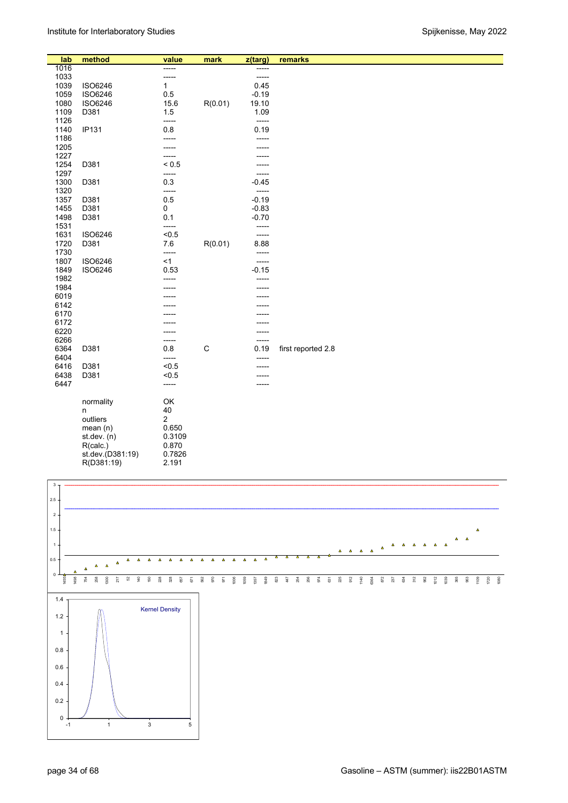| lab  | method           | value               | mark        | z(targ) | remarks            |
|------|------------------|---------------------|-------------|---------|--------------------|
| 1016 |                  | -----               |             | -----   |                    |
| 1033 |                  | -----               |             | $-----$ |                    |
| 1039 | <b>ISO6246</b>   | 1                   |             | 0.45    |                    |
| 1059 | <b>ISO6246</b>   | 0.5                 |             | $-0.19$ |                    |
| 1080 | <b>ISO6246</b>   | 15.6                | R(0.01)     | 19.10   |                    |
| 1109 | D381             | 1.5                 |             | 1.09    |                    |
| 1126 |                  | -----               |             | $-----$ |                    |
| 1140 | <b>IP131</b>     | 0.8                 |             | 0.19    |                    |
| 1186 |                  | -----               |             | -----   |                    |
| 1205 |                  |                     |             | -----   |                    |
| 1227 |                  |                     |             |         |                    |
| 1254 | D381             | -----<br>${}_{0.5}$ |             |         |                    |
| 1297 |                  |                     |             |         |                    |
|      |                  | -----<br>0.3        |             | -----   |                    |
| 1300 | D381             |                     |             | $-0.45$ |                    |
| 1320 |                  | -----               |             | $-----$ |                    |
| 1357 | D381             | 0.5                 |             | $-0.19$ |                    |
| 1455 | D381             | 0                   |             | $-0.83$ |                    |
| 1498 | D381             | 0.1                 |             | $-0.70$ |                    |
| 1531 |                  | -----               |             | -----   |                    |
| 1631 | <b>ISO6246</b>   | < 0.5               |             | $-----$ |                    |
| 1720 | D381             | 7.6                 | R(0.01)     | 8.88    |                    |
| 1730 |                  | -----               |             | -----   |                    |
| 1807 | <b>ISO6246</b>   | $<$ 1               |             | -----   |                    |
| 1849 | ISO6246          | 0.53                |             | $-0.15$ |                    |
| 1982 |                  |                     |             |         |                    |
| 1984 |                  |                     |             |         |                    |
| 6019 |                  |                     |             |         |                    |
| 6142 |                  |                     |             |         |                    |
| 6170 |                  |                     |             |         |                    |
| 6172 |                  |                     |             |         |                    |
| 6220 |                  |                     |             | -----   |                    |
| 6266 |                  | -----               |             | -----   |                    |
| 6364 | D381             | 0.8                 | $\mathsf C$ | 0.19    | first reported 2.8 |
| 6404 |                  | -----               |             | -----   |                    |
| 6416 | D381             | < 0.5               |             |         |                    |
| 6438 | D381             | < 0.5               |             |         |                    |
| 6447 |                  | -----               |             |         |                    |
|      |                  |                     |             |         |                    |
|      | normality        | OK                  |             |         |                    |
|      | n                | 40                  |             |         |                    |
|      | outliers         | 2                   |             |         |                    |
|      | mean $(n)$       | 0.650               |             |         |                    |
|      | st.dev. $(n)$    | 0.3109              |             |         |                    |
|      | R(calc.)         | 0.870               |             |         |                    |
|      | st.dev.(D381:19) | 0.7826              |             |         |                    |
|      | R(D381:19)       | 2.191               |             |         |                    |
|      |                  |                     |             |         |                    |

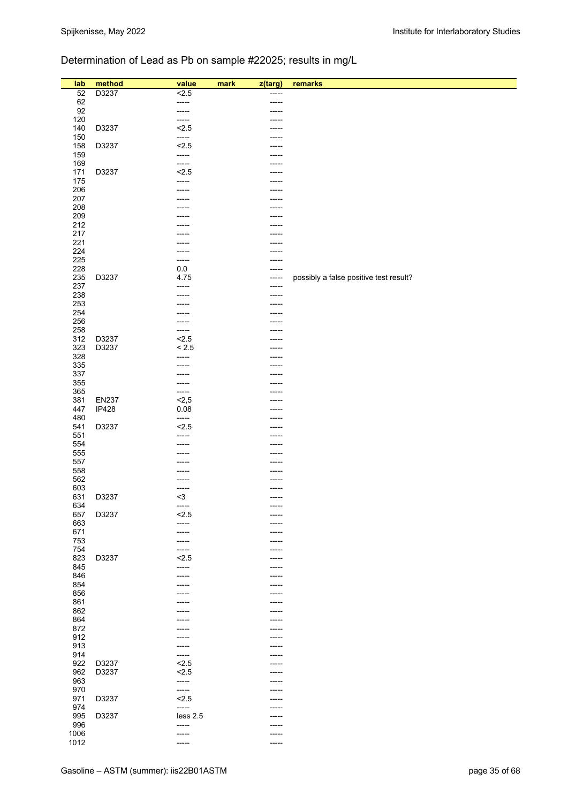# Determination of Lead as Pb on sample #22025; results in mg/L

| lab        | method       | value        | mark<br>z(targ) | remarks                                |
|------------|--------------|--------------|-----------------|----------------------------------------|
| 52         | D3237        | 2.5          |                 |                                        |
| 62         |              | -----        | -----           |                                        |
| 92         |              | -----        |                 |                                        |
| 120        |              | -----        |                 |                                        |
| 140        | D3237        | 2.5<br>----- |                 |                                        |
| 150        |              |              |                 |                                        |
| 158        | D3237        | 2.5          |                 |                                        |
| 159        |              | -----        |                 |                                        |
| 169        | D3237        | -----        |                 |                                        |
| 171        |              | 2.5          |                 |                                        |
| 175        |              | -----        |                 |                                        |
| 206<br>207 |              |              |                 |                                        |
| 208        |              |              |                 |                                        |
| 209        |              |              |                 |                                        |
| 212        |              |              |                 |                                        |
| 217        |              |              |                 |                                        |
| 221        |              |              |                 |                                        |
| 224        |              | -----        |                 |                                        |
| 225        |              | -----        |                 |                                        |
| 228        |              | 0.0          |                 |                                        |
| 235        | D3237        | 4.75         | -----           | possibly a false positive test result? |
| 237        |              | -----        |                 |                                        |
| 238        |              |              |                 |                                        |
| 253        |              |              |                 |                                        |
| 254        |              |              |                 |                                        |
| 256        |              |              |                 |                                        |
| 258        |              |              |                 |                                        |
| 312        | D3237        | 2.5          |                 |                                        |
| 323        | D3237        | < 2.5        |                 |                                        |
| 328        |              | -----        |                 |                                        |
| 335        |              |              |                 |                                        |
| 337        |              |              |                 |                                        |
| 355        |              | -----        |                 |                                        |
| 365        |              | -----        |                 |                                        |
| 381        | <b>EN237</b> | 2,5          |                 |                                        |
| 447        | IP428        | 0.08         |                 |                                        |
| 480        |              | -----        |                 |                                        |
| 541        | D3237        | 2.5          |                 |                                        |
| 551        |              | -----        |                 |                                        |
| 554        |              |              |                 |                                        |
| 555        |              |              |                 |                                        |
| 557        |              |              |                 |                                        |
| 558        |              |              |                 |                                        |
| 562        |              |              |                 |                                        |
| 603        |              | -----        |                 |                                        |
| 631        | D3237        | $3$          | -----           |                                        |
| 634        |              | -----        |                 |                                        |
| 657        | D3237        | 2.5          |                 |                                        |
| 663        |              | -----        |                 |                                        |
| 671        |              |              |                 |                                        |
| 753        |              | -----        |                 |                                        |
| 754        |              | -----        |                 |                                        |
| 823        | D3237        | 2.5          |                 |                                        |
| 845        |              | -----        | -----           |                                        |
| 846        |              | -----        |                 |                                        |
| 854        |              |              |                 |                                        |
| 856        |              |              |                 |                                        |
| 861        |              | -----        | -----           |                                        |
| 862        |              |              |                 |                                        |
| 864        |              |              |                 |                                        |
| 872        |              |              |                 |                                        |
| 912        |              |              | -----           |                                        |
| 913        |              | -----        | -----           |                                        |
| 914        |              | -----        |                 |                                        |
| 922        | D3237        | 2.5          | -----           |                                        |
| 962        | D3237        | 2.5          |                 |                                        |
| 963        |              | -----        |                 |                                        |
| 970        |              | -----        |                 |                                        |
| 971        | D3237        | < 2.5        |                 |                                        |
| 974        |              | -----        |                 |                                        |
| 995        | D3237        | less 2.5     |                 |                                        |
| 996        |              | -----        |                 |                                        |
| 1006       |              | -----        | -----           |                                        |
| 1012       |              | -----        | -----           |                                        |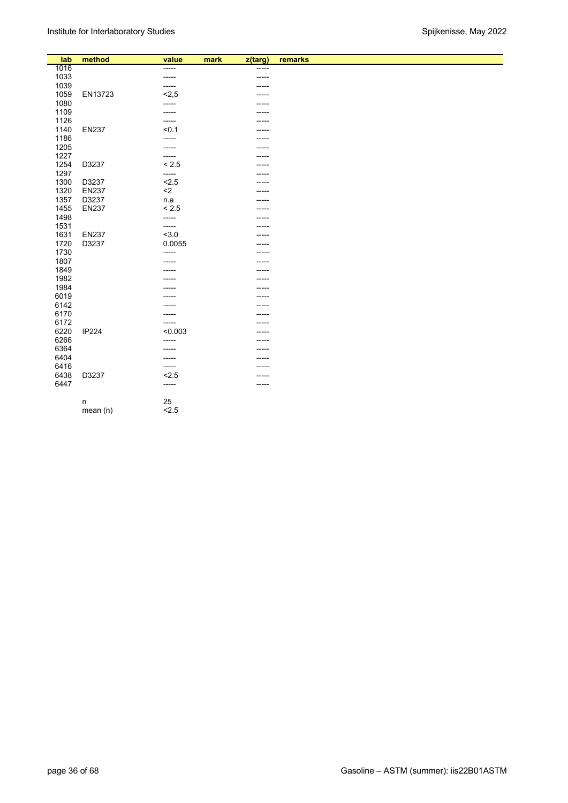| lab  | method       | value   | mark | z(targ) | remarks |
|------|--------------|---------|------|---------|---------|
| 1016 |              | -----   |      | -----   |         |
| 1033 |              | -----   |      | -----   |         |
| 1039 |              | -----   |      | -----   |         |
| 1059 | EN13723      | 2,5     |      |         |         |
| 1080 |              | -----   |      |         |         |
| 1109 |              | -----   |      |         |         |
| 1126 |              | -----   |      |         |         |
| 1140 | <b>EN237</b> | < 0.1   |      |         |         |
| 1186 |              | -----   |      |         |         |
| 1205 |              |         |      |         |         |
| 1227 |              | -----   |      |         |         |
| 1254 | D3237        | < 2.5   |      |         |         |
| 1297 |              | -----   |      | -----   |         |
| 1300 | D3237        | 2.5     |      |         |         |
| 1320 | <b>EN237</b> | $\leq$  |      | -----   |         |
| 1357 | D3237        | n.a     |      | -----   |         |
| 1455 | <b>EN237</b> | < 2.5   |      | -----   |         |
| 1498 |              | -----   |      |         |         |
| 1531 |              | -----   |      | -----   |         |
| 1631 | <b>EN237</b> | 3.0     |      |         |         |
| 1720 | D3237        | 0.0055  |      |         |         |
| 1730 |              | -----   |      |         |         |
| 1807 |              | -----   |      |         |         |
| 1849 |              | -----   |      | -----   |         |
| 1982 |              |         |      | -----   |         |
| 1984 |              |         |      |         |         |
| 6019 |              |         |      | -----   |         |
| 6142 |              |         |      | -----   |         |
| 6170 |              |         |      |         |         |
| 6172 |              | -----   |      |         |         |
| 6220 | IP224        | < 0.003 |      |         |         |
| 6266 |              | -----   |      |         |         |
| 6364 |              |         |      |         |         |
| 6404 |              | -----   |      |         |         |
| 6416 |              | -----   |      |         |         |
| 6438 | D3237        | 2.5     |      |         |         |
| 6447 |              | -----   |      | -----   |         |
|      |              | 25      |      |         |         |
|      | n            | 2.5     |      |         |         |
|      | mean(n)      |         |      |         |         |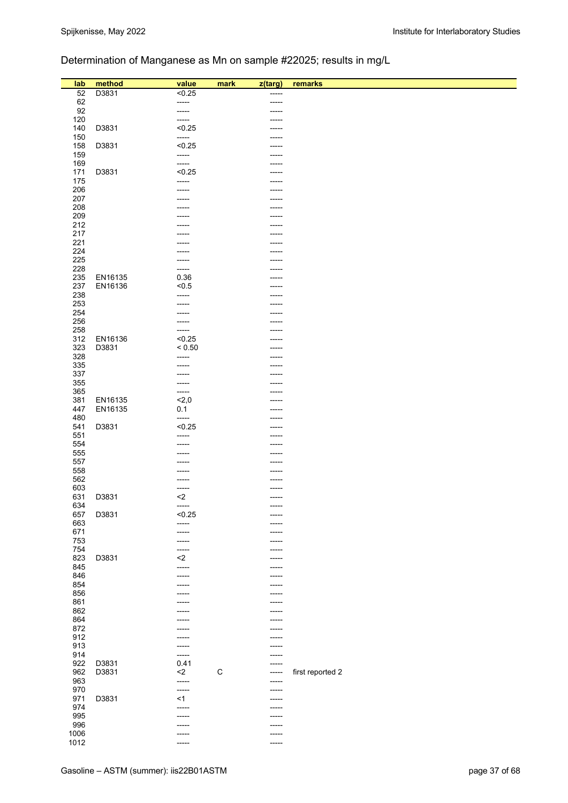# Determination of Manganese as Mn on sample #22025; results in mg/L

| lab        | method  | value           | mark        | z(targ)        | remarks          |
|------------|---------|-----------------|-------------|----------------|------------------|
| 52         | D3831   | < 0.25          |             | -----          |                  |
| 62         |         | -----           |             | -----          |                  |
| 92         |         | -----           |             |                |                  |
| 120        |         | -----           |             |                |                  |
| 140        | D3831   | < 0.25          |             | -----          |                  |
| 150        |         | -----           |             |                |                  |
| 158        | D3831   | < 0.25          |             |                |                  |
| 159        |         | -----           |             |                |                  |
| 169        |         | -----           |             | -----          |                  |
| 171        | D3831   | < 0.25          |             | -----          |                  |
| 175        |         | -----           |             | -----          |                  |
| 206        |         | -----           |             | -----          |                  |
| 207<br>208 |         |                 |             | -----          |                  |
| 209        |         |                 |             | -----          |                  |
| 212        |         |                 |             | -----          |                  |
| 217        |         |                 |             |                |                  |
| 221        |         |                 |             |                |                  |
| 224        |         |                 |             |                |                  |
| 225        |         |                 |             |                |                  |
| 228        |         | -----           |             |                |                  |
| 235        | EN16135 | 0.36            |             |                |                  |
| 237        | EN16136 | < 0.5           |             |                |                  |
| 238        |         | -----           |             | -----          |                  |
| 253        |         | -----           |             |                |                  |
| 254        |         |                 |             | -----          |                  |
| 256        |         | -----           |             | -----          |                  |
| 258<br>312 | EN16136 | -----<br>< 0.25 |             |                |                  |
| 323        | D3831   | ${}_{0.50}$     |             |                |                  |
| 328        |         | -----           |             | -----          |                  |
| 335        |         | -----           |             |                |                  |
| 337        |         |                 |             |                |                  |
| 355        |         | -----           |             |                |                  |
| 365        |         | -----           |             |                |                  |
| 381        | EN16135 | 2,0             |             |                |                  |
| 447        | EN16135 | 0.1             |             |                |                  |
| 480        |         | -----           |             | -----          |                  |
| 541        | D3831   | < 0.25          |             | -----          |                  |
| 551        |         | -----           |             |                |                  |
| 554        |         | -----           |             | -----          |                  |
| 555<br>557 |         |                 |             | -----<br>----- |                  |
| 558        |         |                 |             |                |                  |
| 562        |         |                 |             |                |                  |
| 603        |         | -----           |             | -----          |                  |
| 631        | D3831   | $\leq$          |             | -----          |                  |
| 634        |         | -----           |             | -----          |                  |
| 657        | D3831   | < 0.25          |             | -----          |                  |
| 663        |         | -----           |             | -----          |                  |
| 671        |         | -----           |             | -----          |                  |
| 753        |         | -----           |             | -----          |                  |
| 754        |         | -----           |             | -----          |                  |
| 823        | D3831   | $2$             |             | -----          |                  |
| 845        |         | -----           |             | -----          |                  |
| 846<br>854 |         | -----           |             | -----          |                  |
| 856        |         |                 |             | -----<br>----- |                  |
| 861        |         |                 |             | -----          |                  |
| 862        |         |                 |             |                |                  |
| 864        |         | -----           |             | -----          |                  |
| 872        |         |                 |             | -----          |                  |
| 912        |         |                 |             | -----          |                  |
| 913        |         |                 |             |                |                  |
| 914        |         | -----           |             | -----          |                  |
| 922        | D3831   | 0.41            |             |                |                  |
| 962        | D3831   | $2$             | $\mathsf C$ | -----          | first reported 2 |
| 963        |         | -----           |             | ------         |                  |
| 970        |         | -----           |             | -----          |                  |
| 971<br>974 | D3831   | <1              |             | -----          |                  |
| 995        |         | -----<br>-----  |             | -----<br>----- |                  |
| 996        |         | -----           |             | -----          |                  |
| 1006       |         | -----           |             | -----          |                  |
| 1012       |         | -----           |             | -----          |                  |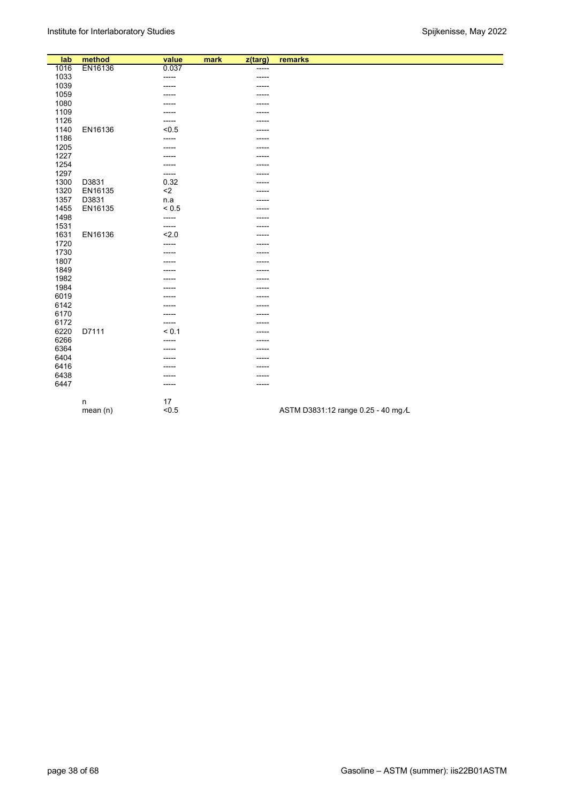| lab  | method   | value       | mark | z(targ) | remarks                            |
|------|----------|-------------|------|---------|------------------------------------|
| 1016 | EN16136  | 0.037       |      | -----   |                                    |
| 1033 |          | -----       |      | -----   |                                    |
| 1039 |          | -----       |      | -----   |                                    |
| 1059 |          |             |      | -----   |                                    |
| 1080 |          |             |      | -----   |                                    |
| 1109 |          |             |      | -----   |                                    |
| 1126 |          | -----       |      |         |                                    |
| 1140 | EN16136  | < 0.5       |      |         |                                    |
| 1186 |          |             |      |         |                                    |
| 1205 |          |             |      |         |                                    |
| 1227 |          | -----       |      | -----   |                                    |
| 1254 |          |             |      |         |                                    |
| 1297 |          | -----       |      | -----   |                                    |
| 1300 | D3831    | 0.32        |      | -----   |                                    |
| 1320 | EN16135  | $\leq$      |      | -----   |                                    |
| 1357 | D3831    | n.a         |      | -----   |                                    |
| 1455 | EN16135  | ${}_{0.5}$  |      | -----   |                                    |
| 1498 |          | -----       |      |         |                                    |
| 1531 |          | -----       |      |         |                                    |
| 1631 | EN16136  | 2.0         |      |         |                                    |
| 1720 |          | -----       |      |         |                                    |
| 1730 |          | -----       |      | -----   |                                    |
| 1807 |          |             |      |         |                                    |
| 1849 |          |             |      | -----   |                                    |
| 1982 |          |             |      | -----   |                                    |
| 1984 |          |             |      | -----   |                                    |
| 6019 |          |             |      |         |                                    |
| 6142 |          |             |      | -----   |                                    |
| 6170 |          |             |      |         |                                    |
| 6172 |          | $- - - - -$ |      | -----   |                                    |
| 6220 | D7111    | < 0.1       |      |         |                                    |
| 6266 |          | -----       |      | -----   |                                    |
| 6364 |          | -----       |      | -----   |                                    |
| 6404 |          |             |      |         |                                    |
| 6416 |          |             |      |         |                                    |
| 6438 |          | -----       |      | -----   |                                    |
| 6447 |          | ------      |      | -----   |                                    |
|      | n        | 17          |      |         |                                    |
|      | mean (n) | < 0.5       |      |         | ASTM D3831:12 range 0.25 - 40 mg/L |
|      |          |             |      |         |                                    |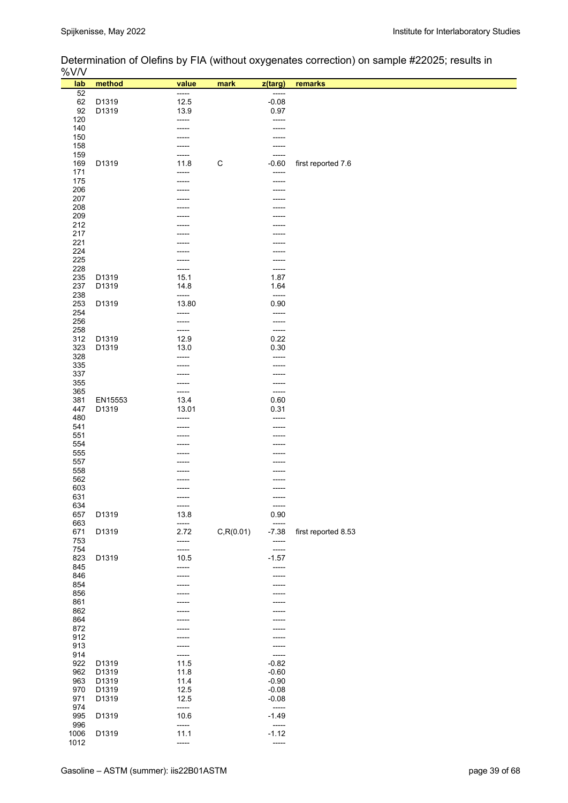Determination of Olefins by FIA (without oxygenates correction) on sample #22025; results in

| %V/V                |                | ◢                        |             |                               |                     |
|---------------------|----------------|--------------------------|-------------|-------------------------------|---------------------|
| lab                 | method         | value                    | mark        | z(targ)                       | remarks             |
| 52<br>62            | D1319          | -----<br>12.5            |             | -----<br>$-0.08$              |                     |
| 92                  | D1319          | 13.9                     |             | 0.97                          |                     |
| 120<br>140          |                | -----                    |             | -----<br>-----                |                     |
| 150                 |                |                          |             |                               |                     |
| 158<br>159          |                | -----<br>-----           |             | -----<br>-----                |                     |
| 169                 | D1319          | 11.8                     | $\mathsf C$ | $-0.60$                       | first reported 7.6  |
| 171<br>175          |                | -----<br>-----           |             | -----<br>-----                |                     |
| 206                 |                |                          |             |                               |                     |
| 207<br>208          |                |                          |             |                               |                     |
| 209                 |                |                          |             |                               |                     |
| 212<br>217          |                |                          |             |                               |                     |
| 221                 |                |                          |             |                               |                     |
| 224                 |                |                          |             |                               |                     |
| 225<br>228          |                | -----                    |             | -----                         |                     |
| 235                 | D1319          | 15.1                     |             | 1.87                          |                     |
| 237<br>238          | D1319          | 14.8<br>-----            |             | 1.64<br>-----                 |                     |
| 253                 | D1319          | 13.80                    |             | 0.90                          |                     |
| 254<br>256          |                | -----<br>-----           |             | -----<br>-----                |                     |
| 258                 |                | -----                    |             | -----                         |                     |
| 312<br>323          | D1319<br>D1319 | 12.9<br>13.0             |             | 0.22<br>0.30                  |                     |
| 328                 |                |                          |             | -----                         |                     |
| 335<br>337          |                |                          |             | -----<br>-----                |                     |
| 355                 |                |                          |             | -----                         |                     |
| 365<br>381          | EN15553        | -----<br>13.4            |             | -----<br>0.60                 |                     |
| 447                 | D1319          | 13.01                    |             | 0.31                          |                     |
| 480<br>541          |                | -----                    |             | -----                         |                     |
| 551                 |                |                          |             |                               |                     |
| 554<br>555          |                |                          |             |                               |                     |
| 557                 |                |                          |             |                               |                     |
| 558<br>562          |                |                          |             |                               |                     |
| 603                 |                |                          |             |                               |                     |
| 631<br>634          |                | ------<br>-----          |             | -----<br>-----                |                     |
| 657                 | D1319          | 13.8                     |             | 0.90                          |                     |
| 663<br>671          | D1319          | -----<br>2.72            | C, R(0.01)  | -----<br>$-7.38$              | first reported 8.53 |
| 753                 |                | -----                    |             | -----                         |                     |
| 754<br>823          | D1319          | -----<br>10.5            |             | -----<br>$-1.57$              |                     |
| 845                 |                | -----                    |             | -----                         |                     |
| 846<br>854          |                | -----                    |             | -----                         |                     |
| 856                 |                |                          |             | -----                         |                     |
| 861<br>862          |                |                          |             |                               |                     |
| 864                 |                |                          |             |                               |                     |
| 872<br>912          |                |                          |             | -----                         |                     |
| 913                 |                |                          |             | -----                         |                     |
| 914<br>922          | D1319          | 11.5                     |             | -----<br>$-0.82$              |                     |
| 962                 | D1319          | 11.8                     |             | $-0.60$                       |                     |
| 963<br>970          | D1319<br>D1319 | 11.4<br>12.5             |             | $-0.90$<br>$-0.08$            |                     |
| 971                 | D1319          | 12.5                     |             | $-0.08$                       |                     |
| 974<br>995          | D1319          | -----<br>10.6            |             | $-----$<br>$-1.49$<br>$-----$ |                     |
| 996<br>1006<br>1012 | D1319          | -----<br>11.1<br>$-----$ |             | $-1.12$<br>-----              |                     |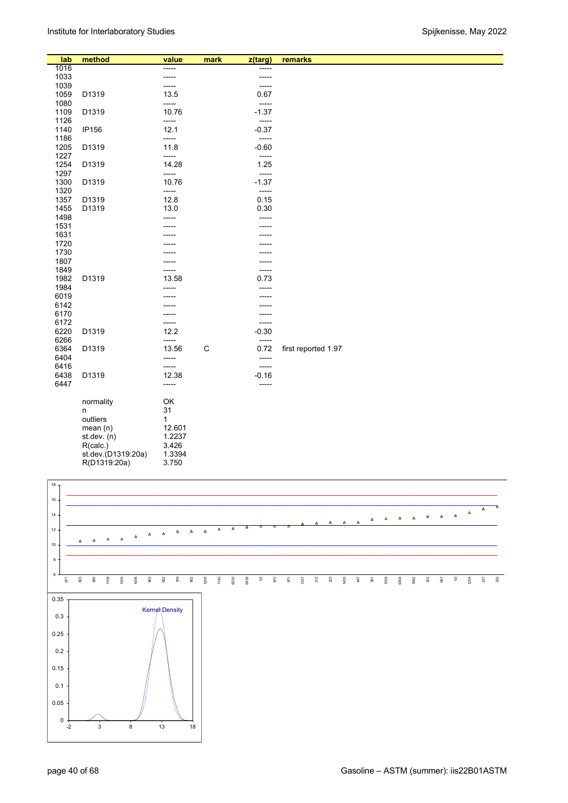| lab          | method             | value  | mark         | z(targ) | remarks             |
|--------------|--------------------|--------|--------------|---------|---------------------|
| 1016         |                    | -----  |              |         |                     |
| 1033         |                    | -----  |              |         |                     |
| 1039         |                    | -----  |              | -----   |                     |
| 1059         | D1319              | 13.5   |              | 0.67    |                     |
| 1080         |                    | -----  |              | -----   |                     |
| 1109         | D1319              | 10.76  |              | $-1.37$ |                     |
| 1126         |                    | -----  |              | -----   |                     |
| 1140         | <b>IP156</b>       | 12.1   |              | $-0.37$ |                     |
| 1186         |                    | -----  |              | -----   |                     |
| 1205         | D1319              | 11.8   |              | $-0.60$ |                     |
| 1227         |                    | -----  |              | -----   |                     |
| 1254         | D1319              | 14.28  |              | 1.25    |                     |
| 1297         |                    | -----  |              | -----   |                     |
| 1300         | D1319              | 10.76  |              | $-1.37$ |                     |
| 1320         |                    | -----  |              | -----   |                     |
| 1357         | D1319              | 12.8   |              | 0.15    |                     |
| 1455         | D1319              | 13.0   |              | 0.30    |                     |
| 1498         |                    |        |              | -----   |                     |
| 1531         |                    | -----  |              |         |                     |
|              |                    |        |              |         |                     |
| 1631<br>1720 |                    |        |              |         |                     |
|              |                    |        |              |         |                     |
| 1730         |                    |        |              |         |                     |
| 1807         |                    |        |              |         |                     |
| 1849         |                    | -----  |              | -----   |                     |
| 1982         | D1319              | 13.58  |              | 0.73    |                     |
| 1984         |                    | -----  |              |         |                     |
| 6019         |                    |        |              |         |                     |
| 6142         |                    |        |              |         |                     |
| 6170         |                    |        |              |         |                     |
| 6172         |                    | -----  |              | -----   |                     |
| 6220         | D1319              | 12.2   |              | $-0.30$ |                     |
| 6266         |                    | -----  |              | -----   |                     |
| 6364         | D1319              | 13.56  | $\mathsf{C}$ | 0.72    | first reported 1.97 |
| 6404         |                    | -----  |              | -----   |                     |
| 6416         |                    | -----  |              | -----   |                     |
| 6438         | D1319              | 12.38  |              | $-0.16$ |                     |
| 6447         |                    | -----  |              | -----   |                     |
|              |                    |        |              |         |                     |
|              | normality          | OK     |              |         |                     |
|              | n                  | 31     |              |         |                     |
|              | outliers           | 1      |              |         |                     |
|              | mean (n)           | 12.601 |              |         |                     |
|              | st.dev. (n)        | 1.2237 |              |         |                     |
|              | R(calc.)           | 3.426  |              |         |                     |
|              | st.dev.(D1319:20a) | 1.3394 |              |         |                     |
|              | R(D1319:20a)       | 3.750  |              |         |                     |
|              |                    |        |              |         |                     |

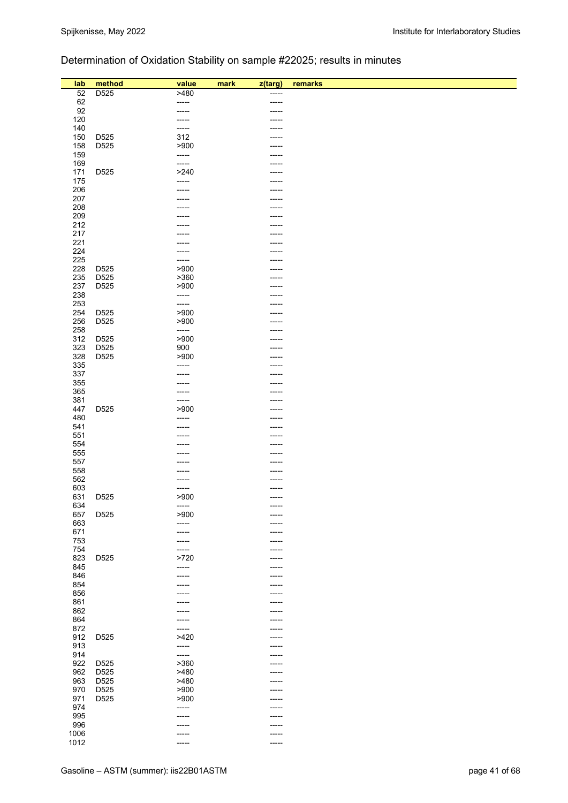# Determination of Oxidation Stability on sample #22025; results in minutes

| lab        | method           | value           | mark | z(targ) | remarks |
|------------|------------------|-----------------|------|---------|---------|
|            |                  |                 |      |         |         |
| 52         | D <sub>525</sub> | >480            |      | -----   |         |
| 62         |                  | -----           |      | -----   |         |
| 92         |                  | -----           |      |         |         |
| 120        |                  | -----           |      |         |         |
| 140        |                  | -----           |      | -----   |         |
| 150        | D525             | 312             |      | -----   |         |
| 158        | D525             | >900            |      |         |         |
| 159        |                  | -----           |      |         |         |
| 169        |                  | -----           |      | -----   |         |
| 171        | D525             | >240            |      | -----   |         |
| 175        |                  | -----           |      |         |         |
| 206        |                  | -----           |      | -----   |         |
| 207        |                  |                 |      |         |         |
| 208        |                  |                 |      |         |         |
| 209        |                  |                 |      |         |         |
| 212        |                  |                 |      |         |         |
| 217        |                  |                 |      |         |         |
| 221        |                  |                 |      | -----   |         |
| 224        |                  |                 |      |         |         |
| 225        |                  | -----           |      | -----   |         |
| 228        | D525             | >900            |      |         |         |
| 235        | D525             | >360            |      |         |         |
| 237        | D525             | >900            |      |         |         |
| 238        |                  | -----           |      |         |         |
| 253        |                  | -----           |      |         |         |
| 254        | D525             | >900            |      |         |         |
| 256        | D525             | >900            |      | -----   |         |
| 258        |                  | -----           |      |         |         |
| 312        | D <sub>525</sub> | >900            |      |         |         |
| 323        | D <sub>525</sub> | 900             |      |         |         |
| 328        | D <sub>525</sub> | >900            |      | -----   |         |
| 335        |                  | -----           |      |         |         |
| 337        |                  | -----           |      |         |         |
| 355        |                  |                 |      |         |         |
| 365        |                  | -----           |      | -----   |         |
| 381        |                  | -----           |      | -----   |         |
| 447        | D525             | >900            |      |         |         |
| 480        |                  | -----           |      | -----   |         |
| 541        |                  | -----           |      | -----   |         |
| 551        |                  |                 |      | -----   |         |
| 554        |                  |                 |      |         |         |
| 555        |                  |                 |      | -----   |         |
| 557        |                  |                 |      |         |         |
| 558        |                  |                 |      |         |         |
| 562        |                  |                 |      |         |         |
| 603        |                  | -----           |      | -----   |         |
| 631        | D525             | >900            |      | -----   |         |
| 634        |                  | -----           |      |         |         |
| 657        | D525             | >900            |      | -----   |         |
|            |                  |                 |      | -----   |         |
| 663<br>671 |                  | -----<br>------ |      | -----   |         |
|            |                  |                 |      | -----   |         |
| 753        |                  | -----           |      | -----   |         |
| 754<br>823 | D525             | -----<br>>720   |      | -----   |         |
|            |                  |                 |      | -----   |         |
| 845        |                  | -----           |      | -----   |         |
| 846        |                  |                 |      |         |         |
| 854        |                  | -----           |      | -----   |         |
| 856        |                  |                 |      |         |         |
| 861        |                  |                 |      |         |         |
| 862        |                  |                 |      |         |         |
| 864        |                  | -----           |      | -----   |         |
| 872        |                  | -----           |      |         |         |
| 912        | D525             | >420            |      | -----   |         |
| 913        |                  | -----           |      |         |         |
| 914        |                  | -----           |      | -----   |         |
| 922        | D <sub>525</sub> | >360            |      |         |         |
| 962        | D <sub>525</sub> | >480            |      | -----   |         |
| 963        | D525             | >480            |      | -----   |         |
| 970        | D <sub>525</sub> | >900            |      | -----   |         |
| 971        | D525             | >900            |      | -----   |         |
| 974        |                  | -----           |      |         |         |
| 995        |                  | -----           |      | -----   |         |
| 996        |                  |                 |      |         |         |
| 1006       |                  |                 |      |         |         |
| 1012       |                  |                 |      |         |         |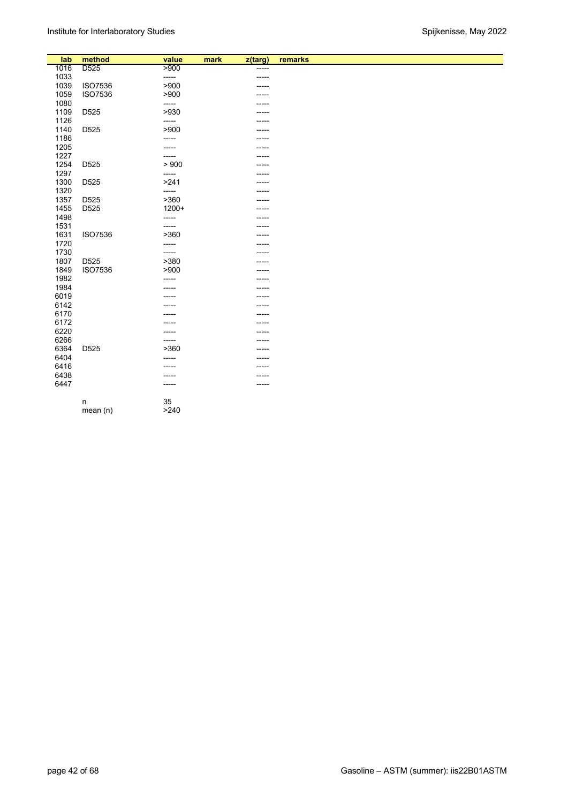| lab  | method             | value   | mark | z(targ)     | remarks |
|------|--------------------|---------|------|-------------|---------|
| 1016 | D <sub>525</sub>   | > 900   |      | -----       |         |
| 1033 |                    | -----   |      | $- - - - -$ |         |
| 1039 | <b>ISO7536</b>     | >900    |      |             |         |
| 1059 | ISO7536            | >900    |      |             |         |
| 1080 |                    | -----   |      |             |         |
| 1109 | D525               | >930    |      |             |         |
| 1126 |                    | -----   |      | -----       |         |
| 1140 | D525               | >900    |      | -----       |         |
| 1186 |                    | -----   |      |             |         |
| 1205 |                    | -----   |      |             |         |
| 1227 |                    | -----   |      | -----       |         |
| 1254 | D525               | > 900   |      | -----       |         |
| 1297 |                    | -----   |      | .           |         |
| 1300 | D525               | >241    |      | -----       |         |
| 1320 |                    | -----   |      |             |         |
| 1357 | D525               | >360    |      |             |         |
| 1455 | D <sub>525</sub>   | $1200+$ |      |             |         |
| 1498 |                    | -----   |      |             |         |
| 1531 |                    | -----   |      |             |         |
| 1631 | <b>ISO7536</b>     | >360    |      |             |         |
| 1720 |                    | -----   |      | -----       |         |
| 1730 |                    | -----   |      |             |         |
| 1807 | D525               | >380    |      |             |         |
| 1849 | ISO7536            | >900    |      |             |         |
| 1982 |                    | -----   |      |             |         |
| 1984 |                    |         |      | -----       |         |
| 6019 |                    |         |      | -----       |         |
| 6142 |                    |         |      |             |         |
| 6170 |                    |         |      | -----       |         |
| 6172 |                    |         |      | -----       |         |
| 6220 |                    | -----   |      | -----       |         |
| 6266 |                    | -----   |      |             |         |
| 6364 | D525               | >360    |      |             |         |
| 6404 |                    | -----   |      |             |         |
| 6416 |                    |         |      |             |         |
| 6438 |                    | -----   |      | -----       |         |
| 6447 |                    | -----   |      |             |         |
|      |                    | 35      |      |             |         |
|      | $\sf n$<br>mean(n) | >240    |      |             |         |
|      |                    |         |      |             |         |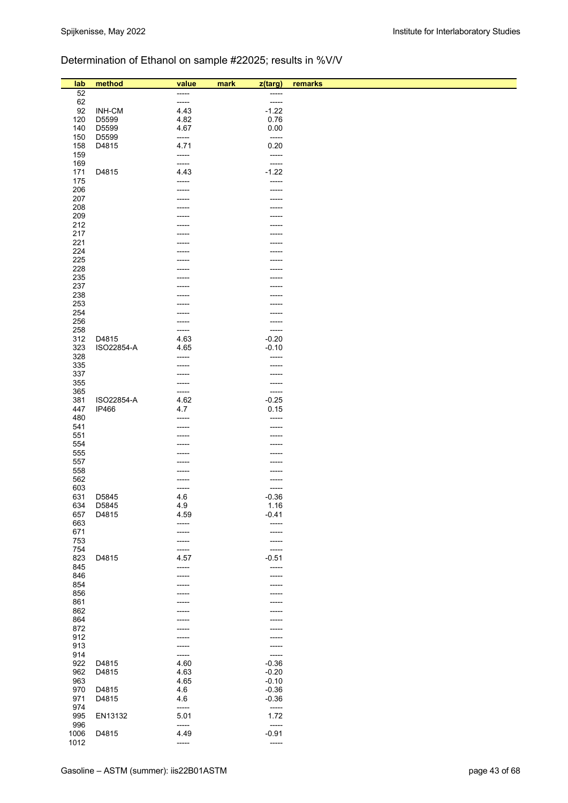# Determination of Ethanol on sample #22025; results in %V/V

| lab        | method         | value         | z(targ)<br>mark  | remarks |  |
|------------|----------------|---------------|------------------|---------|--|
| 52         |                | -----         | -----            |         |  |
| 62         |                | -----         | -----            |         |  |
| 92         | <b>INH-CM</b>  | 4.43          | $-1.22$          |         |  |
| 120        | D5599          | 4.82<br>4.67  | 0.76             |         |  |
| 140<br>150 | D5599<br>D5599 | -----         | 0.00<br>-----    |         |  |
| 158        | D4815          | 4.71          | 0.20             |         |  |
| 159        |                | -----         | -----            |         |  |
| 169        |                | -----         | -----            |         |  |
| 171        | D4815          | 4.43          | $-1.22$          |         |  |
| 175        |                | ------        | -----            |         |  |
| 206<br>207 |                |               | -----            |         |  |
| 208        |                |               |                  |         |  |
| 209        |                |               |                  |         |  |
| 212        |                |               |                  |         |  |
| 217        |                |               |                  |         |  |
| 221        |                |               | -----            |         |  |
| 224        |                |               |                  |         |  |
| 225<br>228 |                |               |                  |         |  |
| 235        |                |               |                  |         |  |
| 237        |                |               |                  |         |  |
| 238        |                |               |                  |         |  |
| 253        |                |               |                  |         |  |
| 254        |                |               |                  |         |  |
| 256<br>258 |                |               | -----<br>-----   |         |  |
| 312        | D4815          | 4.63          | $-0.20$          |         |  |
| 323        | ISO22854-A     | 4.65          | $-0.10$          |         |  |
| 328        |                | -----         | -----            |         |  |
| 335        |                |               | -----            |         |  |
| 337        |                | -----         | -----            |         |  |
| 355        |                | -----         | -----            |         |  |
| 365<br>381 | ISO22854-A     | -----<br>4.62 | -----<br>$-0.25$ |         |  |
| 447        | <b>IP466</b>   | 4.7           | 0.15             |         |  |
| 480        |                |               | -----            |         |  |
| 541        |                |               | -----            |         |  |
| 551        |                |               | -----            |         |  |
| 554        |                |               |                  |         |  |
| 555<br>557 |                |               |                  |         |  |
| 558        |                |               |                  |         |  |
| 562        |                |               |                  |         |  |
| 603        |                | -----         | -----            |         |  |
| 631        | D5845          | 4.6           | $-0.36$          |         |  |
| 634        | D5845          | 4.9           | 1.16             |         |  |
| 657<br>663 | D4815          | 4.59<br>----- | $-0.41$<br>----- |         |  |
| 671        |                | -----         | -----            |         |  |
| 753        |                | -----         | -----            |         |  |
| 754        |                | -----         | -----            |         |  |
| 823        | D4815          | 4.57          | $-0.51$          |         |  |
| 845        |                | -----         | -----            |         |  |
| 846<br>854 |                |               |                  |         |  |
| 856        |                |               |                  |         |  |
| 861        |                |               |                  |         |  |
| 862        |                |               |                  |         |  |
| 864        |                |               |                  |         |  |
| 872        |                |               |                  |         |  |
| 912<br>913 |                |               | -----            |         |  |
| 914        |                | -----         | -----            |         |  |
| 922        | D4815          | 4.60          | -----<br>$-0.36$ |         |  |
| 962        | D4815          | 4.63          | $-0.20$          |         |  |
| 963        |                | 4.65          | $-0.10$          |         |  |
| 970        | D4815          | 4.6           | $-0.36$          |         |  |
| 971        | D4815          | 4.6           | $-0.36$          |         |  |
| 974        |                | -----         | $\frac{1}{2}$    |         |  |
| 995<br>996 | EN13132        | 5.01<br>----- | 1.72<br>-----    |         |  |
| 1006       | D4815          | 4.49          | $-0.91$          |         |  |
| 1012       |                | -----         | $\frac{1}{2}$    |         |  |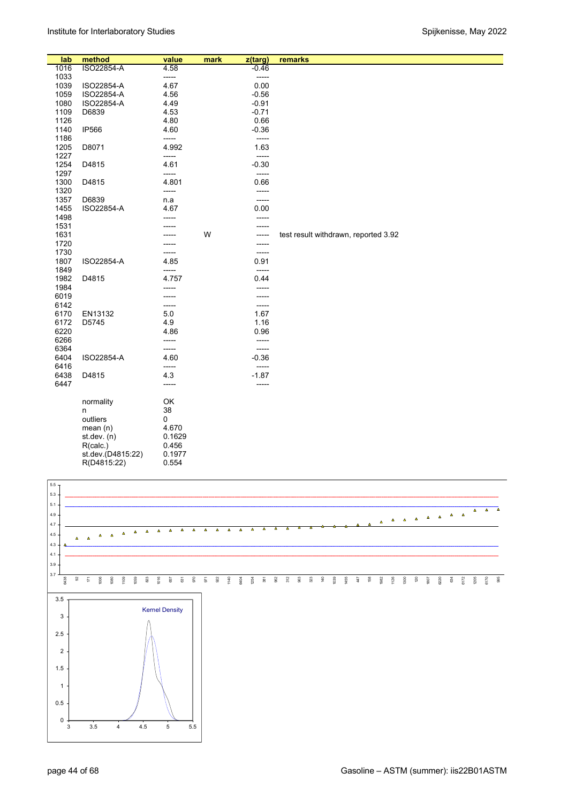| lab  | method            | value  | mark | z(targ) | remarks                              |
|------|-------------------|--------|------|---------|--------------------------------------|
| 1016 | ISO22854-A        | 4.58   |      | $-0.46$ |                                      |
| 1033 |                   | -----  |      | -----   |                                      |
| 1039 | ISO22854-A        | 4.67   |      | 0.00    |                                      |
| 1059 | ISO22854-A        | 4.56   |      | $-0.56$ |                                      |
| 1080 | ISO22854-A        | 4.49   |      | $-0.91$ |                                      |
| 1109 | D6839             | 4.53   |      | $-0.71$ |                                      |
| 1126 |                   | 4.80   |      | 0.66    |                                      |
| 1140 | <b>IP566</b>      | 4.60   |      | $-0.36$ |                                      |
|      |                   | -----  |      |         |                                      |
| 1186 |                   |        |      | -----   |                                      |
| 1205 | D8071             | 4.992  |      | 1.63    |                                      |
| 1227 |                   | -----  |      | -----   |                                      |
| 1254 | D4815             | 4.61   |      | $-0.30$ |                                      |
| 1297 |                   | -----  |      | -----   |                                      |
| 1300 | D4815             | 4.801  |      | 0.66    |                                      |
| 1320 |                   | -----  |      | -----   |                                      |
| 1357 | D6839             | n.a    |      | -----   |                                      |
| 1455 | ISO22854-A        | 4.67   |      | 0.00    |                                      |
| 1498 |                   |        |      | -----   |                                      |
| 1531 |                   |        |      | -----   |                                      |
| 1631 |                   |        | W    | -----   | test result withdrawn, reported 3.92 |
| 1720 |                   |        |      | -----   |                                      |
| 1730 |                   |        |      | -----   |                                      |
| 1807 | ISO22854-A        | 4.85   |      | 0.91    |                                      |
| 1849 |                   | -----  |      | -----   |                                      |
| 1982 | D4815             | 4.757  |      | 0.44    |                                      |
| 1984 |                   |        |      | -----   |                                      |
| 6019 |                   | -----  |      | -----   |                                      |
| 6142 |                   | -----  |      | -----   |                                      |
| 6170 | EN13132           | 5.0    |      | 1.67    |                                      |
| 6172 | D5745             | 4.9    |      | 1.16    |                                      |
|      |                   |        |      |         |                                      |
| 6220 |                   | 4.86   |      | 0.96    |                                      |
| 6266 |                   | -----  |      | -----   |                                      |
| 6364 |                   | -----  |      | -----   |                                      |
| 6404 | ISO22854-A        | 4.60   |      | $-0.36$ |                                      |
| 6416 |                   | -----  |      | -----   |                                      |
| 6438 | D4815             | 4.3    |      | $-1.87$ |                                      |
| 6447 |                   | -----  |      | -----   |                                      |
|      |                   |        |      |         |                                      |
|      | normality         | OK     |      |         |                                      |
|      | n                 | 38     |      |         |                                      |
|      | outliers          | 0      |      |         |                                      |
|      | mean $(n)$        | 4.670  |      |         |                                      |
|      | st. dev. (n)      | 0.1629 |      |         |                                      |
|      | R(calc.)          | 0.456  |      |         |                                      |
|      | st.dev.(D4815:22) | 0.1977 |      |         |                                      |
|      | R(D4815:22)       | 0.554  |      |         |                                      |

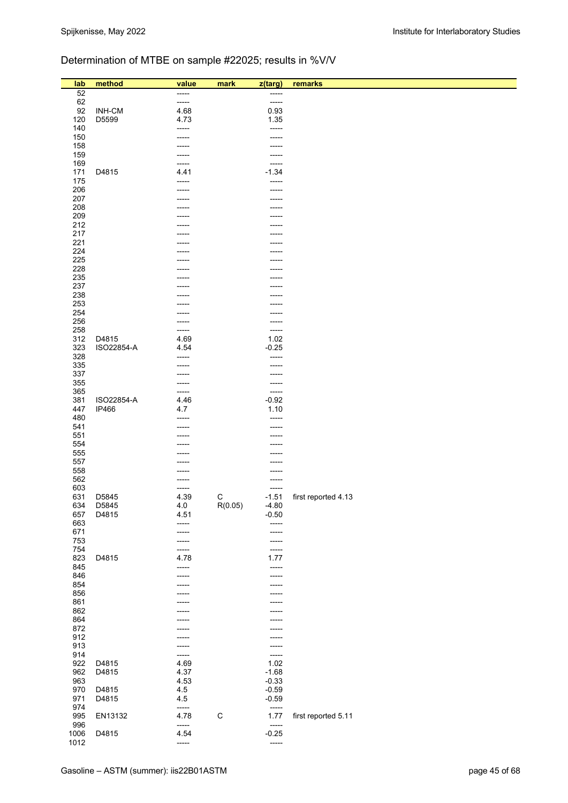# Determination of MTBE on sample #22025; results in %V/V

| lab        | method     | value          | mark        | z(targ)          | remarks             |
|------------|------------|----------------|-------------|------------------|---------------------|
| 52         |            | -----          |             | -----            |                     |
| 62         |            | -----          |             | -----            |                     |
| 92         | INH-CM     | 4.68           |             | 0.93             |                     |
| 120        | D5599      | 4.73           |             | 1.35             |                     |
| 140        |            | -----          |             | -----            |                     |
| 150        |            | -----          |             | -----            |                     |
| 158        |            |                |             | -----            |                     |
| 159        |            | -----          |             | -----            |                     |
| 169        | D4815      | -----          |             | -----<br>$-1.34$ |                     |
| 171<br>175 |            | 4.41<br>-----  |             | -----            |                     |
| 206        |            | -----          |             | -----            |                     |
| 207        |            |                |             |                  |                     |
| 208        |            |                |             | -----            |                     |
| 209        |            |                |             |                  |                     |
| 212        |            |                |             |                  |                     |
| 217        |            |                |             |                  |                     |
| 221        |            |                |             | -----            |                     |
| 224        |            |                |             |                  |                     |
| 225        |            |                |             |                  |                     |
| 228<br>235 |            |                |             | -----            |                     |
| 237        |            |                |             |                  |                     |
| 238        |            |                |             |                  |                     |
| 253        |            |                |             | -----            |                     |
| 254        |            |                |             | -----            |                     |
| 256        |            |                |             | -----            |                     |
| 258        |            | -----          |             | -----            |                     |
| 312        | D4815      | 4.69           |             | 1.02             |                     |
| 323        | ISO22854-A | 4.54           |             | $-0.25$          |                     |
| 328        |            | -----          |             | -----            |                     |
| 335<br>337 |            |                |             | -----            |                     |
| 355        |            |                |             | -----<br>-----   |                     |
| 365        |            | -----          |             | -----            |                     |
| 381        | ISO22854-A | 4.46           |             | $-0.92$          |                     |
| 447        | IP466      | 4.7            |             | 1.10             |                     |
| 480        |            | -----          |             | -----            |                     |
| 541        |            |                |             | -----            |                     |
| 551        |            |                |             | -----            |                     |
| 554        |            |                |             |                  |                     |
| 555<br>557 |            |                |             |                  |                     |
| 558        |            |                |             | -----            |                     |
| 562        |            |                |             | -----            |                     |
| 603        |            |                |             | -----            |                     |
| 631        | D5845      | 4.39           | $\mathsf C$ | $-1.51$          | first reported 4.13 |
| 634        | D5845      | 4.0            | R(0.05)     | $-4.80$          |                     |
| 657        | D4815      | 4.51           |             | $-0.50$          |                     |
| 663        |            | -----          |             | -----            |                     |
| 671        |            |                |             | -----            |                     |
| 753<br>754 |            | -----<br>----- |             | -----            |                     |
| 823        | D4815      | 4.78           |             | -----<br>1.77    |                     |
| 845        |            | -----          |             | -----            |                     |
| 846        |            |                |             | -----            |                     |
| 854        |            |                |             | -----            |                     |
| 856        |            |                |             |                  |                     |
| 861        |            |                |             | -----            |                     |
| 862        |            |                |             |                  |                     |
| 864        |            |                |             |                  |                     |
| 872        |            |                |             |                  |                     |
| 912<br>913 |            |                |             | -----            |                     |
| 914        |            | -----          |             | -----            |                     |
| 922        | D4815      | 4.69           |             | 1.02             |                     |
| 962        | D4815      | 4.37           |             | $-1.68$          |                     |
| 963        |            | 4.53           |             | $-0.33$          |                     |
| 970        | D4815      | 4.5            |             | $-0.59$          |                     |
| 971        | D4815      | 4.5            |             | $-0.59$          |                     |
| 974        |            | -----          |             | -----            |                     |
| 995<br>996 | EN13132    | 4.78<br>-----  | $\mathsf C$ | 1.77<br>-----    | first reported 5.11 |
| 1006       | D4815      | 4.54           |             | $-0.25$          |                     |
| 1012       |            | -----          |             | $\frac{1}{2}$    |                     |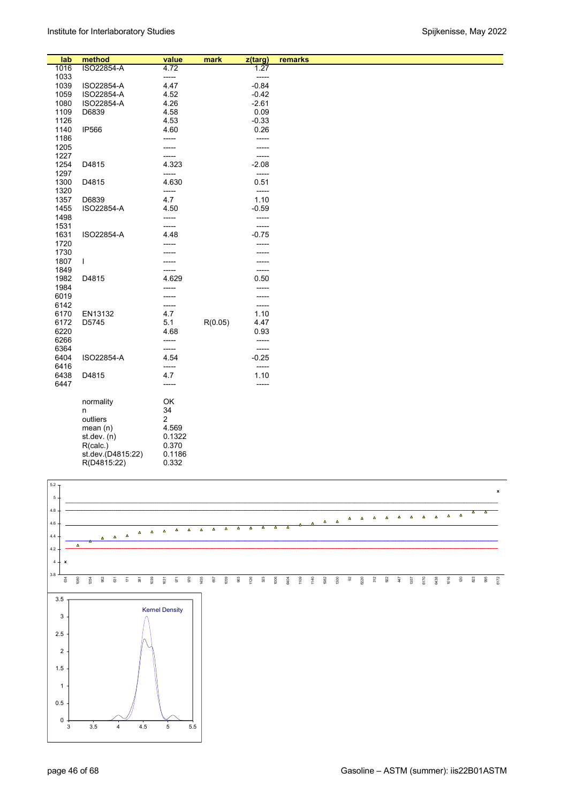| ISO22854-A<br>1.27<br>1016<br>4.72<br>1033<br>-----<br>-----<br>$-0.84$<br>1039<br>ISO22854-A<br>4.47<br>1059<br>ISO22854-A<br>4.52<br>$-0.42$<br>1080<br>ISO22854-A<br>4.26<br>$-2.61$<br>0.09<br>1109<br>D6839<br>4.58<br>$-0.33$<br>1126<br>4.53<br>1140<br><b>IP566</b><br>4.60<br>0.26<br>1186<br>-----<br>-----<br>1205<br>-----<br>1227<br>-----<br>-----<br>1254<br>4.323<br>$-2.08$<br>D4815<br>1297<br>-----<br>-----<br>4.630<br>0.51<br>1300<br>D4815<br>1320<br>-----<br>-----<br>4.7<br>1.10<br>D6839<br>1357<br>1455<br>ISO22854-A<br>4.50<br>$-0.59$<br>1498<br>-----<br>-----<br>1531<br>-----<br>-----<br>$-0.75$<br>1631<br>ISO22854-A<br>4.48<br>1720<br>1730<br>1807<br>L<br>1849<br>-----<br>4.629<br>0.50<br>1982<br>D4815<br>1984<br>-----<br>6019<br>-----<br>6142<br>-----<br>-----<br>1.10<br>6170<br>EN13132<br>4.7<br>6172<br>R(0.05)<br>D5745<br>5.1<br>4.47<br>6220<br>0.93<br>4.68<br>6266<br>-----<br>-----<br>6364<br>-----<br>-----<br>$-0.25$<br>6404<br>ISO22854-A<br>4.54<br>6416<br>-----<br>-----<br>6438<br>D4815<br>4.7<br>1.10<br>6447<br>-----<br>-----<br>OK<br>normality<br>34<br>n<br>2<br>outliers<br>4.569<br>mean $(n)$<br>0.1322<br>st.dev. (n) | lab | method | value | mark | z(targ) | remarks |
|----------------------------------------------------------------------------------------------------------------------------------------------------------------------------------------------------------------------------------------------------------------------------------------------------------------------------------------------------------------------------------------------------------------------------------------------------------------------------------------------------------------------------------------------------------------------------------------------------------------------------------------------------------------------------------------------------------------------------------------------------------------------------------------------------------------------------------------------------------------------------------------------------------------------------------------------------------------------------------------------------------------------------------------------------------------------------------------------------------------------------------------------------------------------------------------------------|-----|--------|-------|------|---------|---------|
|                                                                                                                                                                                                                                                                                                                                                                                                                                                                                                                                                                                                                                                                                                                                                                                                                                                                                                                                                                                                                                                                                                                                                                                                    |     |        |       |      |         |         |
|                                                                                                                                                                                                                                                                                                                                                                                                                                                                                                                                                                                                                                                                                                                                                                                                                                                                                                                                                                                                                                                                                                                                                                                                    |     |        |       |      |         |         |
|                                                                                                                                                                                                                                                                                                                                                                                                                                                                                                                                                                                                                                                                                                                                                                                                                                                                                                                                                                                                                                                                                                                                                                                                    |     |        |       |      |         |         |
|                                                                                                                                                                                                                                                                                                                                                                                                                                                                                                                                                                                                                                                                                                                                                                                                                                                                                                                                                                                                                                                                                                                                                                                                    |     |        |       |      |         |         |
|                                                                                                                                                                                                                                                                                                                                                                                                                                                                                                                                                                                                                                                                                                                                                                                                                                                                                                                                                                                                                                                                                                                                                                                                    |     |        |       |      |         |         |
|                                                                                                                                                                                                                                                                                                                                                                                                                                                                                                                                                                                                                                                                                                                                                                                                                                                                                                                                                                                                                                                                                                                                                                                                    |     |        |       |      |         |         |
|                                                                                                                                                                                                                                                                                                                                                                                                                                                                                                                                                                                                                                                                                                                                                                                                                                                                                                                                                                                                                                                                                                                                                                                                    |     |        |       |      |         |         |
|                                                                                                                                                                                                                                                                                                                                                                                                                                                                                                                                                                                                                                                                                                                                                                                                                                                                                                                                                                                                                                                                                                                                                                                                    |     |        |       |      |         |         |
|                                                                                                                                                                                                                                                                                                                                                                                                                                                                                                                                                                                                                                                                                                                                                                                                                                                                                                                                                                                                                                                                                                                                                                                                    |     |        |       |      |         |         |
|                                                                                                                                                                                                                                                                                                                                                                                                                                                                                                                                                                                                                                                                                                                                                                                                                                                                                                                                                                                                                                                                                                                                                                                                    |     |        |       |      |         |         |
|                                                                                                                                                                                                                                                                                                                                                                                                                                                                                                                                                                                                                                                                                                                                                                                                                                                                                                                                                                                                                                                                                                                                                                                                    |     |        |       |      |         |         |
|                                                                                                                                                                                                                                                                                                                                                                                                                                                                                                                                                                                                                                                                                                                                                                                                                                                                                                                                                                                                                                                                                                                                                                                                    |     |        |       |      |         |         |
|                                                                                                                                                                                                                                                                                                                                                                                                                                                                                                                                                                                                                                                                                                                                                                                                                                                                                                                                                                                                                                                                                                                                                                                                    |     |        |       |      |         |         |
|                                                                                                                                                                                                                                                                                                                                                                                                                                                                                                                                                                                                                                                                                                                                                                                                                                                                                                                                                                                                                                                                                                                                                                                                    |     |        |       |      |         |         |
|                                                                                                                                                                                                                                                                                                                                                                                                                                                                                                                                                                                                                                                                                                                                                                                                                                                                                                                                                                                                                                                                                                                                                                                                    |     |        |       |      |         |         |
|                                                                                                                                                                                                                                                                                                                                                                                                                                                                                                                                                                                                                                                                                                                                                                                                                                                                                                                                                                                                                                                                                                                                                                                                    |     |        |       |      |         |         |
|                                                                                                                                                                                                                                                                                                                                                                                                                                                                                                                                                                                                                                                                                                                                                                                                                                                                                                                                                                                                                                                                                                                                                                                                    |     |        |       |      |         |         |
|                                                                                                                                                                                                                                                                                                                                                                                                                                                                                                                                                                                                                                                                                                                                                                                                                                                                                                                                                                                                                                                                                                                                                                                                    |     |        |       |      |         |         |
|                                                                                                                                                                                                                                                                                                                                                                                                                                                                                                                                                                                                                                                                                                                                                                                                                                                                                                                                                                                                                                                                                                                                                                                                    |     |        |       |      |         |         |
|                                                                                                                                                                                                                                                                                                                                                                                                                                                                                                                                                                                                                                                                                                                                                                                                                                                                                                                                                                                                                                                                                                                                                                                                    |     |        |       |      |         |         |
|                                                                                                                                                                                                                                                                                                                                                                                                                                                                                                                                                                                                                                                                                                                                                                                                                                                                                                                                                                                                                                                                                                                                                                                                    |     |        |       |      |         |         |
|                                                                                                                                                                                                                                                                                                                                                                                                                                                                                                                                                                                                                                                                                                                                                                                                                                                                                                                                                                                                                                                                                                                                                                                                    |     |        |       |      |         |         |
|                                                                                                                                                                                                                                                                                                                                                                                                                                                                                                                                                                                                                                                                                                                                                                                                                                                                                                                                                                                                                                                                                                                                                                                                    |     |        |       |      |         |         |
|                                                                                                                                                                                                                                                                                                                                                                                                                                                                                                                                                                                                                                                                                                                                                                                                                                                                                                                                                                                                                                                                                                                                                                                                    |     |        |       |      |         |         |
|                                                                                                                                                                                                                                                                                                                                                                                                                                                                                                                                                                                                                                                                                                                                                                                                                                                                                                                                                                                                                                                                                                                                                                                                    |     |        |       |      |         |         |
|                                                                                                                                                                                                                                                                                                                                                                                                                                                                                                                                                                                                                                                                                                                                                                                                                                                                                                                                                                                                                                                                                                                                                                                                    |     |        |       |      |         |         |
|                                                                                                                                                                                                                                                                                                                                                                                                                                                                                                                                                                                                                                                                                                                                                                                                                                                                                                                                                                                                                                                                                                                                                                                                    |     |        |       |      |         |         |
|                                                                                                                                                                                                                                                                                                                                                                                                                                                                                                                                                                                                                                                                                                                                                                                                                                                                                                                                                                                                                                                                                                                                                                                                    |     |        |       |      |         |         |
|                                                                                                                                                                                                                                                                                                                                                                                                                                                                                                                                                                                                                                                                                                                                                                                                                                                                                                                                                                                                                                                                                                                                                                                                    |     |        |       |      |         |         |
|                                                                                                                                                                                                                                                                                                                                                                                                                                                                                                                                                                                                                                                                                                                                                                                                                                                                                                                                                                                                                                                                                                                                                                                                    |     |        |       |      |         |         |
|                                                                                                                                                                                                                                                                                                                                                                                                                                                                                                                                                                                                                                                                                                                                                                                                                                                                                                                                                                                                                                                                                                                                                                                                    |     |        |       |      |         |         |
|                                                                                                                                                                                                                                                                                                                                                                                                                                                                                                                                                                                                                                                                                                                                                                                                                                                                                                                                                                                                                                                                                                                                                                                                    |     |        |       |      |         |         |
|                                                                                                                                                                                                                                                                                                                                                                                                                                                                                                                                                                                                                                                                                                                                                                                                                                                                                                                                                                                                                                                                                                                                                                                                    |     |        |       |      |         |         |
|                                                                                                                                                                                                                                                                                                                                                                                                                                                                                                                                                                                                                                                                                                                                                                                                                                                                                                                                                                                                                                                                                                                                                                                                    |     |        |       |      |         |         |
|                                                                                                                                                                                                                                                                                                                                                                                                                                                                                                                                                                                                                                                                                                                                                                                                                                                                                                                                                                                                                                                                                                                                                                                                    |     |        |       |      |         |         |
|                                                                                                                                                                                                                                                                                                                                                                                                                                                                                                                                                                                                                                                                                                                                                                                                                                                                                                                                                                                                                                                                                                                                                                                                    |     |        |       |      |         |         |
|                                                                                                                                                                                                                                                                                                                                                                                                                                                                                                                                                                                                                                                                                                                                                                                                                                                                                                                                                                                                                                                                                                                                                                                                    |     |        |       |      |         |         |
|                                                                                                                                                                                                                                                                                                                                                                                                                                                                                                                                                                                                                                                                                                                                                                                                                                                                                                                                                                                                                                                                                                                                                                                                    |     |        |       |      |         |         |
|                                                                                                                                                                                                                                                                                                                                                                                                                                                                                                                                                                                                                                                                                                                                                                                                                                                                                                                                                                                                                                                                                                                                                                                                    |     |        |       |      |         |         |
|                                                                                                                                                                                                                                                                                                                                                                                                                                                                                                                                                                                                                                                                                                                                                                                                                                                                                                                                                                                                                                                                                                                                                                                                    |     |        |       |      |         |         |
|                                                                                                                                                                                                                                                                                                                                                                                                                                                                                                                                                                                                                                                                                                                                                                                                                                                                                                                                                                                                                                                                                                                                                                                                    |     |        |       |      |         |         |
|                                                                                                                                                                                                                                                                                                                                                                                                                                                                                                                                                                                                                                                                                                                                                                                                                                                                                                                                                                                                                                                                                                                                                                                                    |     |        |       |      |         |         |
|                                                                                                                                                                                                                                                                                                                                                                                                                                                                                                                                                                                                                                                                                                                                                                                                                                                                                                                                                                                                                                                                                                                                                                                                    |     |        |       |      |         |         |
|                                                                                                                                                                                                                                                                                                                                                                                                                                                                                                                                                                                                                                                                                                                                                                                                                                                                                                                                                                                                                                                                                                                                                                                                    |     |        |       |      |         |         |
| 0.370<br>R(calc.)                                                                                                                                                                                                                                                                                                                                                                                                                                                                                                                                                                                                                                                                                                                                                                                                                                                                                                                                                                                                                                                                                                                                                                                  |     |        |       |      |         |         |
| 0.1186<br>st.dev.(D4815:22)                                                                                                                                                                                                                                                                                                                                                                                                                                                                                                                                                                                                                                                                                                                                                                                                                                                                                                                                                                                                                                                                                                                                                                        |     |        |       |      |         |         |
| 0.332<br>R(D4815:22)                                                                                                                                                                                                                                                                                                                                                                                                                                                                                                                                                                                                                                                                                                                                                                                                                                                                                                                                                                                                                                                                                                                                                                               |     |        |       |      |         |         |

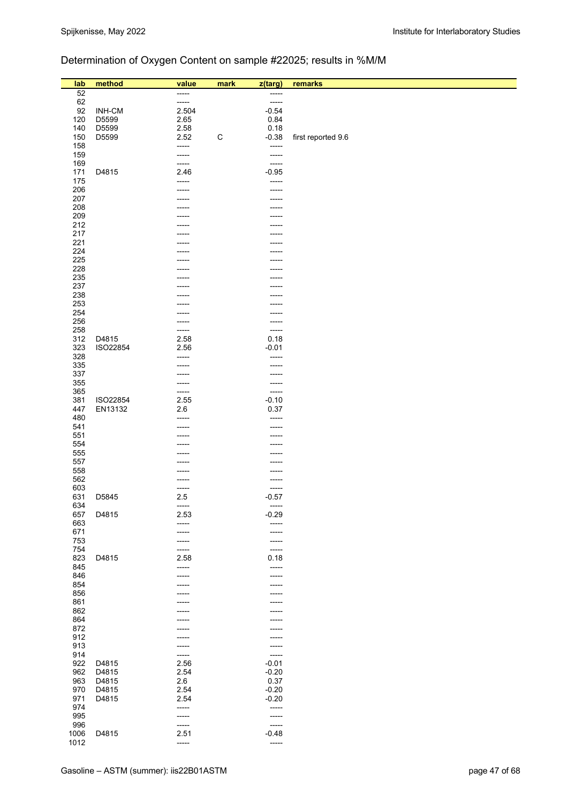# Determination of Oxygen Content on sample #22025; results in %M/M

| lab        | method   | value           | mark        | z(targ)          | remarks            |
|------------|----------|-----------------|-------------|------------------|--------------------|
| 52         |          | -----           |             | -----            |                    |
| 62         |          | -----           |             | -----            |                    |
| 92         | INH-CM   | 2.504           |             | $-0.54$          |                    |
| 120        | D5599    | 2.65            |             | 0.84             |                    |
| 140        | D5599    | 2.58            |             | 0.18             |                    |
| 150        | D5599    | 2.52            | $\mathsf C$ | $-0.38$          | first reported 9.6 |
| 158        |          | -----           |             | -----            |                    |
| 159<br>169 |          | -----<br>-----  |             | -----<br>-----   |                    |
| 171        | D4815    | 2.46            |             | $-0.95$          |                    |
| 175        |          | -----           |             | -----            |                    |
| 206        |          |                 |             | -----            |                    |
| 207        |          |                 |             | -----            |                    |
| 208        |          |                 |             | -----            |                    |
| 209        |          |                 |             | -----            |                    |
| 212        |          |                 |             |                  |                    |
| 217<br>221 |          |                 |             |                  |                    |
| 224        |          |                 |             |                  |                    |
| 225        |          |                 |             |                  |                    |
| 228        |          |                 |             |                  |                    |
| 235        |          |                 |             |                  |                    |
| 237        |          |                 |             |                  |                    |
| 238        |          |                 |             |                  |                    |
| 253        |          |                 |             |                  |                    |
| 254<br>256 |          |                 |             | -----<br>-----   |                    |
| 258        |          | -----           |             | -----            |                    |
| 312        | D4815    | 2.58            |             | 0.18             |                    |
| 323        | ISO22854 | 2.56            |             | $-0.01$          |                    |
| 328        |          | -----           |             | -----            |                    |
| 335        |          | -----           |             | -----            |                    |
| 337        |          | -----           |             | -----            |                    |
| 355        |          | -----           |             | -----            |                    |
| 365<br>381 | ISO22854 | -----<br>2.55   |             | -----<br>$-0.10$ |                    |
| 447        | EN13132  | 2.6             |             | 0.37             |                    |
| 480        |          | -----           |             | -----            |                    |
| 541        |          | -----           |             | -----            |                    |
| 551        |          | -----           |             | -----            |                    |
| 554        |          |                 |             | -----            |                    |
| 555        |          |                 |             |                  |                    |
| 557        |          |                 |             |                  |                    |
| 558<br>562 |          | -----           |             | -----<br>-----   |                    |
| 603        |          | -----           |             | -----            |                    |
| 631        | D5845    | 2.5             |             | $-0.57$          |                    |
| 634        |          | -----           |             | -----            |                    |
| 657        | D4815    | 2.53            |             | $-0.29$          |                    |
| 663<br>671 |          | -----<br>-----  |             | -----<br>-----   |                    |
| 753        |          | -----           |             | -----            |                    |
| 754        |          | -----           |             | $-----$          |                    |
| 823        | D4815    | 2.58            |             | 0.18             |                    |
| 845        |          | -----           |             | -----            |                    |
| 846<br>854 |          | -----           |             | -----            |                    |
| 856        |          |                 |             |                  |                    |
| 861        |          |                 |             | -----            |                    |
| 862        |          |                 |             | -----            |                    |
| 864        |          |                 |             |                  |                    |
| 872        |          |                 |             |                  |                    |
| 912<br>913 |          | -----           |             | -----<br>-----   |                    |
| 914        |          | -----           |             | -----            |                    |
| 922        | D4815    | 2.56            |             | $-0.01$          |                    |
| 962        | D4815    | 2.54            |             | $-0.20$          |                    |
| 963        | D4815    | 2.6             |             | 0.37             |                    |
| 970        | D4815    | 2.54            |             | $-0.20$          |                    |
| 971        | D4815    | 2.54            |             | $-0.20$          |                    |
| 974<br>995 |          | -----<br>------ |             | -----<br>-----   |                    |
| 996        |          | -----           |             | -----            |                    |
| 1006       | D4815    | 2.51            |             | $-0.48$          |                    |
| 1012       |          | -----           |             | -----            |                    |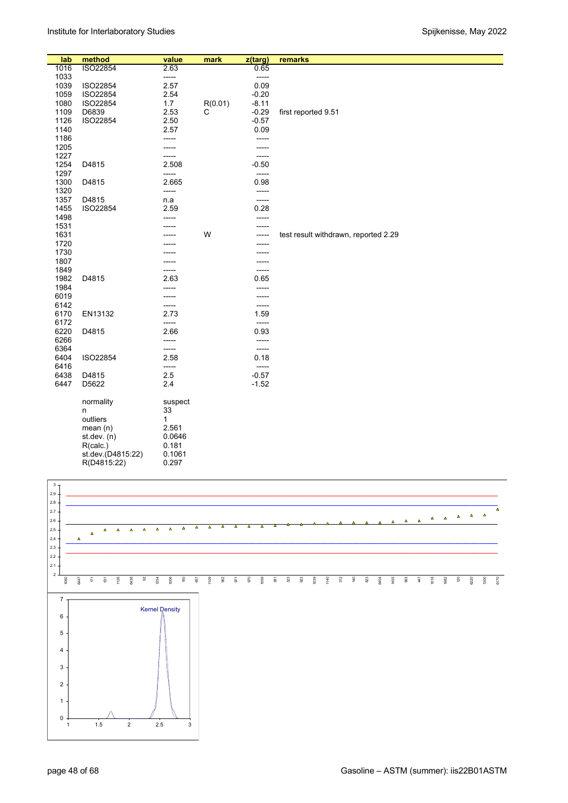| lab  | method            | value   | mark    | z(targ)       | remarks                              |
|------|-------------------|---------|---------|---------------|--------------------------------------|
| 1016 | ISO22854          | 2.63    |         | 0.65          |                                      |
| 1033 |                   | -----   |         | $-----$       |                                      |
| 1039 | ISO22854          | 2.57    |         | 0.09          |                                      |
| 1059 | ISO22854          | 2.54    |         | $-0.20$       |                                      |
|      |                   |         |         |               |                                      |
| 1080 | ISO22854          | 1.7     | R(0.01) | $-8.11$       |                                      |
| 1109 | D6839             | 2.53    | С       | $-0.29$       | first reported 9.51                  |
| 1126 | ISO22854          | 2.50    |         | $-0.57$       |                                      |
| 1140 |                   | 2.57    |         | 0.09          |                                      |
| 1186 |                   | -----   |         | -----         |                                      |
| 1205 |                   |         |         | -----         |                                      |
| 1227 |                   |         |         | -----         |                                      |
| 1254 | D4815             | 2.508   |         | $-0.50$       |                                      |
| 1297 |                   | -----   |         | -----         |                                      |
| 1300 | D4815             | 2.665   |         | 0.98          |                                      |
| 1320 |                   | -----   |         | -----         |                                      |
| 1357 | D4815             | n.a     |         | -----         |                                      |
| 1455 | ISO22854          | 2.59    |         | 0.28          |                                      |
| 1498 |                   |         |         | -----         |                                      |
| 1531 |                   |         |         | -----         |                                      |
| 1631 |                   |         | W       | -----         | test result withdrawn, reported 2.29 |
| 1720 |                   |         |         | -----         |                                      |
| 1730 |                   |         |         |               |                                      |
| 1807 |                   |         |         | -----         |                                      |
| 1849 |                   |         |         |               |                                      |
| 1982 | D4815             |         |         | -----<br>0.65 |                                      |
|      |                   | 2.63    |         |               |                                      |
| 1984 |                   |         |         | -----         |                                      |
| 6019 |                   |         |         | -----         |                                      |
| 6142 |                   | -----   |         | -----         |                                      |
| 6170 | EN13132           | 2.73    |         | 1.59          |                                      |
| 6172 |                   | -----   |         | $-----$       |                                      |
| 6220 | D4815             | 2.66    |         | 0.93          |                                      |
| 6266 |                   | -----   |         | -----         |                                      |
| 6364 |                   | -----   |         | -----         |                                      |
| 6404 | ISO22854          | 2.58    |         | 0.18          |                                      |
| 6416 |                   | -----   |         | -----         |                                      |
| 6438 | D4815             | 2.5     |         | $-0.57$       |                                      |
| 6447 | D5622             | 2.4     |         | $-1.52$       |                                      |
|      |                   |         |         |               |                                      |
|      | normality         | suspect |         |               |                                      |
|      | n                 | 33      |         |               |                                      |
|      | outliers          | 1       |         |               |                                      |
|      | mean(n)           | 2.561   |         |               |                                      |
|      | st.dev. $(n)$     | 0.0646  |         |               |                                      |
|      | R(calc.)          | 0.181   |         |               |                                      |
|      | st.dev.(D4815:22) | 0.1061  |         |               |                                      |
|      | R(D4815:22)       | 0.297   |         |               |                                      |
|      |                   |         |         |               |                                      |

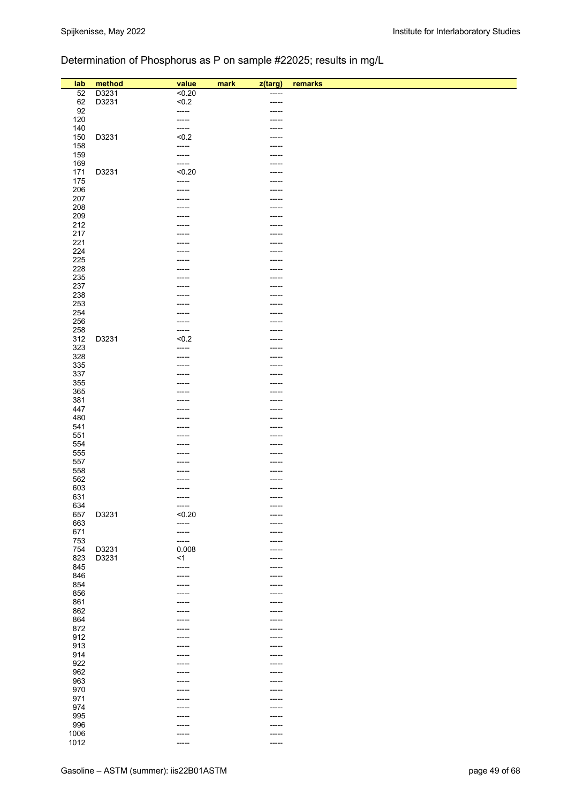# Determination of Phosphorus as P on sample #22025; results in mg/L

| lab<br>52   | method         | value<br>50.20    | mark<br>z(targ) |                  | remarks |
|-------------|----------------|-------------------|-----------------|------------------|---------|
| 62          | D3231<br>D3231 | < 0.2             |                 | $-----$<br>----- |         |
| 92          |                | $-----$           |                 | -----            |         |
| 120         |                | -----             |                 | -----            |         |
| 140         |                | -----             |                 |                  |         |
| 150         | D3231          | < 0.2             |                 | -----            |         |
| 158         |                | -----             |                 | -----            |         |
| 159         |                | -----             |                 | -----            |         |
| 169         |                | -----             |                 | -----            |         |
| 171         | D3231          | < 0.20            |                 | -----            |         |
| 175         |                | -----             |                 | -----            |         |
| 206         |                | -----             |                 |                  |         |
| 207<br>208  |                |                   |                 | -----            |         |
| 209         |                |                   |                 | -----<br>-----   |         |
| 212         |                |                   |                 |                  |         |
| 217         |                |                   |                 |                  |         |
| 221         |                |                   |                 | -----            |         |
| 224         |                |                   |                 | -----            |         |
| 225         |                |                   |                 |                  |         |
| 228         |                |                   |                 |                  |         |
| 235         |                |                   |                 |                  |         |
| 237         |                |                   |                 | -----            |         |
| 238         |                |                   |                 |                  |         |
| 253         |                | $--- -$           |                 | -----            |         |
| 254<br>256  |                | -----             |                 | -----<br>-----   |         |
| 258         |                | -----             |                 | -----            |         |
| 312         | D3231          | < 0.2             |                 | -----            |         |
| 323         |                | -----             |                 | -----            |         |
| 328         |                | -----             |                 | -----            |         |
| 335         |                |                   |                 |                  |         |
| 337         |                |                   |                 |                  |         |
| 355         |                |                   |                 | -----            |         |
| 365         |                |                   |                 |                  |         |
| 381         |                |                   |                 |                  |         |
| 447         |                |                   |                 |                  |         |
| 480<br>541  |                |                   |                 | -----            |         |
| 551         |                | -----             |                 | $-----$          |         |
| 554         |                | -----             |                 | -----            |         |
| 555         |                |                   |                 | -----            |         |
| 557         |                |                   |                 | -----            |         |
| 558         |                |                   |                 | -----            |         |
| 562         |                | -----             |                 | -----            |         |
| 603         |                | ----              |                 | -----            |         |
| 631         |                | $-----$           |                 | $-----$          |         |
| 634         |                | $-----$           |                 |                  |         |
| 657         | D3231          | < 0.20<br>$-----$ |                 |                  |         |
| 663<br>671  |                | -----             |                 | -----            |         |
| 753         |                | -----             |                 | -----            |         |
| 754         | D3231          | 0.008             |                 | -----            |         |
| 823         | D3231          | < 1               |                 | -----            |         |
| 845         |                | -----             |                 | $--- -$          |         |
| 846         |                | $-----1$          |                 | $-----$          |         |
| 854         |                | -----             |                 | -----            |         |
| 856         |                | -----             |                 | -----            |         |
| 861         |                | -----             |                 | -----            |         |
| 862         |                | -----             |                 | -----            |         |
| 864<br>872  |                | -----             |                 | -----            |         |
| 912         |                | -----<br>-----    |                 | -----<br>$-----$ |         |
| 913         |                | -----             |                 | $-----$          |         |
| 914         |                |                   |                 |                  |         |
| 922         |                | -----             |                 | -----            |         |
| 962         |                | -----             |                 | -----            |         |
| 963         |                | -----             |                 | $-----$          |         |
| 970         |                | -----             |                 | -----            |         |
| 971         |                | -----             |                 | $------$         |         |
| 974         |                | -----             |                 | $-----$          |         |
| 995         |                | -----             |                 | -----            |         |
|             |                |                   |                 |                  |         |
| 996<br>1006 |                | -----<br>-----    |                 | -----<br>-----   |         |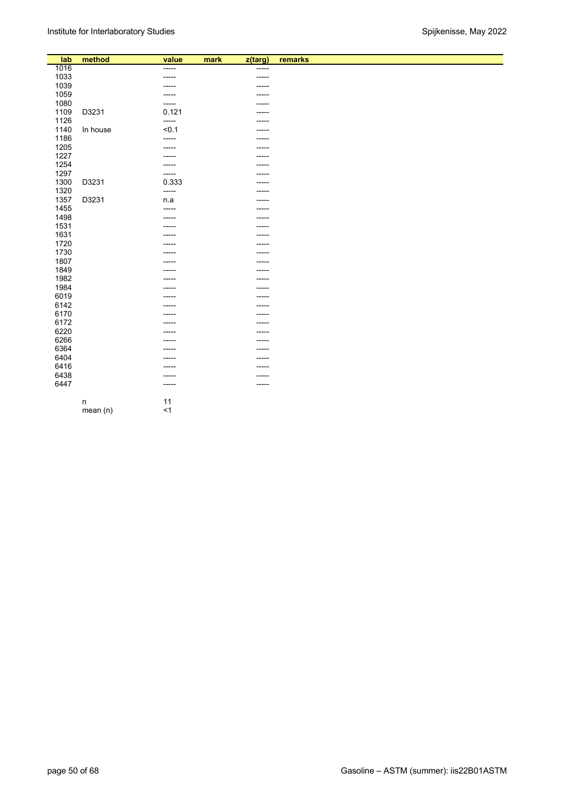| lab  | method   | value  | mark | z(targ)     | remarks |
|------|----------|--------|------|-------------|---------|
| 1016 |          | -----  |      | -----       |         |
| 1033 |          | -----  |      | -----       |         |
| 1039 |          | -----  |      | -----       |         |
| 1059 |          |        |      | -----       |         |
| 1080 |          | -----  |      | -----       |         |
| 1109 | D3231    | 0.121  |      | -----       |         |
| 1126 |          | -----  |      | -----       |         |
| 1140 | In house | < 0.1  |      |             |         |
| 1186 |          | -----  |      | -----       |         |
| 1205 |          | -----  |      | -----       |         |
| 1227 |          | -----  |      | -----       |         |
| 1254 |          | -----  |      | -----       |         |
| 1297 |          | -----  |      | -----       |         |
| 1300 | D3231    | 0.333  |      |             |         |
| 1320 |          | -----  |      | -----       |         |
| 1357 | D3231    | n.a    |      | -----       |         |
| 1455 |          | -----  |      | -----       |         |
| 1498 |          | -----  |      | -----       |         |
| 1531 |          |        |      |             |         |
| 1631 |          | -----  |      | -----       |         |
| 1720 |          |        |      | -----       |         |
| 1730 |          | -----  |      | -----       |         |
| 1807 |          |        |      | -----       |         |
| 1849 |          |        |      |             |         |
| 1982 |          |        |      |             |         |
| 1984 |          |        |      | -----       |         |
| 6019 |          |        |      | -----       |         |
| 6142 |          |        |      | -----       |         |
| 6170 |          |        |      | -----       |         |
| 6172 |          |        |      | -----       |         |
| 6220 |          |        |      | -----       |         |
| 6266 |          | -----  |      | -----       |         |
| 6364 |          |        |      | -----       |         |
| 6404 |          |        |      | -----       |         |
| 6416 |          |        |      |             |         |
| 6438 |          | -----  |      | -----       |         |
| 6447 |          | ------ |      | $- - - - -$ |         |
|      |          |        |      |             |         |
|      | $\sf n$  | 11     |      |             |         |
|      | mean(n)  | < 1    |      |             |         |
|      |          |        |      |             |         |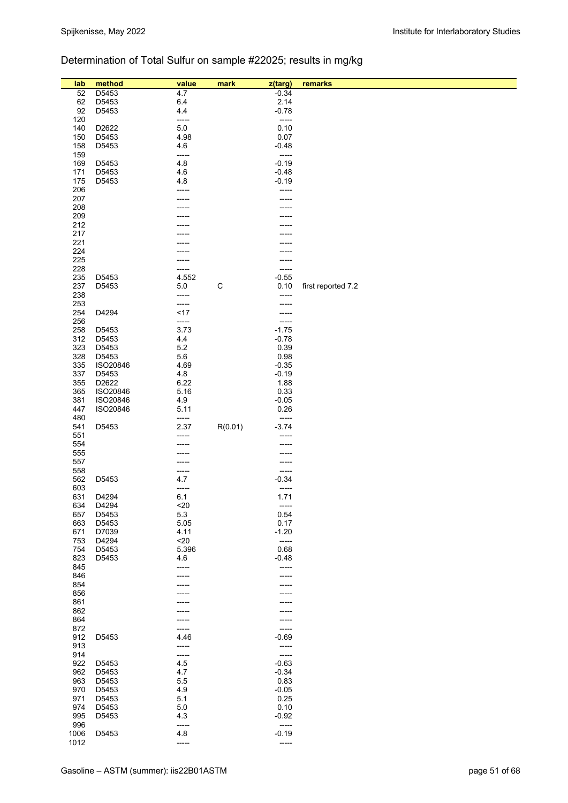# Determination of Total Sulfur on sample #22025; results in mg/kg

| lab        | method         | value          | mark        | z(targ)          | remarks            |
|------------|----------------|----------------|-------------|------------------|--------------------|
| 52         | D5453          | 4.7            |             | $-0.34$          |                    |
| 62         | D5453          | 6.4            |             | 2.14             |                    |
| 92         | D5453          | 4.4            |             | $-0.78$          |                    |
| 120        |                | -----          |             | -----            |                    |
| 140<br>150 | D2622<br>D5453 | 5.0<br>4.98    |             | 0.10<br>0.07     |                    |
| 158        | D5453          | 4.6            |             | $-0.48$          |                    |
| 159        |                | -----          |             | -----            |                    |
| 169        | D5453          | 4.8            |             | $-0.19$          |                    |
| 171        | D5453          | 4.6            |             | $-0.48$          |                    |
| 175        | D5453          | 4.8            |             | $-0.19$          |                    |
| 206<br>207 |                | -----          |             | -----            |                    |
| 208        |                |                |             |                  |                    |
| 209        |                |                |             |                  |                    |
| 212        |                |                |             |                  |                    |
| 217        |                |                |             |                  |                    |
| 221<br>224 |                |                |             |                  |                    |
| 225        |                |                |             |                  |                    |
| 228        |                | -----          |             | -----            |                    |
| 235        | D5453          | 4.552          |             | $-0.55$          |                    |
| 237        | D5453          | 5.0            | $\mathsf C$ | 0.10             | first reported 7.2 |
| 238<br>253 |                | -----<br>----- |             | -----            |                    |
| 254        | D4294          | <17            |             |                  |                    |
| 256        |                | -----          |             | -----            |                    |
| 258        | D5453          | 3.73           |             | $-1.75$          |                    |
| 312        | D5453          | 4.4            |             | $-0.78$          |                    |
| 323<br>328 | D5453<br>D5453 | 5.2<br>5.6     |             | 0.39<br>0.98     |                    |
| 335        | ISO20846       | 4.69           |             | $-0.35$          |                    |
| 337        | D5453          | 4.8            |             | $-0.19$          |                    |
| 355        | D2622          | 6.22           |             | 1.88             |                    |
| 365        | ISO20846       | 5.16           |             | 0.33             |                    |
| 381        | ISO20846       | 4.9<br>5.11    |             | $-0.05$<br>0.26  |                    |
| 447<br>480 | ISO20846       | -----          |             | -----            |                    |
| 541        | D5453          | 2.37           | R(0.01)     | $-3.74$          |                    |
| 551        |                |                |             | -----            |                    |
| 554        |                |                |             |                  |                    |
| 555<br>557 |                |                |             |                  |                    |
| 558        |                | -----          |             | -----            |                    |
| 562        | D5453          | 4.7            |             | $-0.34$          |                    |
| 603        |                | -----          |             | -----            |                    |
| 631        | D4294          | 6.1            |             | 1.71             |                    |
| 634<br>657 | D4294          | $20$<br>5.3    |             | -----<br>0.54    |                    |
| 663        | D5453<br>D5453 | 5.05           |             | 0.17             |                    |
| 671        | D7039          | 4.11           |             | $-1.20$          |                    |
| 753        | D4294          | $20$           |             | -----            |                    |
| 754        | D5453          | 5.396          |             | 0.68             |                    |
| 823        | D5453          | 4.6<br>-----   |             | $-0.48$<br>----- |                    |
| 845<br>846 |                |                |             |                  |                    |
| 854        |                |                |             |                  |                    |
| 856        |                |                |             |                  |                    |
| 861        |                |                |             |                  |                    |
| 862        |                |                |             |                  |                    |
| 864<br>872 |                |                |             | -----            |                    |
| 912        | D5453          | 4.46           |             | $-0.69$          |                    |
| 913        |                |                |             | -----            |                    |
| 914        |                | -----          |             | -----            |                    |
| 922<br>962 | D5453          | 4.5<br>4.7     |             | $-0.63$          |                    |
| 963        | D5453<br>D5453 | 5.5            |             | $-0.34$<br>0.83  |                    |
| 970        | D5453          | 4.9            |             | $-0.05$          |                    |
| 971        | D5453          | 5.1            |             | 0.25             |                    |
| 974        | D5453          | 5.0            |             | 0.10             |                    |
| 995<br>996 | D5453          | 4.3<br>-----   |             | $-0.92$<br>----- |                    |
| 1006       | D5453          | 4.8            |             | $-0.19$          |                    |
| 1012       |                | -----          |             | -----            |                    |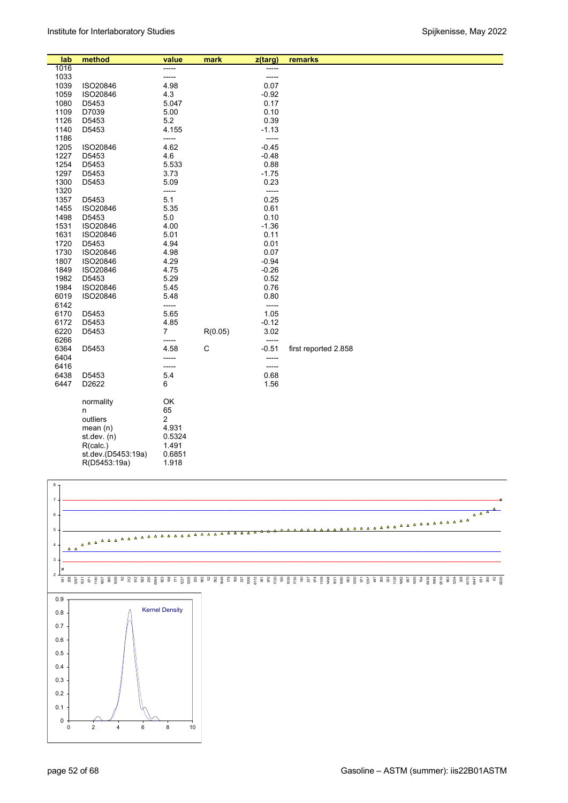| lab  | method             | value          | mark    | z(targ) | remarks              |
|------|--------------------|----------------|---------|---------|----------------------|
| 1016 |                    | -----          |         | -----   |                      |
| 1033 |                    | -----          |         | -----   |                      |
| 1039 | ISO20846           | 4.98           |         | 0.07    |                      |
| 1059 | ISO20846           | 4.3            |         | $-0.92$ |                      |
| 1080 | D5453              | 5.047          |         | 0.17    |                      |
| 1109 | D7039              | 5.00           |         | 0.10    |                      |
| 1126 | D5453              | 5.2            |         | 0.39    |                      |
| 1140 | D5453              | 4.155          |         | $-1.13$ |                      |
| 1186 |                    | -----          |         | -----   |                      |
| 1205 | ISO20846           | 4.62           |         | $-0.45$ |                      |
| 1227 | D5453              | 4.6            |         | $-0.48$ |                      |
| 1254 | D5453              | 5.533          |         | 0.88    |                      |
| 1297 | D5453              | 3.73           |         | $-1.75$ |                      |
| 1300 | D5453              | 5.09           |         | 0.23    |                      |
| 1320 |                    | -----          |         | -----   |                      |
| 1357 | D5453              | 5.1            |         | 0.25    |                      |
| 1455 | ISO20846           | 5.35           |         | 0.61    |                      |
| 1498 | D5453              | 5.0            |         | 0.10    |                      |
| 1531 | ISO20846           | 4.00           |         | $-1.36$ |                      |
| 1631 | ISO20846           | 5.01           |         | 0.11    |                      |
| 1720 | D5453              | 4.94           |         | 0.01    |                      |
| 1730 | ISO20846           | 4.98           |         | 0.07    |                      |
| 1807 | ISO20846           | 4.29           |         | $-0.94$ |                      |
| 1849 | ISO20846           | 4.75           |         | $-0.26$ |                      |
| 1982 | D5453              | 5.29           |         | 0.52    |                      |
| 1984 | ISO20846           | 5.45           |         | 0.76    |                      |
| 6019 | ISO20846           | 5.48           |         | 0.80    |                      |
| 6142 |                    | -----          |         | -----   |                      |
| 6170 | D5453              | 5.65           |         | 1.05    |                      |
| 6172 | D5453              | 4.85           |         | $-0.12$ |                      |
| 6220 | D5453              | $\overline{7}$ | R(0.05) | 3.02    |                      |
| 6266 |                    | -----          |         | -----   |                      |
| 6364 | D5453              | 4.58           | C       | $-0.51$ | first reported 2.858 |
| 6404 |                    | -----          |         | -----   |                      |
| 6416 |                    | -----          |         | -----   |                      |
| 6438 | D5453              | 5.4            |         | 0.68    |                      |
| 6447 | D2622              | 6              |         | 1.56    |                      |
|      |                    |                |         |         |                      |
|      | normality          | OK             |         |         |                      |
|      | n                  | 65             |         |         |                      |
|      | outliers           | 2              |         |         |                      |
|      | mean $(n)$         | 4.931          |         |         |                      |
|      | st.dev. $(n)$      | 0.5324         |         |         |                      |
|      | R(calc.)           | 1.491          |         |         |                      |
|      | st.dev.(D5453:19a) | 0.6851         |         |         |                      |
|      | R(D5453:19a)       | 1.918          |         |         |                      |

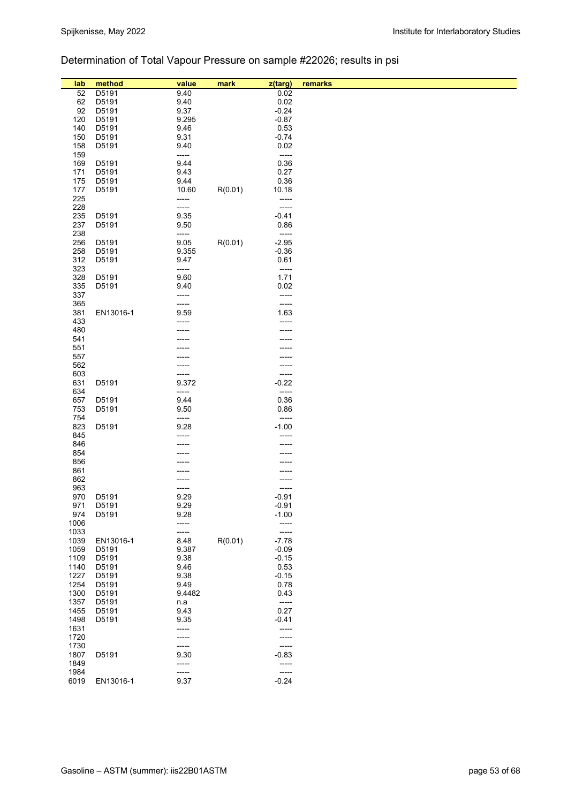# Determination of Total Vapour Pressure on sample #22026; results in psi

| lab          | method         | value         | mark    | z(targ)         | remarks |
|--------------|----------------|---------------|---------|-----------------|---------|
| 52           | D5191          | 9.40          |         | 0.02            |         |
| 62<br>92     | D5191<br>D5191 | 9.40<br>9.37  |         | 0.02<br>$-0.24$ |         |
| 120          | D5191          | 9.295         |         | $-0.87$         |         |
| 140          | D5191          | 9.46          |         | 0.53            |         |
| 150          | D5191          | 9.31          |         | $-0.74$         |         |
| 158          | D5191          | 9.40          |         | 0.02            |         |
| 159          |                | -----         |         | -----           |         |
| 169          | D5191          | 9.44          |         | 0.36            |         |
| 171          | D5191          | 9.43          |         | 0.27            |         |
| 175          | D5191          | 9.44          |         | 0.36            |         |
| 177          | D5191          | 10.60         | R(0.01) | 10.18           |         |
| 225          |                | -----         |         | -----           |         |
| 228          |                | -----         |         | -----           |         |
| 235          | D5191          | 9.35          |         | $-0.41$         |         |
| 237          | D5191          | 9.50          |         | 0.86            |         |
| 238          |                | -----         |         | -----           |         |
| 256          | D5191          | 9.05          | R(0.01) | $-2.95$         |         |
| 258<br>312   | D5191<br>D5191 | 9.355<br>9.47 |         | $-0.36$<br>0.61 |         |
| 323          |                | -----         |         | -----           |         |
| 328          | D5191          | 9.60          |         | 1.71            |         |
| 335          | D5191          | 9.40          |         | 0.02            |         |
| 337          |                | -----         |         | -----           |         |
| 365          |                | -----         |         | -----           |         |
| 381          | EN13016-1      | 9.59          |         | 1.63            |         |
| 433          |                |               |         | -----           |         |
| 480          |                |               |         |                 |         |
| 541          |                |               |         |                 |         |
| 551          |                |               |         |                 |         |
| 557<br>562   |                |               |         |                 |         |
| 603          |                |               |         | -----           |         |
| 631          | D5191          | 9.372         |         | $-0.22$         |         |
| 634          |                | -----         |         | -----           |         |
| 657          | D5191          | 9.44          |         | 0.36            |         |
| 753          | D5191          | 9.50          |         | 0.86            |         |
| 754          |                | -----         |         | -----           |         |
| 823          | D5191          | 9.28          |         | $-1.00$         |         |
| 845          |                |               |         |                 |         |
| 846          |                |               |         |                 |         |
| 854          |                |               |         |                 |         |
| 856          |                |               |         |                 |         |
| 861<br>862   |                |               |         |                 |         |
| 963          |                |               |         | -----           |         |
| 970          | D5191          | 9.29          |         | $-0.91$         |         |
| 971          | D5191          | 9.29          |         | $-0.91$         |         |
| 974          | D5191          | 9.28          |         | $-1.00$         |         |
| 1006         |                | -----         |         | -----           |         |
| 1033         |                | -----         |         | ----            |         |
| 1039         | EN13016-1      | 8.48          | R(0.01) | $-7.78$         |         |
| 1059         | D5191          | 9.387         |         | $-0.09$         |         |
| 1109         | D5191          | 9.38          |         | $-0.15$         |         |
| 1140         | D5191          | 9.46          |         | 0.53            |         |
| 1227<br>1254 | D5191<br>D5191 | 9.38<br>9.49  |         | $-0.15$<br>0.78 |         |
| 1300         | D5191          | 9.4482        |         | 0.43            |         |
| 1357         | D5191          | n.a           |         | -----           |         |
| 1455         | D5191          | 9.43          |         | 0.27            |         |
| 1498         | D5191          | 9.35          |         | $-0.41$         |         |
| 1631         |                | -----         |         | -----           |         |
| 1720         |                |               |         |                 |         |
| 1730         |                | -----         |         | -----           |         |
| 1807         | D5191          | 9.30          |         | $-0.83$         |         |
| 1849         |                | -----         |         | -----           |         |
| 1984         |                | -----         |         | -----           |         |
| 6019         | EN13016-1      | 9.37          |         | $-0.24$         |         |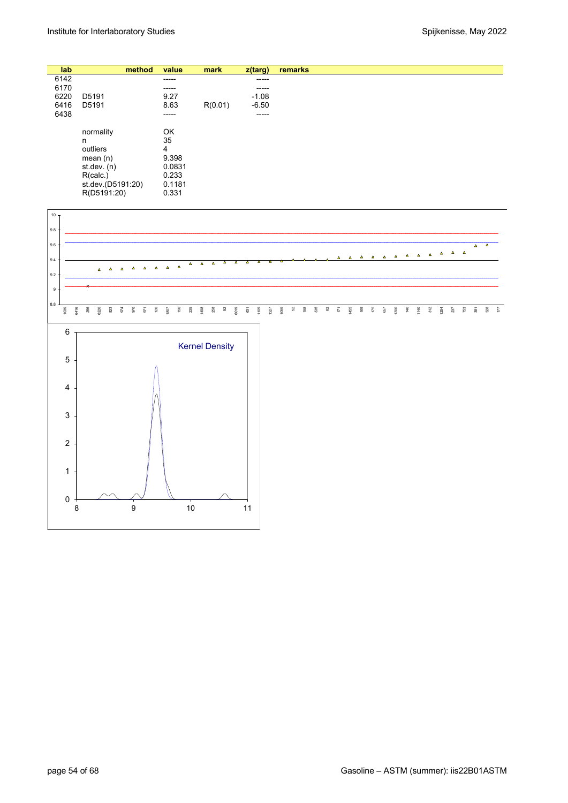| lab  |                   | method | value  | mark    | z(targ) | remarks |
|------|-------------------|--------|--------|---------|---------|---------|
| 6142 |                   |        | -----  |         | -----   |         |
| 6170 |                   |        | -----  |         | -----   |         |
| 6220 | D5191             |        | 9.27   |         | $-1.08$ |         |
| 6416 | D5191             |        | 8.63   | R(0.01) | $-6.50$ |         |
| 6438 |                   |        | -----  |         | -----   |         |
|      | normality         |        | OK     |         |         |         |
|      | n                 |        | 35     |         |         |         |
|      | outliers          |        | 4      |         |         |         |
|      | mean $(n)$        |        | 9.398  |         |         |         |
|      | st.dev. $(n)$     |        | 0.0831 |         |         |         |
|      | R(calc.)          |        | 0.233  |         |         |         |
|      | st.dev.(D5191:20) |        | 0.1181 |         |         |         |
|      | R(D5191:20)       |        | 0.331  |         |         |         |

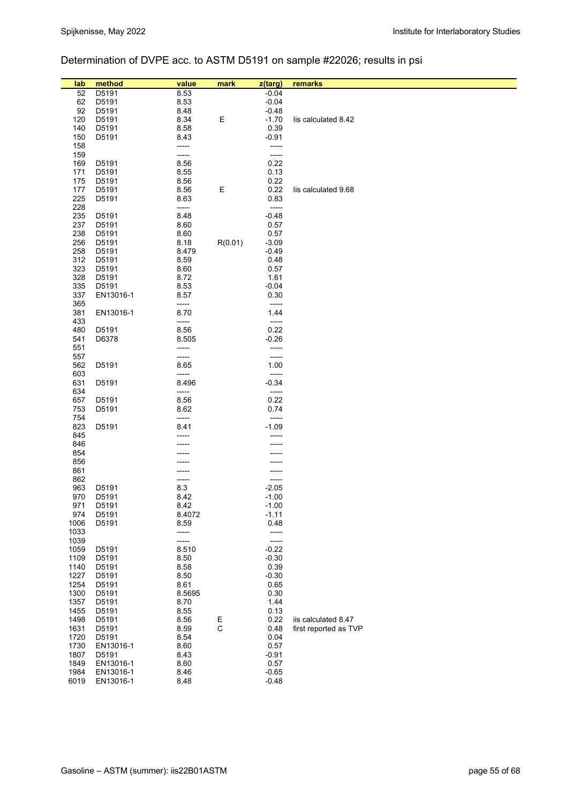# Determination of DVPE acc. to ASTM D5191 on sample #22026; results in psi

| lab          |                 |                |             |                    |                       |
|--------------|-----------------|----------------|-------------|--------------------|-----------------------|
| 52           | method<br>D5191 | value<br>8.53  | mark        | z(targ)<br>$-0.04$ | remarks               |
| 62           | D5191           | 8.53           |             | $-0.04$            |                       |
| 92           | D5191           | 8.48           |             | $-0.48$            |                       |
| 120          | D5191           | 8.34           | Ε           | $-1.70$            | lis calculated 8.42   |
| 140          | D5191           | 8.58           |             | 0.39               |                       |
| 150          | D5191           | 8.43           |             | $-0.91$            |                       |
| 158          |                 | -----          |             | -----              |                       |
| 159          |                 | -----          |             | -----              |                       |
| 169          | D5191           | 8.56           |             | 0.22               |                       |
| 171          | D5191           | 8.55           |             | 0.13               |                       |
| 175          | D5191           | 8.56           |             | 0.22               |                       |
| 177          | D5191           | 8.56           | Ε           | 0.22               | lis calculated 9.68   |
| 225          | D5191           | 8.63           |             | 0.83               |                       |
| 228          |                 | -----          |             | -----              |                       |
| 235          | D5191           | 8.48           |             | $-0.48$            |                       |
| 237<br>238   | D5191<br>D5191  | 8.60<br>8.60   |             | 0.57<br>0.57       |                       |
| 256          | D5191           | 8.18           | R(0.01)     | $-3.09$            |                       |
| 258          | D5191           | 8.479          |             | $-0.49$            |                       |
| 312          | D5191           | 8.59           |             | 0.48               |                       |
| 323          | D5191           | 8.60           |             | 0.57               |                       |
| 328          | D5191           | 8.72           |             | 1.61               |                       |
| 335          | D5191           | 8.53           |             | $-0.04$            |                       |
| 337          | EN13016-1       | 8.57           |             | 0.30               |                       |
| 365          |                 | -----          |             | -----              |                       |
| 381          | EN13016-1       | 8.70           |             | 1.44               |                       |
| 433          |                 | -----          |             | -----              |                       |
| 480          | D5191           | 8.56           |             | 0.22               |                       |
| 541<br>551   | D6378           | 8.505<br>----- |             | $-0.26$<br>-----   |                       |
| 557          |                 | -----          |             | -----              |                       |
| 562          | D5191           | 8.65           |             | 1.00               |                       |
| 603          |                 | -----          |             | -----              |                       |
| 631          | D5191           | 8.496          |             | $-0.34$            |                       |
| 634          |                 | -----          |             | -----              |                       |
| 657          | D5191           | 8.56           |             | 0.22               |                       |
| 753          | D5191           | 8.62           |             | 0.74               |                       |
| 754          | D5191           | -----          |             | -----<br>$-1.09$   |                       |
| 823<br>845   |                 | 8.41           |             |                    |                       |
| 846          |                 |                |             |                    |                       |
| 854          |                 |                |             |                    |                       |
| 856          |                 |                |             |                    |                       |
| 861          |                 |                |             |                    |                       |
| 862          |                 | -----          |             | -----              |                       |
| 963          | D5191           | 8.3            |             | $-2.05$            |                       |
| 970          | D5191           | 8.42           |             | $-1.00$            |                       |
| 971          | D5191           | 8.42           |             | $-1.00$            |                       |
| 974          | D5191           | 8.4072         |             | $-1.11$            |                       |
| 1006<br>1033 | D5191           | 8.59<br>-----  |             | 0.48<br>-----      |                       |
| 1039         |                 | -----          |             | -----              |                       |
| 1059         | D5191           | 8.510          |             | $-0.22$            |                       |
| 1109         | D5191           | 8.50           |             | $-0.30$            |                       |
| 1140         | D5191           | 8.58           |             | 0.39               |                       |
| 1227         | D5191           | 8.50           |             | $-0.30$            |                       |
| 1254         | D5191           | 8.61           |             | 0.65               |                       |
| 1300         | D5191           | 8.5695         |             | 0.30               |                       |
| 1357         | D5191           | 8.70           |             | 1.44               |                       |
| 1455         | D5191           | 8.55           |             | 0.13               |                       |
| 1498         | D5191           | 8.56           | E           | 0.22               | iis calculated 8.47   |
| 1631<br>1720 | D5191<br>D5191  | 8.59<br>8.54   | $\mathsf C$ | 0.48<br>0.04       | first reported as TVP |
| 1730         | EN13016-1       | 8.60           |             | 0.57               |                       |
| 1807         | D5191           | 8.43           |             | $-0.91$            |                       |
| 1849         | EN13016-1       | 8.60           |             | 0.57               |                       |
| 1984         | EN13016-1       | 8.46           |             | $-0.65$            |                       |
| 6019         | EN13016-1       | 8.48           |             | $-0.48$            |                       |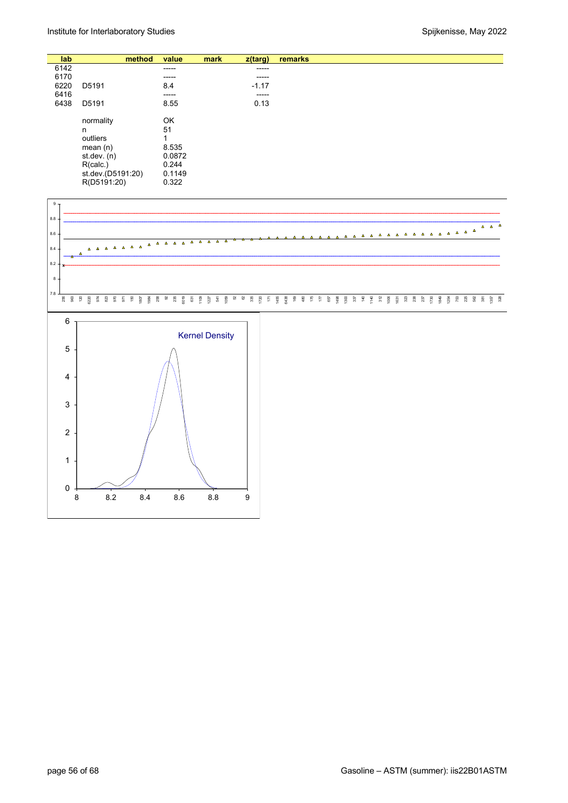| lab  |                   | method | value  | mark | z(targ) | remarks |
|------|-------------------|--------|--------|------|---------|---------|
| 6142 |                   |        | -----  |      | -----   |         |
| 6170 |                   |        | -----  |      | -----   |         |
| 6220 | D5191             |        | 8.4    |      | $-1.17$ |         |
| 6416 |                   |        | ------ |      | -----   |         |
| 6438 | D5191             |        | 8.55   |      | 0.13    |         |
|      |                   |        |        |      |         |         |
|      | normality         |        | OK     |      |         |         |
|      | n                 |        | 51     |      |         |         |
|      | outliers          |        | 1      |      |         |         |
|      | mean $(n)$        |        | 8.535  |      |         |         |
|      | st.dev. (n)       |        | 0.0872 |      |         |         |
|      | R(calc.)          |        | 0.244  |      |         |         |
|      | st.dev.(D5191:20) |        | 0.1149 |      |         |         |
|      | R(D5191:20)       |        | 0.322  |      |         |         |

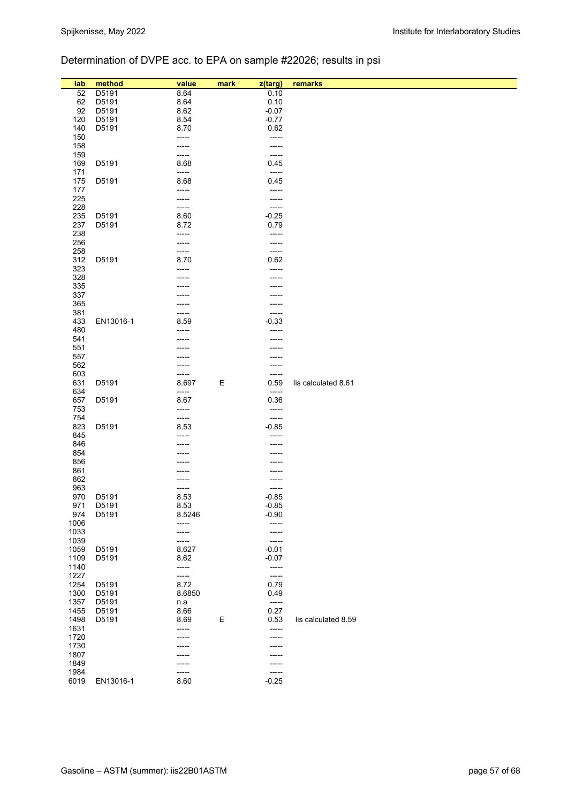# Determination of DVPE acc. to EPA on sample #22026; results in psi

| lab          | method    | value          | mark | z(targ)        | remarks             |
|--------------|-----------|----------------|------|----------------|---------------------|
| 52           | D5191     | 8.64           |      | 0.10           |                     |
| 62           | D5191     | 8.64           |      | 0.10           |                     |
| 92           | D5191     | 8.62           |      | $-0.07$        |                     |
| 120          | D5191     | 8.54           |      | $-0.77$        |                     |
| 140          | D5191     | 8.70           |      | 0.62           |                     |
| 150          |           | -----          |      | -----          |                     |
| 158          |           |                |      | -----          |                     |
| 159          |           | -----          |      | -----          |                     |
| 169          | D5191     | 8.68           |      | 0.45           |                     |
| 171<br>175   | D5191     | -----<br>8.68  |      | -----<br>0.45  |                     |
| 177          |           | -----          |      | -----          |                     |
| 225          |           | -----          |      | -----          |                     |
| 228          |           | -----          |      | -----          |                     |
| 235          | D5191     | 8.60           |      | $-0.25$        |                     |
| 237          | D5191     | 8.72           |      | 0.79           |                     |
| 238          |           | -----          |      | -----          |                     |
| 256          |           | -----          |      | -----          |                     |
| 258          |           | -----          |      | -----          |                     |
| 312          | D5191     | 8.70           |      | 0.62           |                     |
| 323          |           |                |      | -----          |                     |
| 328<br>335   |           |                |      |                |                     |
| 337          |           |                |      |                |                     |
| 365          |           |                |      |                |                     |
| 381          |           |                |      | -----          |                     |
| 433          | EN13016-1 | 8.59           |      | $-0.33$        |                     |
| 480          |           |                |      |                |                     |
| 541          |           |                |      |                |                     |
| 551          |           |                |      |                |                     |
| 557          |           |                |      |                |                     |
| 562          |           |                |      |                |                     |
| 603<br>631   | D5191     | -----<br>8.697 | Ε    | -----<br>0.59  | lis calculated 8.61 |
| 634          |           | -----          |      | -----          |                     |
| 657          | D5191     | 8.67           |      | 0.36           |                     |
| 753          |           | -----          |      | -----          |                     |
| 754          |           | -----          |      | -----          |                     |
| 823          | D5191     | 8.53           |      | $-0.85$        |                     |
| 845          |           | -----          |      | -----          |                     |
| 846          |           |                |      |                |                     |
| 854<br>856   |           |                |      |                |                     |
| 861          |           |                |      |                |                     |
| 862          |           |                |      |                |                     |
| 963          |           | -----          |      | -----          |                     |
| 970          | D5191     | 8.53           |      | $-0.85$        |                     |
| 971          | D5191     | 8.53           |      | $-0.85$        |                     |
| 974          | D5191     | 8.5246         |      | $-0.90$        |                     |
| 1006         |           | -----          |      | -----          |                     |
| 1033<br>1039 |           | -----<br>----- |      | -----<br>----- |                     |
| 1059         | D5191     | 8.627          |      | $-0.01$        |                     |
| 1109         | D5191     | 8.62           |      | $-0.07$        |                     |
| 1140         |           | -----          |      | -----          |                     |
| 1227         |           | -----          |      | -----          |                     |
| 1254         | D5191     | 8.72           |      | 0.79           |                     |
| 1300         | D5191     | 8.6850         |      | 0.49           |                     |
| 1357         | D5191     | n.a            |      | $-----$        |                     |
| 1455         | D5191     | 8.66           |      | 0.27           |                     |
| 1498<br>1631 | D5191     | 8.69<br>-----  | Ε    | 0.53           | lis calculated 8.59 |
| 1720         |           | -----          |      | -----<br>----- |                     |
| 1730         |           | -----          |      | -----          |                     |
| 1807         |           |                |      |                |                     |
| 1849         |           | ------         |      | -----          |                     |
| 1984         |           | -----          |      | -----          |                     |
| 6019         | EN13016-1 | 8.60           |      | $-0.25$        |                     |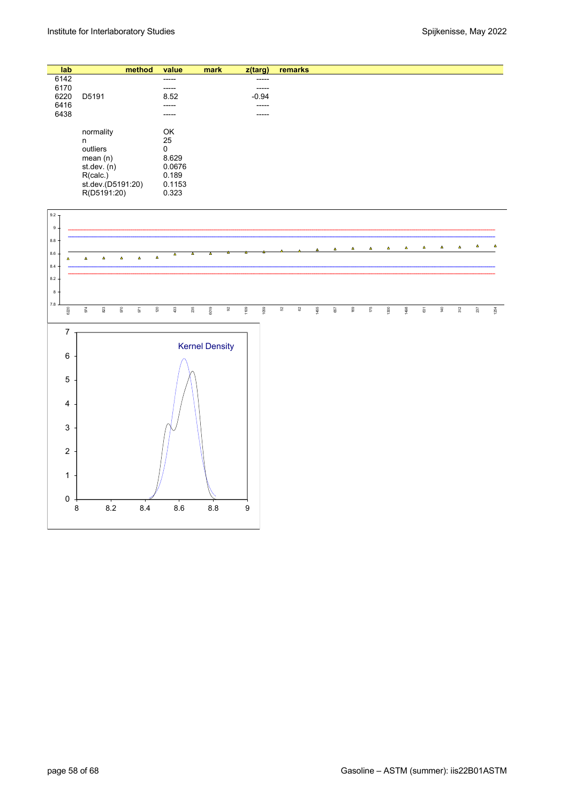| lab  |                   | method | value  | mark | z(targ) | remarks |
|------|-------------------|--------|--------|------|---------|---------|
| 6142 |                   |        | -----  |      | -----   |         |
| 6170 |                   |        | -----  |      | -----   |         |
| 6220 | D5191             |        | 8.52   |      | $-0.94$ |         |
| 6416 |                   |        | -----  |      | -----   |         |
| 6438 |                   |        | -----  |      | -----   |         |
|      | normality         |        | OK     |      |         |         |
|      | n                 |        | 25     |      |         |         |
|      | outliers          |        | 0      |      |         |         |
|      | mean(n)           |        | 8.629  |      |         |         |
|      | st.dev. (n)       |        | 0.0676 |      |         |         |
|      | R(calc.)          |        | 0.189  |      |         |         |
|      | st.dev.(D5191:20) |        | 0.1153 |      |         |         |
|      | R(D5191:20)       |        | 0.323  |      |         |         |

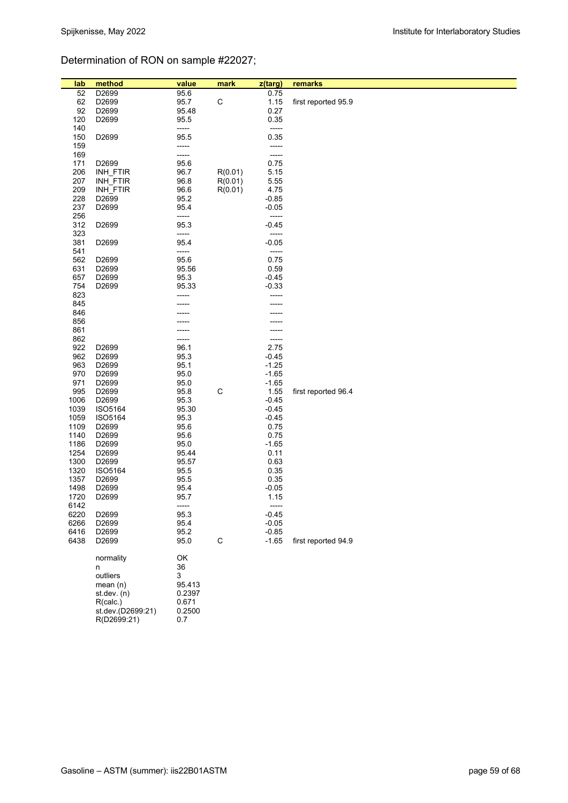# Determination of RON on sample #22027;

| lab          | method            | value        | mark        | z(targ)         | remarks             |
|--------------|-------------------|--------------|-------------|-----------------|---------------------|
| 52           | D2699             | 95.6         |             | 0.75            |                     |
| 62           | D2699             | 95.7         | $\mathsf C$ | 1.15            | first reported 95.9 |
| 92           | D2699             | 95.48        |             | 0.27            |                     |
| 120          | D2699             | 95.5         |             | 0.35            |                     |
| 140          |                   | -----        |             | -----           |                     |
| 150          | D2699             | 95.5         |             | 0.35            |                     |
| 159          |                   | -----        |             | -----           |                     |
| 169          |                   | -----        |             | -----           |                     |
| 171          | D2699             | 95.6         |             | 0.75            |                     |
| 206          | INH FTIR          | 96.7         | R(0.01)     | 5.15            |                     |
| 207          | INH_FTIR          | 96.8         | R(0.01)     | 5.55            |                     |
| 209          | INH FTIR          | 96.6         | R(0.01)     | 4.75            |                     |
| 228          | D2699             | 95.2         |             | $-0.85$         |                     |
| 237          | D2699             | 95.4         |             | $-0.05$         |                     |
| 256          |                   | -----        |             | -----           |                     |
| 312          | D2699             | 95.3         |             | $-0.45$         |                     |
| 323          |                   | -----        |             | -----           |                     |
| 381          | D2699             | 95.4         |             | $-0.05$         |                     |
| 541          |                   | -----        |             | -----           |                     |
| 562          | D2699             | 95.6         |             | 0.75            |                     |
| 631          | D2699             | 95.56        |             | 0.59            |                     |
| 657          | D2699             | 95.3         |             | $-0.45$         |                     |
| 754          | D2699             | 95.33        |             | $-0.33$         |                     |
| 823          |                   |              |             |                 |                     |
| 845          |                   |              |             |                 |                     |
| 846          |                   |              |             |                 |                     |
| 856          |                   |              |             |                 |                     |
| 861          |                   |              |             |                 |                     |
| 862          |                   |              |             | -----           |                     |
| 922          | D <sub>2699</sub> | 96.1         |             | 2.75            |                     |
| 962          | D2699             | 95.3         |             | $-0.45$         |                     |
| 963          | D2699             | 95.1         |             | $-1.25$         |                     |
| 970          | D2699             | 95.0         |             | $-1.65$         |                     |
| 971          | D2699             | 95.0         |             | $-1.65$         |                     |
| 995          | D2699             | 95.8         | $\mathsf C$ | 1.55            | first reported 96.4 |
| 1006         | D2699             | 95.3         |             | $-0.45$         |                     |
| 1039         | ISO5164           | 95.30        |             | $-0.45$         |                     |
| 1059         | ISO5164           | 95.3         |             | $-0.45$         |                     |
| 1109         | D2699             | 95.6         |             | 0.75            |                     |
| 1140         | D2699             | 95.6         |             | 0.75            |                     |
| 1186         | D2699             | 95.0         |             | $-1.65$         |                     |
| 1254         | D2699             | 95.44        |             | 0.11            |                     |
| 1300<br>1320 | D2699<br>ISO5164  | 95.57        |             | 0.63            |                     |
| 1357         |                   | 95.5         |             | 0.35            |                     |
| 1498         | D2699<br>D2699    | 95.5<br>95.4 |             | 0.35            |                     |
| 1720         | D2699             | 95.7         |             | $-0.05$<br>1.15 |                     |
| 6142         |                   | -----        |             | -----           |                     |
| 6220         | D2699             | 95.3         |             | $-0.45$         |                     |
| 6266         | D2699             | 95.4         |             | $-0.05$         |                     |
| 6416         | D2699             | 95.2         |             | $-0.85$         |                     |
| 6438         | D2699             | 95.0         | $\mathsf C$ | $-1.65$         | first reported 94.9 |
|              |                   |              |             |                 |                     |
|              | normality         | OK           |             |                 |                     |
|              | n                 | 36           |             |                 |                     |
|              | outliers          | 3            |             |                 |                     |
|              | mean(n)           | 95.413       |             |                 |                     |
|              | st.dev. (n)       | 0.2397       |             |                 |                     |
|              | R(calc.)          | 0.671        |             |                 |                     |
|              | st.dev.(D2699:21) | 0.2500       |             |                 |                     |
|              | R(D2699:21)       | 0.7          |             |                 |                     |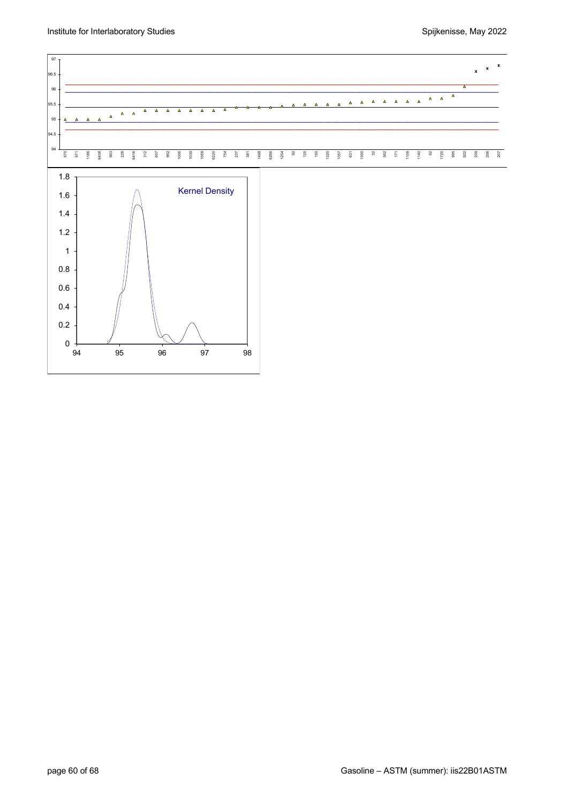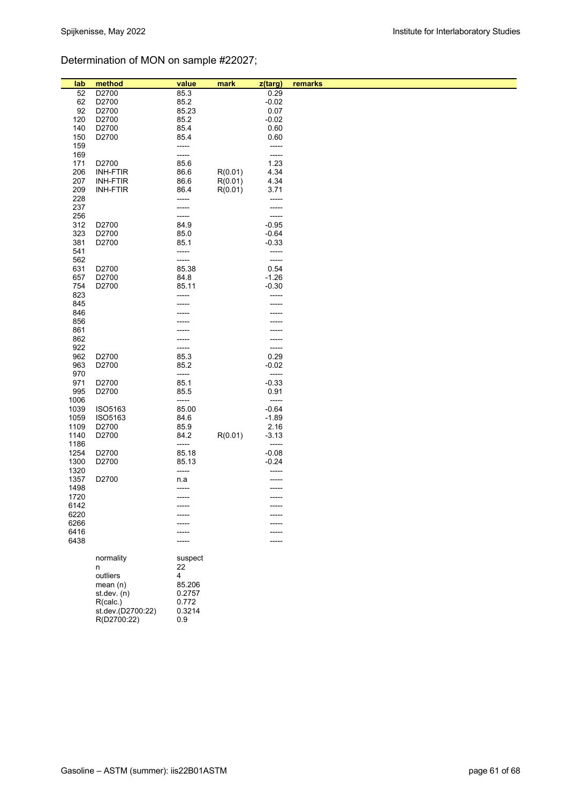# Determination of MON on sample #22027;

| lab        | method            | value         | mark    | z(targ)          | remarks |
|------------|-------------------|---------------|---------|------------------|---------|
| 52         | D2700             | 85.3          |         | 0.29             |         |
| 62         | D2700             | 85.2          |         | $-0.02$          |         |
| 92         | D2700             | 85.23         |         | 0.07             |         |
| 120        | D2700             | 85.2          |         | $-0.02$          |         |
| 140        | D2700             | 85.4          |         | 0.60             |         |
| 150        | D2700             | 85.4          |         | 0.60             |         |
| 159<br>169 |                   | -----         |         | -----<br>-----   |         |
| 171        | D2700             | -----<br>85.6 |         | 1.23             |         |
| 206        | <b>INH-FTIR</b>   | 86.6          | R(0.01) | 4.34             |         |
| 207        | <b>INH-FTIR</b>   | 86.6          | R(0.01) | 4.34             |         |
| 209        | <b>INH-FTIR</b>   | 86.4          | R(0.01) | 3.71             |         |
| 228        |                   | -----         |         | -----            |         |
| 237        |                   | -----         |         | -----            |         |
| 256        |                   | -----         |         | -----            |         |
| 312        | D2700             | 84.9          |         | $-0.95$          |         |
| 323        | D2700             | 85.0          |         | $-0.64$          |         |
| 381        | D2700             | 85.1          |         | $-0.33$          |         |
| 541        |                   | -----         |         | -----            |         |
| 562        |                   | -----         |         | -----            |         |
| 631        | D2700             | 85.38         |         | 0.54             |         |
| 657        | D2700             | 84.8          |         | $-1.26$          |         |
| 754        | D2700             | 85.11         |         | $-0.30$          |         |
| 823        |                   |               |         | -----            |         |
| 845        |                   |               |         |                  |         |
| 846        |                   |               |         |                  |         |
| 856        |                   |               |         |                  |         |
| 861        |                   |               |         |                  |         |
| 862        |                   |               |         |                  |         |
| 922        |                   | -----         |         | -----            |         |
| 962        | D2700             | 85.3          |         | 0.29             |         |
| 963        | D2700             | 85.2          |         | $-0.02$          |         |
| 970<br>971 | D2700             | -----<br>85.1 |         | -----<br>$-0.33$ |         |
| 995        | D2700             | 85.5          |         | 0.91             |         |
| 1006       |                   | -----         |         | -----            |         |
| 1039       | ISO5163           | 85.00         |         | $-0.64$          |         |
| 1059       | ISO5163           | 84.6          |         | $-1.89$          |         |
| 1109       | D2700             | 85.9          |         | 2.16             |         |
| 1140       | D2700             | 84.2          | R(0.01) | $-3.13$          |         |
| 1186       |                   | -----         |         | -----            |         |
| 1254       | D2700             | 85.18         |         | $-0.08$          |         |
| 1300       | D2700             | 85.13         |         | $-0.24$          |         |
| 1320       |                   | -----         |         |                  |         |
| 1357       | D2700             | n.a           |         |                  |         |
| 1498       |                   | -----         |         |                  |         |
| 1720       |                   | -----         |         | -----            |         |
| 6142       |                   |               |         |                  |         |
| 6220       |                   |               |         |                  |         |
| 6266       |                   |               |         |                  |         |
| 6416       |                   |               |         |                  |         |
| 6438       |                   |               |         |                  |         |
|            | normality         | suspect       |         |                  |         |
|            | n                 | 22            |         |                  |         |
|            | outliers          | 4             |         |                  |         |
|            | mean $(n)$        | 85.206        |         |                  |         |
|            | st.dev. (n)       | 0.2757        |         |                  |         |
|            | R(calc.)          | 0.772         |         |                  |         |
|            | st.dev.(D2700:22) | 0.3214        |         |                  |         |
|            | R(D2700:22)       | 0.9           |         |                  |         |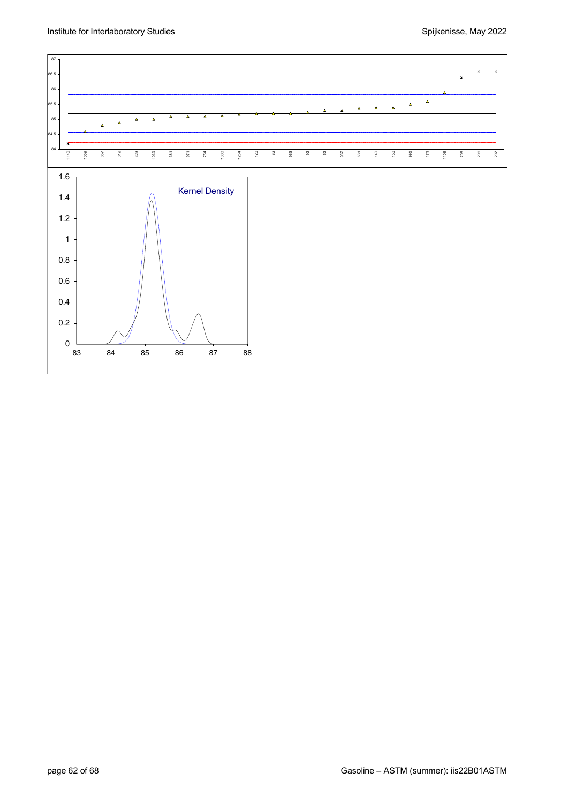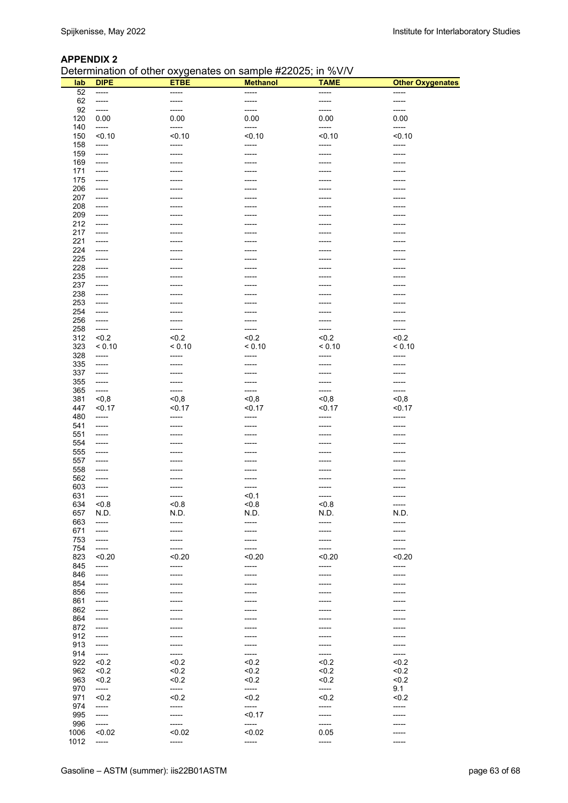#### **APPENDIX 2**

Determination of other oxygenates on sample #22025; in %V/V

| lab        | <u>stemmation of calor extgenates on cample measure, in fort t</u><br><b>DIPE</b> | <b>ETBE</b>    | <b>Methanol</b> | <b>TAME</b>    | <b>Other Oxygenates</b> |
|------------|-----------------------------------------------------------------------------------|----------------|-----------------|----------------|-------------------------|
| 52         | -----                                                                             | -----          | -----           | -----          | -----                   |
| 62         | $-----$                                                                           | -----          | -----           | -----          | -----                   |
| 92         | -----                                                                             | -----          | -----           | -----          | -----                   |
| 120        | 0.00                                                                              | 0.00           | 0.00            | 0.00           | 0.00                    |
| 140        | -----                                                                             | -----          | -----           | -----          | -----                   |
| 150        | < 0.10                                                                            | < 0.10         | < 0.10          | < 0.10         | < 0.10                  |
| 158        | -----                                                                             | -----          | -----           | -----          | -----                   |
| 159        | -----                                                                             | $-----$        | -----           | -----          | -----                   |
| 169        | $-----$                                                                           | $-----$        | -----           | -----          | -----                   |
| 171        | $-----1$                                                                          | -----          | -----           | -----          | -----                   |
| 175        | -----                                                                             | -----          | -----           | -----          | -----                   |
| 206<br>207 | $-----$<br>-----                                                                  | -----<br>----- | -----<br>-----  | -----<br>----- | -----<br>-----          |
| 208        | $-----$                                                                           | -----          | -----           | -----          | -----                   |
| 209        | $-----$                                                                           | -----          | -----           | -----          | -----                   |
| 212        | $-----$                                                                           | -----          | -----           | -----          | -----                   |
| 217        | $-----$                                                                           | -----          | -----           | -----          | $- - - - -$             |
| 221        | -----                                                                             | -----          | -----           | -----          | -----                   |
| 224        | $-----$                                                                           |                |                 |                |                         |
| 225        | -----                                                                             | -----          | -----           | -----          | -----                   |
| 228        | $-----$                                                                           | -----          | -----           | -----          | -----                   |
| 235        | -----                                                                             | -----          | -----           | -----          | -----                   |
| 237        | $-----$                                                                           | -----          |                 | -----          | -----                   |
| 238        | $-----$                                                                           | -----          | -----           | -----          | -----                   |
| 253        | $-----$                                                                           | -----          | -----           | -----          | -----                   |
| 254        | $-----$                                                                           | -----          | -----           | -----          | -----                   |
| 256        | $-----1$                                                                          | -----          | -----           | -----          | -----                   |
| 258        | $-----1$                                                                          | -----          | $-----$         | -----          | -----                   |
| 312        | < 0.2                                                                             | < 0.2          | < 0.2           | < 0.2          | < 0.2                   |
| 323        | < 0.10                                                                            | < 0.10         | < 0.10          | < 0.10         | < 0.10                  |
| 328        | -----                                                                             | $-----$        | -----           | -----          | -----                   |
| 335        | -----                                                                             | -----          | -----           | -----          | -----                   |
| 337        | -----                                                                             | -----<br>----- | -----<br>-----  | -----<br>----- | -----<br>-----          |
| 355<br>365 | $-----$<br>-----                                                                  | -----          | -----           | -----          | -----                   |
| 381        | < 0, 8                                                                            | $0,8$          | $0,8$           | $0,8$          | $0,8$                   |
| 447        | < 0.17                                                                            | < 0.17         | < 0.17          | < 0.17         | < 0.17                  |
| 480        | $-----1$                                                                          | -----          | -----           | -----          | -----                   |
| 541        | -----                                                                             | $-----$        | -----           | -----          | -----                   |
| 551        | $-----$                                                                           | -----          | -----           | -----          | -----                   |
| 554        | -----                                                                             | -----          | -----           | -----          | -----                   |
| 555        | -----                                                                             | -----          | -----           | -----          | -----                   |
| 557        | -----                                                                             | -----          | -----           | -----          | -----                   |
| 558        | -----                                                                             | -----          | -----           | -----          | -----                   |
| 562        | -----                                                                             |                | -----           | -----          | -----                   |
| 603        | -----                                                                             | -----          | -----           | -----          | -----                   |
| 631        | -----                                                                             | ------         | < 0.1           | $- - - - -$    | -----                   |
| 634        | 5.0                                                                               | $5 - 8$        | $5 - 0.8$       | < 0.8          | -----                   |
| 657        | N.D.                                                                              | N.D.           | N.D.            | N.D.           | N.D.                    |
| 663        | -----                                                                             | -----          | -----           | -----          | -----                   |
| 671        | -----                                                                             |                |                 |                |                         |
| 753        | -----                                                                             | -----          | -----           | -----          | -----                   |
| 754        | -----                                                                             | -----          | -----           | -----          | -----                   |
| 823        | < 0.20                                                                            | < 0.20         | < 0.20          | < 0.20         | < 0.20                  |
| 845        | -----                                                                             | -----<br>----- | -----<br>-----  | -----<br>----- | -----                   |
| 846<br>854 | $-----$<br>-----                                                                  | -----          | -----           | -----          | -----                   |
| 856        | -----                                                                             | -----          | -----           | -----          | -----<br>-----          |
| 861        | -----                                                                             | -----          | -----           |                | -----                   |
| 862        | -----                                                                             |                |                 |                | -----                   |
| 864        | -----                                                                             | -----          | -----           | -----          | -----                   |
| 872        | $-----$                                                                           |                |                 |                | -----                   |
| 912        | -----                                                                             |                |                 | -----          | -----                   |
| 913        | -----                                                                             |                |                 | -----          |                         |
| 914        | -----                                                                             | -----          | -----           | -----          | -----                   |
| 922        | < 0.2                                                                             | < 0.2          | < 0.2           | < 0.2          | < 0.2                   |
| 962        | < 0.2                                                                             | < 0.2          | < 0.2           | < 0.2          | < 0.2                   |
| 963        | < 0.2                                                                             | < 0.2          | < 0.2           | < 0.2          | < 0.2                   |
| 970        | -----                                                                             | -----          | -----           | -----          | 9.1                     |
| 971        | < 0.2                                                                             | < 0.2          | < 0.2           | < 0.2          | 50.2                    |
| 974        | -----                                                                             | -----          | -----           | -----          | -----                   |
| 995        | -----                                                                             | -----          | < 0.17          | -----          | -----                   |
| 996        | -----                                                                             | -----          | -----           | -----          | -----                   |
| 1006       | < 0.02                                                                            | < 0.02         | < 0.02          | 0.05           | -----                   |
| 1012       | -----                                                                             |                |                 |                |                         |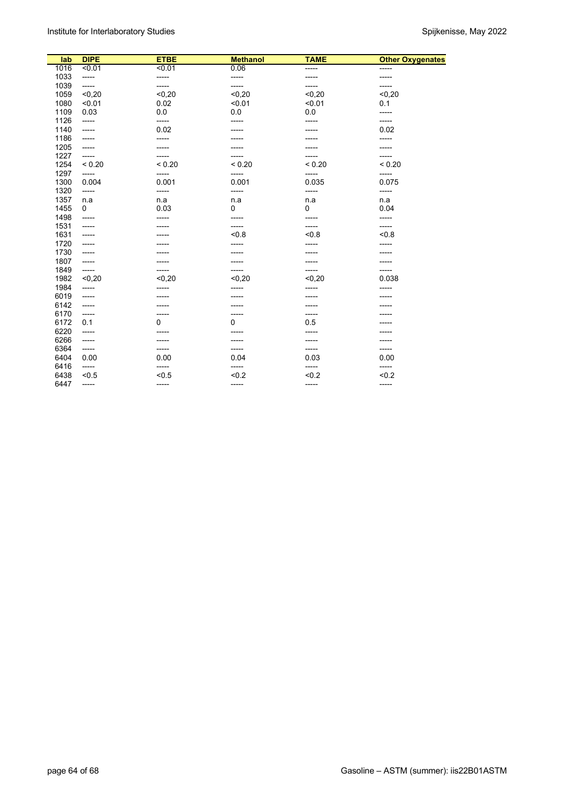| lab  | <b>DIPE</b> | <b>ETBE</b> | <b>Methanol</b> | <b>TAME</b> | <b>Other Oxygenates</b> |
|------|-------------|-------------|-----------------|-------------|-------------------------|
| 1016 | 50.01       | 50.01       | 0.06            | -----       | -----                   |
| 1033 | -----       | -----       | -----           | -----       | -----                   |
| 1039 | -----       | -----       | -----           | -----       | -----                   |
| 1059 | < 0.20      | < 0.20      | < 0, 20         | < 0.20      | < 0.20                  |
| 1080 | < 0.01      | 0.02        | < 0.01          | < 0.01      | 0.1                     |
| 1109 | 0.03        | 0.0         | 0.0             | 0.0         | -----                   |
| 1126 | -----       | -----       | -----           | -----       | -----                   |
| 1140 | -----       | 0.02        | -----           | -----       | 0.02                    |
| 1186 | -----       | -----       | -----           |             | -----                   |
| 1205 | -----       | -----       | -----           |             | -----                   |
| 1227 | -----       | -----       | -----           | -----       | -----                   |
| 1254 | < 0.20      | ${}_{0.20}$ | < 0.20          | < 0.20      | ${}_{0.20}$             |
| 1297 | -----       | -----       | -----           | -----       | -----                   |
| 1300 | 0.004       | 0.001       | 0.001           | 0.035       | 0.075                   |
| 1320 | -----       | -----       | -----           | -----       | -----                   |
| 1357 | n.a         | n.a         | n.a             | n.a         | n.a                     |
| 1455 | 0           | 0.03        | $\mathbf 0$     | 0           | 0.04                    |
| 1498 | -----       | -----       | -----           | -----       | -----                   |
| 1531 | -----       |             | -----           | -----       | -----                   |
| 1631 | -----       |             | < 0.8           | < 0.8       | < 0.8                   |
| 1720 | -----       |             | -----           | -----       | -----                   |
| 1730 | -----       |             | -----           | -----       | -----                   |
| 1807 | -----       |             |                 |             |                         |
| 1849 | -----       | -----       | -----           | -----       | -----                   |
| 1982 | $0,20$      | < 0.20      | < 0.20          | $0,20$      | 0.038                   |
| 1984 | -----       | -----       | -----           | -----       | -----                   |
| 6019 | -----       | -----       | -----           |             |                         |
| 6142 | -----       |             |                 | -----       |                         |
| 6170 | -----       | -----       | -----           | -----       |                         |
| 6172 | 0.1         | $\mathbf 0$ | $\mathbf 0$     | 0.5         |                         |
| 6220 | -----       |             | -----           | -----       |                         |
| 6266 | -----       | -----       | -----           | -----       |                         |
| 6364 | -----       | -----       | -----           | -----       | -----                   |
| 6404 | 0.00        | 0.00        | 0.04            | 0.03        | 0.00                    |
| 6416 | -----       |             | -----           |             | -----                   |
| 6438 | < 0.5       | < 0.5       | < 0.2           | < 0.2       | < 0.2                   |
| 6447 | -----       | -----       | -----           | -----       | -----                   |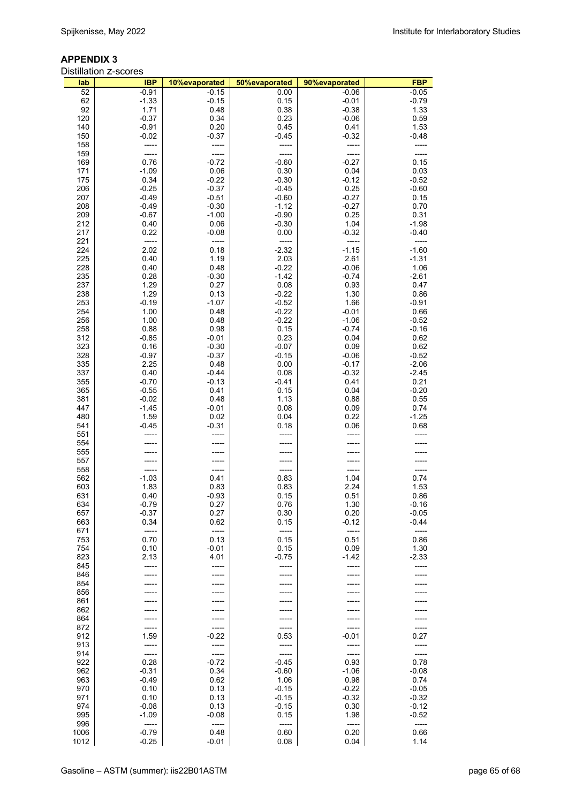#### **APPENDIX 3**

|            | <b>Distillation Z-scores</b> |                 |                    |                    |                 |
|------------|------------------------------|-----------------|--------------------|--------------------|-----------------|
| lab        | <b>IBP</b>                   | 10%evaporated   | 50%evaporated      | 90%evaporated      | <b>FBP</b>      |
| 52         | $-0.91$                      | $-0.15$         | 0.00               | $-0.06$            | $-0.05$         |
| 62         | $-1.33$                      | $-0.15$         | 0.15               | $-0.01$            | $-0.79$         |
| 92         | 1.71                         | 0.48            | 0.38               | $-0.38$            | 1.33            |
| 120        | $-0.37$                      | 0.34            | 0.23               | $-0.06$            | 0.59            |
| 140        | $-0.91$                      | 0.20            | 0.45               | 0.41               | 1.53            |
| 150<br>158 | $-0.02$                      | $-0.37$         | $-0.45$            | $-0.32$            | $-0.48$         |
| 159        |                              |                 |                    |                    |                 |
| 169        | 0.76                         | $-0.72$         | $-0.60$            | $-0.27$            | 0.15            |
| 171        | $-1.09$                      | 0.06            | 0.30               | 0.04               | 0.03            |
| 175        | 0.34                         | $-0.22$         | $-0.30$            | $-0.12$            | $-0.52$         |
| 206        | $-0.25$                      | $-0.37$         | $-0.45$            | 0.25               | $-0.60$         |
| 207        | $-0.49$                      | $-0.51$         | $-0.60$            | $-0.27$            | 0.15            |
| 208        | $-0.49$                      | $-0.30$         | $-1.12$            | $-0.27$            | 0.70            |
| 209        | $-0.67$                      | $-1.00$         | $-0.90$            | 0.25               | 0.31            |
| 212        | 0.40                         | 0.06            | $-0.30$            | 1.04               | $-1.98$         |
| 217        | 0.22                         | $-0.08$         | 0.00               | $-0.32$            | $-0.40$         |
| 221        | -----                        | -----           | -----              | -----              |                 |
| 224        | 2.02                         | 0.18            | $-2.32$            | $-1.15$            | $-1.60$         |
| 225        | 0.40                         | 1.19            | 2.03               | 2.61               | $-1.31$         |
| 228<br>235 | 0.40<br>0.28                 | 0.48<br>$-0.30$ | $-0.22$<br>$-1.42$ | $-0.06$<br>$-0.74$ | 1.06<br>$-2.61$ |
| 237        | 1.29                         | 0.27            | 0.08               | 0.93               | 0.47            |
| 238        | 1.29                         | 0.13            | $-0.22$            | 1.30               | 0.86            |
| 253        | $-0.19$                      | $-1.07$         | $-0.52$            | 1.66               | $-0.91$         |
| 254        | 1.00                         | 0.48            | $-0.22$            | $-0.01$            | 0.66            |
| 256        | 1.00                         | 0.48            | $-0.22$            | $-1.06$            | $-0.52$         |
| 258        | 0.88                         | 0.98            | 0.15               | $-0.74$            | $-0.16$         |
| 312        | $-0.85$                      | $-0.01$         | 0.23               | 0.04               | 0.62            |
| 323        | 0.16                         | $-0.30$         | $-0.07$            | 0.09               | 0.62            |
| 328        | $-0.97$                      | $-0.37$         | $-0.15$            | $-0.06$            | $-0.52$         |
| 335        | 2.25                         | 0.48            | 0.00               | $-0.17$            | $-2.06$         |
| 337        | 0.40                         | $-0.44$         | 0.08               | $-0.32$            | $-2.45$         |
| 355<br>365 | $-0.70$<br>$-0.55$           | $-0.13$<br>0.41 | -0.41<br>0.15      | 0.41<br>0.04       | 0.21<br>$-0.20$ |
| 381        | $-0.02$                      | 0.48            | 1.13               | 0.88               | 0.55            |
| 447        | $-1.45$                      | $-0.01$         | 0.08               | 0.09               | 0.74            |
| 480        | 1.59                         | 0.02            | 0.04               | 0.22               | $-1.25$         |
| 541        | $-0.45$                      | $-0.31$         | 0.18               | 0.06               | 0.68            |
| 551        |                              |                 |                    |                    |                 |
| 554        |                              |                 |                    |                    |                 |
| 555        |                              |                 |                    |                    |                 |
| 557        |                              |                 |                    |                    |                 |
| 558        |                              |                 |                    |                    |                 |
| 562<br>603 | $-1.03$<br>1.83              | 0.41<br>0.83    | 0.83<br>0.83       | 1.04<br>2.24       | 0.74<br>1.53    |
| 631        | 0.40                         | $-0.93$         | 0.15               | 0.51               | 0.86            |
| 634        | $-0.79$                      | 0.27            | 0.76               | 1.30               | $-0.16$         |
| 657        | $-0.37$                      | 0.27            | 0.30               | 0.20               | $-0.05$         |
| 663        | 0.34                         | 0.62            | 0.15               | $-0.12$            | -0.44           |
| 671        | $-----1$                     | $-----1$        | -----              | -----              | -----           |
| 753        | 0.70                         | 0.13            | 0.15               | 0.51               | 0.86            |
| 754        | 0.10                         | $-0.01$         | 0.15               | 0.09               | 1.30            |
| 823        | 2.13                         | 4.01            | $-0.75$            | -1.42              | $-2.33$         |
| 845        |                              | -----           | -----              |                    |                 |
| 846<br>854 |                              |                 |                    |                    |                 |
| 856        |                              |                 |                    |                    |                 |
| 861        |                              |                 |                    |                    |                 |
| 862        |                              |                 |                    |                    |                 |
| 864        |                              | -----           |                    |                    |                 |
| 872        | -----                        | -----           | -----              |                    |                 |
| 912        | 1.59                         | $-0.22$         | 0.53               | $-0.01$            | 0.27            |
| 913        | -----                        | -----           | -----              |                    |                 |
| 914        | -----                        | -----           | -----              | -----              | -----           |
| 922        | 0.28                         | $-0.72$         | $-0.45$            | 0.93               | 0.78            |
| 962<br>963 | $-0.31$<br>$-0.49$           | 0.34<br>0.62    | $-0.60$<br>1.06    | $-1.06$<br>0.98    | $-0.08$<br>0.74 |
| 970        | 0.10                         | 0.13            | $-0.15$            | $-0.22$            | $-0.05$         |
| 971        | 0.10                         | 0.13            | $-0.15$            | $-0.32$            | $-0.32$         |
| 974        | $-0.08$                      | 0.13            | $-0.15$            | 0.30               | $-0.12$         |
| 995        | $-1.09$                      | $-0.08$         | 0.15               | 1.98               | $-0.52$         |
| 996        | -----                        | -----           | -----              | -----              | -----           |
| 1006       | $-0.79$                      | 0.48            | 0.60               | 0.20               | 0.66            |
| 1012       | $-0.25$                      | $-0.01$         | 0.08               | 0.04               | 1.14            |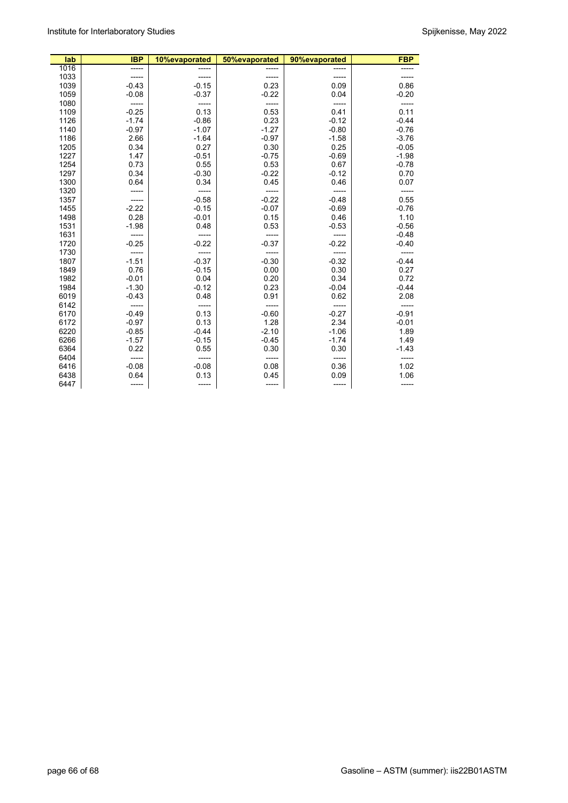| lab  | <b>IBP</b> | 10%evaporated | 50%evaporated | 90%evaporated | <b>FBP</b> |
|------|------------|---------------|---------------|---------------|------------|
| 1016 | -----      |               |               |               |            |
| 1033 |            |               | -----         |               |            |
| 1039 | $-0.43$    | $-0.15$       | 0.23          | 0.09          | 0.86       |
| 1059 | $-0.08$    | $-0.37$       | $-0.22$       | 0.04          | $-0.20$    |
| 1080 | -----      | -----         |               | -----         |            |
| 1109 | $-0.25$    | 0.13          | 0.53          | 0.41          | 0.11       |
| 1126 | $-1.74$    | $-0.86$       | 0.23          | $-0.12$       | $-0.44$    |
| 1140 | $-0.97$    | $-1.07$       | $-1.27$       | $-0.80$       | $-0.76$    |
| 1186 | 2.66       | $-1.64$       | $-0.97$       | $-1.58$       | $-3.76$    |
| 1205 | 0.34       | 0.27          | 0.30          | 0.25          | $-0.05$    |
| 1227 | 1.47       | $-0.51$       | $-0.75$       | $-0.69$       | $-1.98$    |
| 1254 | 0.73       | 0.55          | 0.53          | 0.67          | $-0.78$    |
| 1297 | 0.34       | $-0.30$       | $-0.22$       | $-0.12$       | 0.70       |
| 1300 | 0.64       | 0.34          | 0.45          | 0.46          | 0.07       |
| 1320 |            |               |               |               |            |
| 1357 |            | $-0.58$       | $-0.22$       | $-0.48$       | 0.55       |
| 1455 | $-2.22$    | $-0.15$       | $-0.07$       | $-0.69$       | $-0.76$    |
| 1498 | 0.28       | $-0.01$       | 0.15          | 0.46          | 1.10       |
| 1531 | $-1.98$    | 0.48          | 0.53          | $-0.53$       | $-0.56$    |
| 1631 |            |               |               |               | $-0.48$    |
| 1720 | $-0.25$    | $-0.22$       | $-0.37$       | $-0.22$       | $-0.40$    |
| 1730 |            |               |               |               |            |
| 1807 | $-1.51$    | $-0.37$       | $-0.30$       | $-0.32$       | $-0.44$    |
| 1849 | 0.76       | $-0.15$       | 0.00          | 0.30          | 0.27       |
| 1982 | $-0.01$    | 0.04          | 0.20          | 0.34          | 0.72       |
| 1984 | $-1.30$    | $-0.12$       | 0.23          | $-0.04$       | $-0.44$    |
| 6019 | $-0.43$    | 0.48          | 0.91          | 0.62          | 2.08       |
| 6142 |            |               |               |               |            |
| 6170 | $-0.49$    | 0.13          | $-0.60$       | $-0.27$       | $-0.91$    |
| 6172 | $-0.97$    | 0.13          | 1.28          | 2.34          | $-0.01$    |
| 6220 | $-0.85$    | $-0.44$       | $-2.10$       | $-1.06$       | 1.89       |
| 6266 | $-1.57$    | $-0.15$       | $-0.45$       | $-1.74$       | 1.49       |
| 6364 | 0.22       | 0.55          | 0.30          | 0.30          | $-1.43$    |
| 6404 | -----      | -----         | -----         | -----         | -----      |
| 6416 | $-0.08$    | $-0.08$       | 0.08          | 0.36          | 1.02       |
| 6438 | 0.64       | 0.13          | 0.45          | 0.09          | 1.06       |
| 6447 | -----      | -----         | -----         | -----         |            |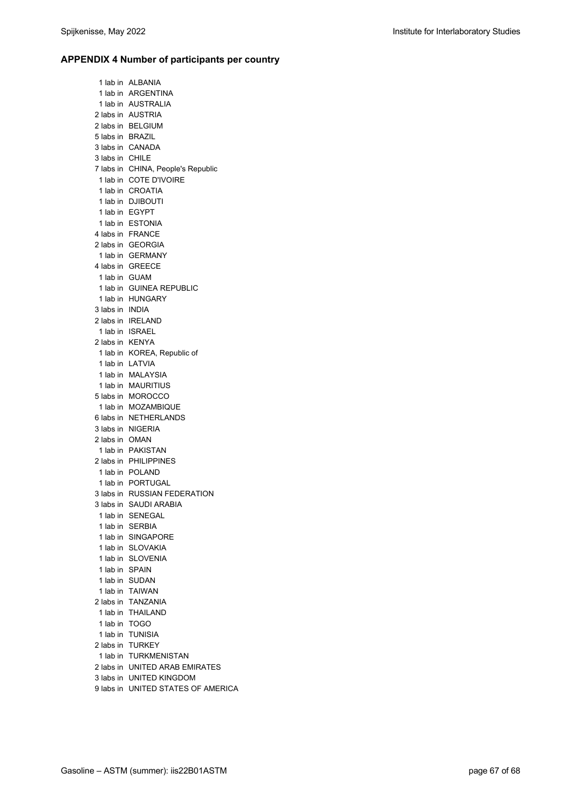#### **APPENDIX 4 Number of participants per country**

1 lab in ALBANIA 1 lab in ARGENTINA 1 lab in AUSTRALIA 2 labs in AUSTRIA 2 labs in BELGIUM 5 labs in BRAZIL 3 labs in CANADA 3 labs in CHILE 7 labs in CHINA, People's Republic 1 lab in COTE D'IVOIRE 1 lab in CROATIA 1 lab in DJIBOUTI 1 lab in EGYPT 1 lab in ESTONIA 4 labs in FRANCE 2 labs in GEORGIA 1 lab in GERMANY 4 labs in GREECE 1 lab in GUAM 1 lab in GUINEA REPUBLIC 1 lab in HUNGARY 3 labs in INDIA 2 labs in IRELAND 1 lab in ISRAEL 2 labs in KENYA 1 lab in KOREA, Republic of 1 lab in LATVIA 1 lab in MALAYSIA 1 lab in MAURITIUS 5 labs in MOROCCO 1 lab in MOZAMBIQUE 6 labs in NETHERLANDS 3 labs in NIGERIA 2 labs in OMAN 1 lab in PAKISTAN 2 labs in PHILIPPINES 1 lab in POLAND 1 lab in PORTUGAL 3 labs in RUSSIAN FEDERATION 3 labs in SAUDI ARABIA 1 lab in SENEGAL 1 lab in SERBIA 1 lab in SINGAPORE 1 lab in SLOVAKIA 1 lab in SLOVENIA 1 lab in SPAIN 1 lab in SUDAN 1 lab in TAIWAN 2 labs in TANZANIA 1 lab in THAILAND 1 lab in TOGO 1 lab in TUNISIA 2 labs in TURKEY 1 lab in TURKMENISTAN 2 labs in UNITED ARAB EMIRATES 3 labs in UNITED KINGDOM 9 labs in UNITED STATES OF AMERICA